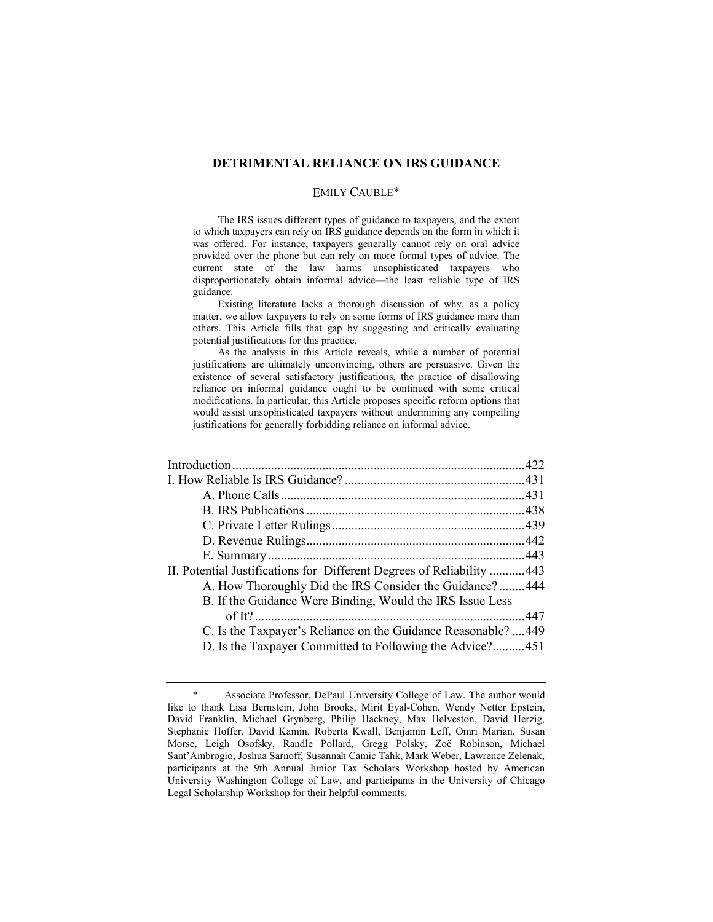# **DETRIMENTAL RELIANCE ON IRS GUIDANCE**

# EMILY CAUBLE\*

The IRS issues different types of guidance to taxpayers, and the extent to which taxpayers can rely on IRS guidance depends on the form in which it was offered. For instance, taxpayers generally cannot rely on oral advice provided over the phone but can rely on more formal types of advice. The current state of the law harms unsophisticated taxpayers who disproportionately obtain informal advice—the least reliable type of IRS guidance.

Existing literature lacks a thorough discussion of why, as a policy matter, we allow taxpayers to rely on some forms of IRS guidance more than others. This Article fills that gap by suggesting and critically evaluating potential justifications for this practice.

As the analysis in this Article reveals, while a number of potential justifications are ultimately unconvincing, others are persuasive. Given the existence of several satisfactory justifications, the practice of disallowing reliance on informal guidance ought to be continued with some critical modifications. In particular, this Article proposes specific reform options that would assist unsophisticated taxpayers without undermining any compelling justifications for generally forbidding reliance on informal advice.

| II. Potential Justifications for Different Degrees of Reliability 443 |  |
|-----------------------------------------------------------------------|--|
| A. How Thoroughly Did the IRS Consider the Guidance?444               |  |
| B. If the Guidance Were Binding, Would the IRS Issue Less             |  |
|                                                                       |  |
| C. Is the Taxpayer's Reliance on the Guidance Reasonable? 449         |  |
| D. Is the Taxpayer Committed to Following the Advice?451              |  |
|                                                                       |  |

<sup>\*</sup> Associate Professor, DePaul University College of Law. The author would like to thank Lisa Bernstein, John Brooks, Mirit Eyal-Cohen, Wendy Netter Epstein, David Franklin, Michael Grynberg, Philip Hackney, Max Helveston, David Herzig, Stephanie Hoffer, David Kamin, Roberta Kwall, Benjamin Leff, Omri Marian, Susan Morse, Leigh Osofsky, Randle Pollard, Gregg Polsky, Zoë Robinson, Michael Sant'Ambrogio, Joshua Sarnoff, Susannah Camic Tahk, Mark Weber, Lawrence Zelenak, participants at the 9th Annual Junior Tax Scholars Workshop hosted by American University Washington College of Law, and participants in the University of Chicago Legal Scholarship Workshop for their helpful comments.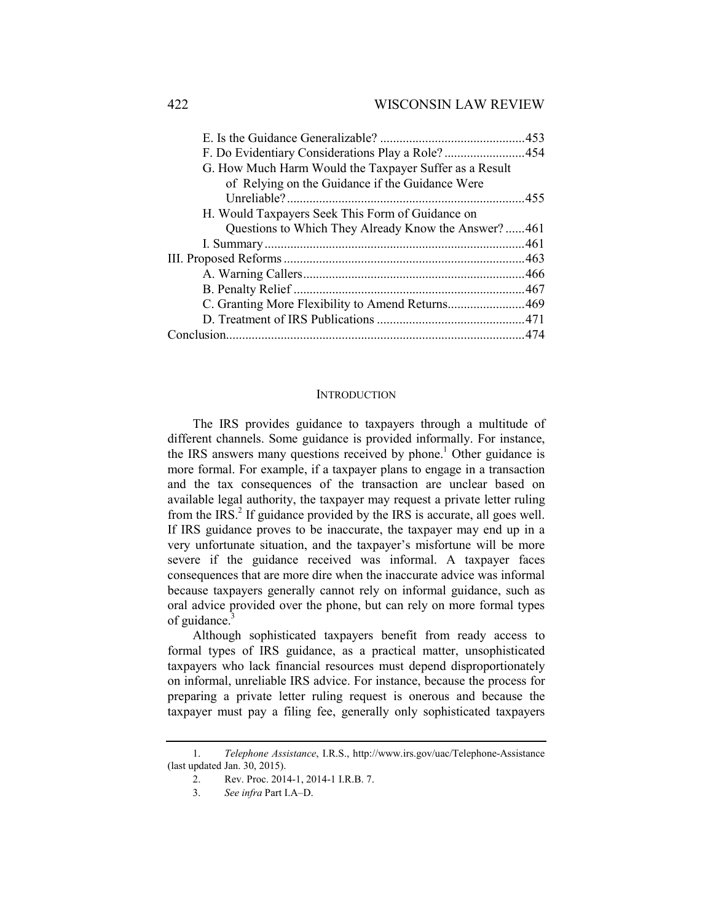| G. How Much Harm Would the Taxpayer Suffer as a Result |  |
|--------------------------------------------------------|--|
| of Relying on the Guidance if the Guidance Were        |  |
|                                                        |  |
| H. Would Taxpayers Seek This Form of Guidance on       |  |
| Questions to Which They Already Know the Answer?  461  |  |
|                                                        |  |
|                                                        |  |
|                                                        |  |
|                                                        |  |
| C. Granting More Flexibility to Amend Returns469       |  |
|                                                        |  |
|                                                        |  |

#### **INTRODUCTION**

The IRS provides guidance to taxpayers through a multitude of different channels. Some guidance is provided informally. For instance, the IRS answers many questions received by phone.<sup>1</sup> Other guidance is more formal. For example, if a taxpayer plans to engage in a transaction and the tax consequences of the transaction are unclear based on available legal authority, the taxpayer may request a private letter ruling from the IRS.<sup>2</sup> If guidance provided by the IRS is accurate, all goes well. If IRS guidance proves to be inaccurate, the taxpayer may end up in a very unfortunate situation, and the taxpayer's misfortune will be more severe if the guidance received was informal. A taxpayer faces consequences that are more dire when the inaccurate advice was informal because taxpayers generally cannot rely on informal guidance, such as oral advice provided over the phone, but can rely on more formal types of guidance.<sup>3</sup>

Although sophisticated taxpayers benefit from ready access to formal types of IRS guidance, as a practical matter, unsophisticated taxpayers who lack financial resources must depend disproportionately on informal, unreliable IRS advice. For instance, because the process for preparing a private letter ruling request is onerous and because the taxpayer must pay a filing fee, generally only sophisticated taxpayers

<sup>1.</sup> *Telephone Assistance*, I.R.S., http://www.irs.gov/uac/Telephone-Assistance (last updated Jan. 30, 2015).

<sup>2.</sup> Rev. Proc. 2014-1, 2014-1 I.R.B. 7.

<sup>3.</sup> *See infra* Part I.A–D.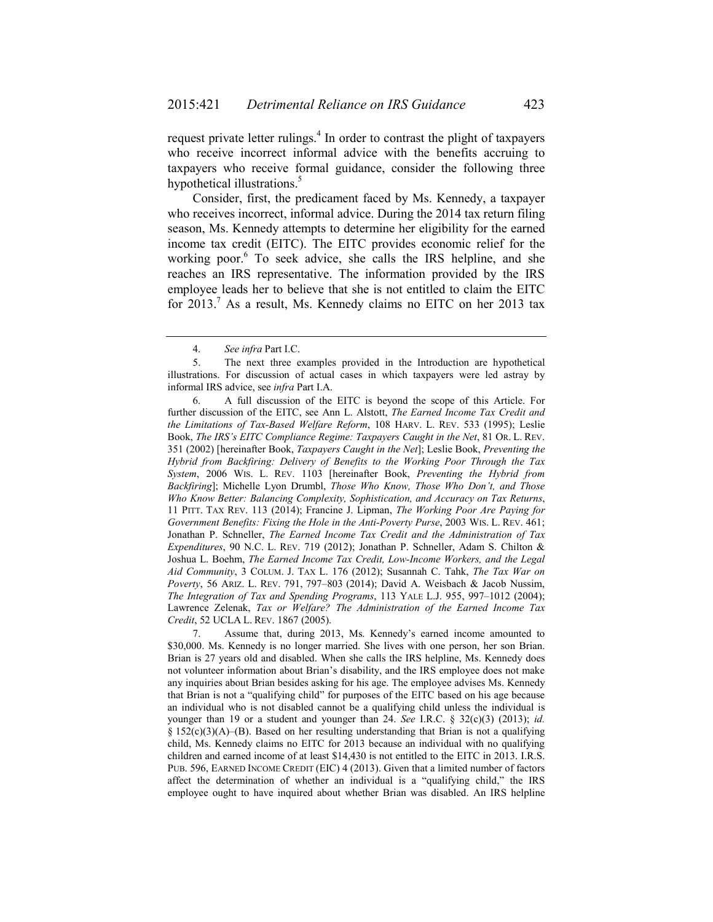request private letter rulings.<sup>4</sup> In order to contrast the plight of taxpayers who receive incorrect informal advice with the benefits accruing to taxpayers who receive formal guidance, consider the following three hypothetical illustrations.<sup>5</sup>

Consider, first, the predicament faced by Ms. Kennedy, a taxpayer who receives incorrect, informal advice. During the 2014 tax return filing season, Ms. Kennedy attempts to determine her eligibility for the earned income tax credit (EITC). The EITC provides economic relief for the working poor.<sup>6</sup> To seek advice, she calls the IRS helpline, and she reaches an IRS representative. The information provided by the IRS employee leads her to believe that she is not entitled to claim the EITC for  $2013$ .<sup>7</sup> As a result, Ms. Kennedy claims no EITC on her 2013 tax

7. Assume that, during 2013, Ms. Kennedy's earned income amounted to \$30,000. Ms. Kennedy is no longer married. She lives with one person, her son Brian. Brian is 27 years old and disabled. When she calls the IRS helpline, Ms. Kennedy does not volunteer information about Brian's disability, and the IRS employee does not make any inquiries about Brian besides asking for his age. The employee advises Ms. Kennedy that Brian is not a "qualifying child" for purposes of the EITC based on his age because an individual who is not disabled cannot be a qualifying child unless the individual is younger than 19 or a student and younger than 24. *See* I.R.C. § 32(c)(3) (2013); *id.*  $§$  152(c)(3)(A)–(B). Based on her resulting understanding that Brian is not a qualifying child, Ms. Kennedy claims no EITC for 2013 because an individual with no qualifying children and earned income of at least \$14,430 is not entitled to the EITC in 2013. I.R.S. PUB. 596, EARNED INCOME CREDIT (EIC) 4 (2013). Given that a limited number of factors affect the determination of whether an individual is a "qualifying child," the IRS employee ought to have inquired about whether Brian was disabled. An IRS helpline

<sup>4.</sup> *See infra* Part I.C.

<sup>5.</sup> The next three examples provided in the Introduction are hypothetical illustrations. For discussion of actual cases in which taxpayers were led astray by informal IRS advice, see *infra* Part I.A.

<sup>6.</sup> A full discussion of the EITC is beyond the scope of this Article. For further discussion of the EITC, see Ann L. Alstott, *The Earned Income Tax Credit and the Limitations of Tax-Based Welfare Reform*, 108 HARV. L. REV. 533 (1995); Leslie Book, *The IRS's EITC Compliance Regime: Taxpayers Caught in the Net*, 81 OR. L. REV. 351 (2002) [hereinafter Book, *Taxpayers Caught in the Net*]; Leslie Book, *Preventing the Hybrid from Backfiring: Delivery of Benefits to the Working Poor Through the Tax System*, 2006 WIS. L. REV. 1103 [hereinafter Book, *Preventing the Hybrid from Backfiring*]; Michelle Lyon Drumbl, *Those Who Know, Those Who Don't, and Those Who Know Better: Balancing Complexity, Sophistication, and Accuracy on Tax Returns*, 11 PITT. TAX REV. 113 (2014); Francine J. Lipman, *The Working Poor Are Paying for Government Benefits: Fixing the Hole in the Anti-Poverty Purse*, 2003 WIS. L. REV. 461; Jonathan P. Schneller, *The Earned Income Tax Credit and the Administration of Tax Expenditures*, 90 N.C. L. REV. 719 (2012); Jonathan P. Schneller, Adam S. Chilton & Joshua L. Boehm, *The Earned Income Tax Credit, Low-Income Workers, and the Legal Aid Community*, 3 COLUM. J. TAX L. 176 (2012); Susannah C. Tahk, *The Tax War on Poverty*, 56 ARIZ. L. REV. 791, 797–803 (2014); David A. Weisbach & Jacob Nussim, *The Integration of Tax and Spending Programs*, 113 YALE L.J. 955, 997–1012 (2004); Lawrence Zelenak, *Tax or Welfare? The Administration of the Earned Income Tax Credit*, 52 UCLA L. REV. 1867 (2005).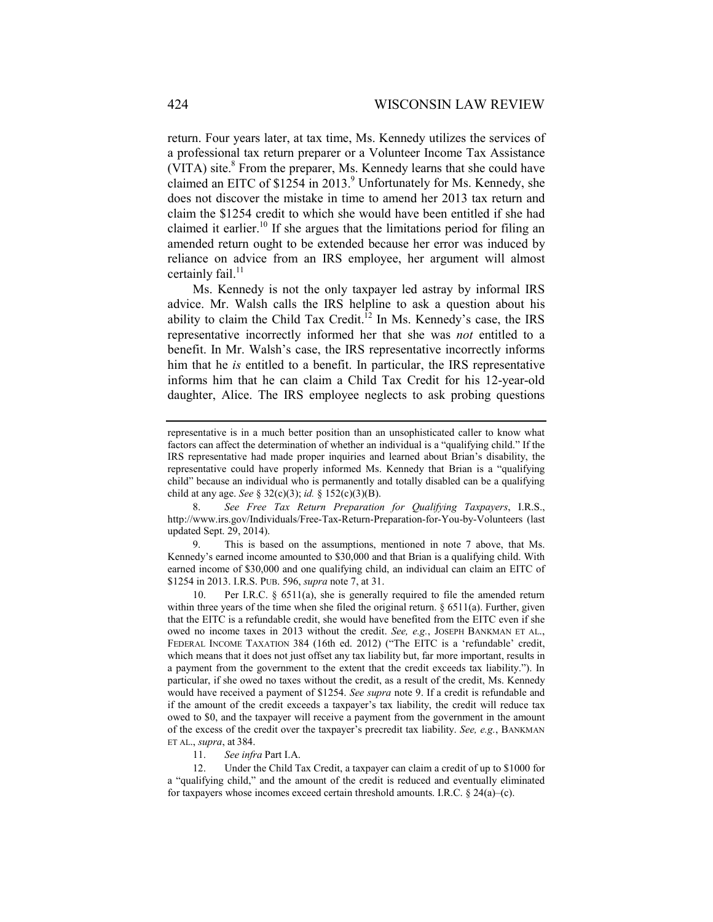return. Four years later, at tax time, Ms. Kennedy utilizes the services of a professional tax return preparer or a Volunteer Income Tax Assistance  $(VITA)$  site. $8$  From the preparer, Ms. Kennedy learns that she could have claimed an EITC of \$1254 in 2013.<sup>9</sup> Unfortunately for Ms. Kennedy, she does not discover the mistake in time to amend her 2013 tax return and claim the \$1254 credit to which she would have been entitled if she had claimed it earlier.<sup>10</sup> If she argues that the limitations period for filing an amended return ought to be extended because her error was induced by reliance on advice from an IRS employee, her argument will almost certainly fail. $^{11}$ 

Ms. Kennedy is not the only taxpayer led astray by informal IRS advice. Mr. Walsh calls the IRS helpline to ask a question about his ability to claim the Child Tax Credit.<sup>12</sup> In Ms. Kennedy's case, the IRS representative incorrectly informed her that she was *not* entitled to a benefit. In Mr. Walsh's case, the IRS representative incorrectly informs him that he *is* entitled to a benefit. In particular, the IRS representative informs him that he can claim a Child Tax Credit for his 12-year-old daughter, Alice. The IRS employee neglects to ask probing questions

9. This is based on the assumptions, mentioned in note 7 above, that Ms. Kennedy's earned income amounted to \$30,000 and that Brian is a qualifying child. With earned income of \$30,000 and one qualifying child, an individual can claim an EITC of \$1254 in 2013. I.R.S. PUB. 596, *supra* note 7, at 31.

10. Per I.R.C. § 6511(a), she is generally required to file the amended return within three years of the time when she filed the original return.  $\S 6511(a)$ . Further, given that the EITC is a refundable credit, she would have benefited from the EITC even if she owed no income taxes in 2013 without the credit. *See, e.g.*, JOSEPH BANKMAN ET AL., FEDERAL INCOME TAXATION 384 (16th ed. 2012) ("The EITC is a 'refundable' credit, which means that it does not just offset any tax liability but, far more important, results in a payment from the government to the extent that the credit exceeds tax liability."). In particular, if she owed no taxes without the credit, as a result of the credit, Ms. Kennedy would have received a payment of \$1254. *See supra* note 9. If a credit is refundable and if the amount of the credit exceeds a taxpayer's tax liability, the credit will reduce tax owed to \$0, and the taxpayer will receive a payment from the government in the amount of the excess of the credit over the taxpayer's precredit tax liability. *See, e.g.*, BANKMAN ET AL., *supra*, at 384.

11. *See infra* Part I.A.

12. Under the Child Tax Credit, a taxpayer can claim a credit of up to \$1000 for a "qualifying child," and the amount of the credit is reduced and eventually eliminated for taxpayers whose incomes exceed certain threshold amounts. I.R.C.  $\S 24(a)$ –(c).

representative is in a much better position than an unsophisticated caller to know what factors can affect the determination of whether an individual is a "qualifying child." If the IRS representative had made proper inquiries and learned about Brian's disability, the representative could have properly informed Ms. Kennedy that Brian is a "qualifying child" because an individual who is permanently and totally disabled can be a qualifying child at any age. *See* § 32(c)(3); *id.* § 152(c)(3)(B).

<sup>8.</sup> *See Free Tax Return Preparation for Qualifying Taxpayers*, I.R.S., http://www.irs.gov/Individuals/Free-Tax-Return-Preparation-for-You-by-Volunteers (last updated Sept. 29, 2014).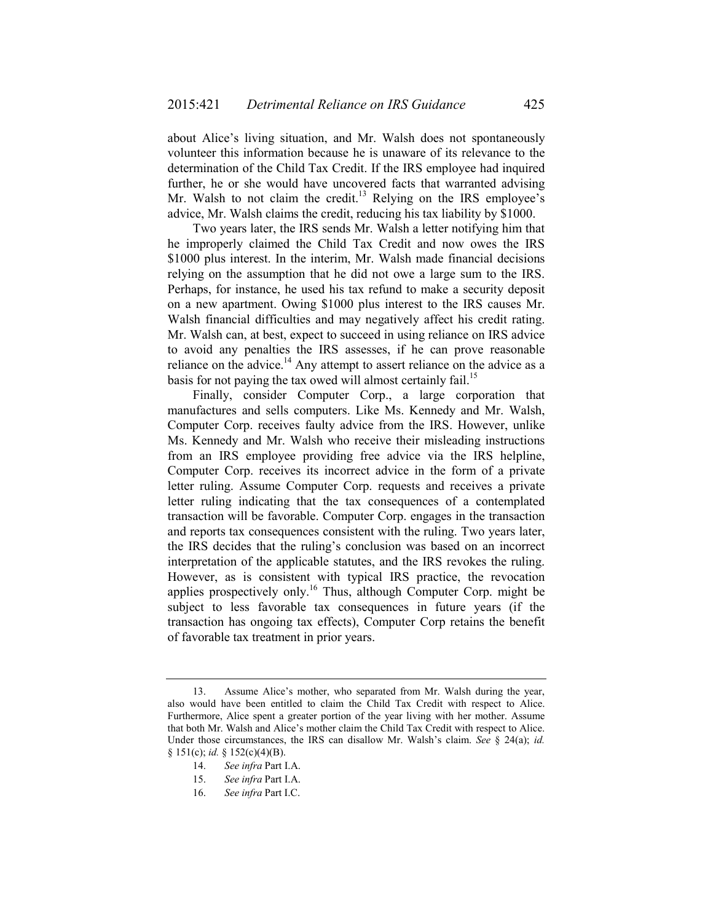about Alice's living situation, and Mr. Walsh does not spontaneously volunteer this information because he is unaware of its relevance to the determination of the Child Tax Credit. If the IRS employee had inquired further, he or she would have uncovered facts that warranted advising Mr. Walsh to not claim the credit.<sup>13</sup> Relying on the IRS employee's advice, Mr. Walsh claims the credit, reducing his tax liability by \$1000.

Two years later, the IRS sends Mr. Walsh a letter notifying him that he improperly claimed the Child Tax Credit and now owes the IRS \$1000 plus interest. In the interim, Mr. Walsh made financial decisions relying on the assumption that he did not owe a large sum to the IRS. Perhaps, for instance, he used his tax refund to make a security deposit on a new apartment. Owing \$1000 plus interest to the IRS causes Mr. Walsh financial difficulties and may negatively affect his credit rating. Mr. Walsh can, at best, expect to succeed in using reliance on IRS advice to avoid any penalties the IRS assesses, if he can prove reasonable reliance on the advice.<sup>14</sup> Any attempt to assert reliance on the advice as a basis for not paying the tax owed will almost certainly fail.<sup>15</sup>

Finally, consider Computer Corp., a large corporation that manufactures and sells computers. Like Ms. Kennedy and Mr. Walsh, Computer Corp. receives faulty advice from the IRS. However, unlike Ms. Kennedy and Mr. Walsh who receive their misleading instructions from an IRS employee providing free advice via the IRS helpline, Computer Corp. receives its incorrect advice in the form of a private letter ruling. Assume Computer Corp. requests and receives a private letter ruling indicating that the tax consequences of a contemplated transaction will be favorable. Computer Corp. engages in the transaction and reports tax consequences consistent with the ruling. Two years later, the IRS decides that the ruling's conclusion was based on an incorrect interpretation of the applicable statutes, and the IRS revokes the ruling. However, as is consistent with typical IRS practice, the revocation applies prospectively only.<sup>16</sup> Thus, although Computer Corp. might be subject to less favorable tax consequences in future years (if the transaction has ongoing tax effects), Computer Corp retains the benefit of favorable tax treatment in prior years.

<sup>13.</sup> Assume Alice's mother, who separated from Mr. Walsh during the year, also would have been entitled to claim the Child Tax Credit with respect to Alice. Furthermore, Alice spent a greater portion of the year living with her mother. Assume that both Mr. Walsh and Alice's mother claim the Child Tax Credit with respect to Alice. Under those circumstances, the IRS can disallow Mr. Walsh's claim. *See* § 24(a); *id.* § 151(c); *id.* § 152(c)(4)(B).

<sup>14.</sup> *See infra* Part I.A.

<sup>15.</sup> *See infra* Part I.A.

<sup>16.</sup> *See infra* Part I.C.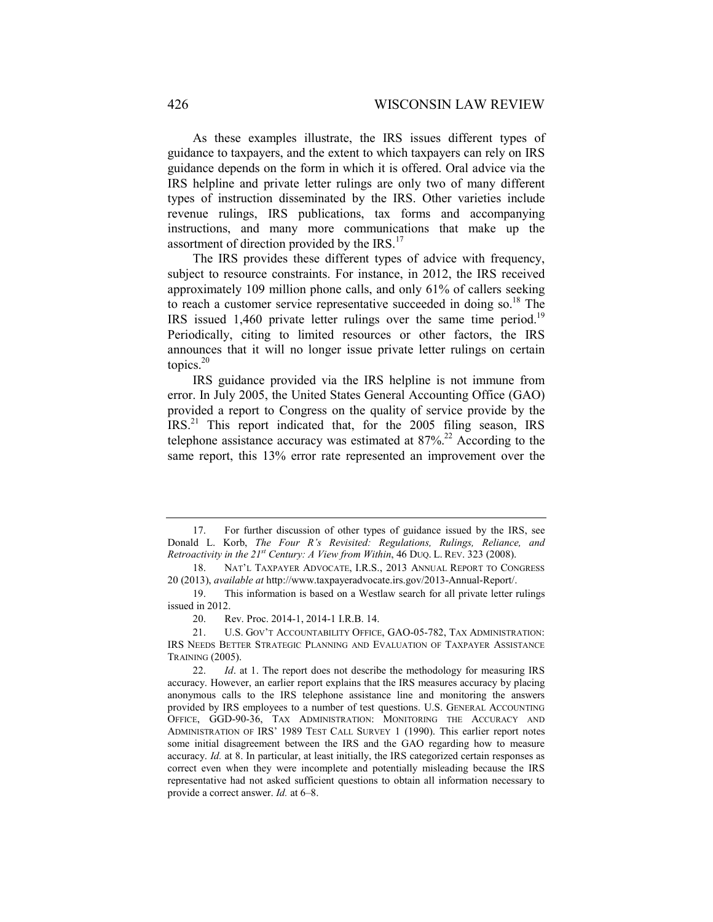As these examples illustrate, the IRS issues different types of guidance to taxpayers, and the extent to which taxpayers can rely on IRS guidance depends on the form in which it is offered. Oral advice via the IRS helpline and private letter rulings are only two of many different types of instruction disseminated by the IRS. Other varieties include revenue rulings, IRS publications, tax forms and accompanying instructions, and many more communications that make up the assortment of direction provided by the IRS.<sup>17</sup>

The IRS provides these different types of advice with frequency, subject to resource constraints. For instance, in 2012, the IRS received approximately 109 million phone calls, and only 61% of callers seeking to reach a customer service representative succeeded in doing so.<sup>18</sup> The IRS issued 1,460 private letter rulings over the same time period.19 Periodically, citing to limited resources or other factors, the IRS announces that it will no longer issue private letter rulings on certain topics. $20$ 

IRS guidance provided via the IRS helpline is not immune from error. In July 2005, the United States General Accounting Office (GAO) provided a report to Congress on the quality of service provide by the IRS.21 This report indicated that, for the 2005 filing season, IRS telephone assistance accuracy was estimated at  $87\%$ .<sup>22</sup> According to the same report, this 13% error rate represented an improvement over the

<sup>17.</sup> For further discussion of other types of guidance issued by the IRS, see Donald L. Korb, *The Four R's Revisited: Regulations, Rulings, Reliance, and Retroactivity in the 21st Century: A View from Within*, 46 DUQ. L. REV. 323 (2008).

<sup>18.</sup> NAT'L TAXPAYER ADVOCATE, I.R.S., 2013 ANNUAL REPORT TO CONGRESS 20 (2013), *available at* http://www.taxpayeradvocate.irs.gov/2013-Annual-Report/.

<sup>19.</sup> This information is based on a Westlaw search for all private letter rulings issued in 2012.

<sup>20.</sup> Rev. Proc. 2014-1, 2014-1 I.R.B. 14.

<sup>21.</sup> U.S. GOV'T ACCOUNTABILITY OFFICE, GAO-05-782, TAX ADMINISTRATION: IRS NEEDS BETTER STRATEGIC PLANNING AND EVALUATION OF TAXPAYER ASSISTANCE TRAINING (2005).

<sup>22.</sup> *Id*. at 1. The report does not describe the methodology for measuring IRS accuracy. However, an earlier report explains that the IRS measures accuracy by placing anonymous calls to the IRS telephone assistance line and monitoring the answers provided by IRS employees to a number of test questions. U.S. GENERAL ACCOUNTING OFFICE, GGD-90-36, TAX ADMINISTRATION: MONITORING THE ACCURACY AND ADMINISTRATION OF IRS' 1989 TEST CALL SURVEY 1 (1990). This earlier report notes some initial disagreement between the IRS and the GAO regarding how to measure accuracy. *Id.* at 8. In particular, at least initially, the IRS categorized certain responses as correct even when they were incomplete and potentially misleading because the IRS representative had not asked sufficient questions to obtain all information necessary to provide a correct answer. *Id.* at 6–8.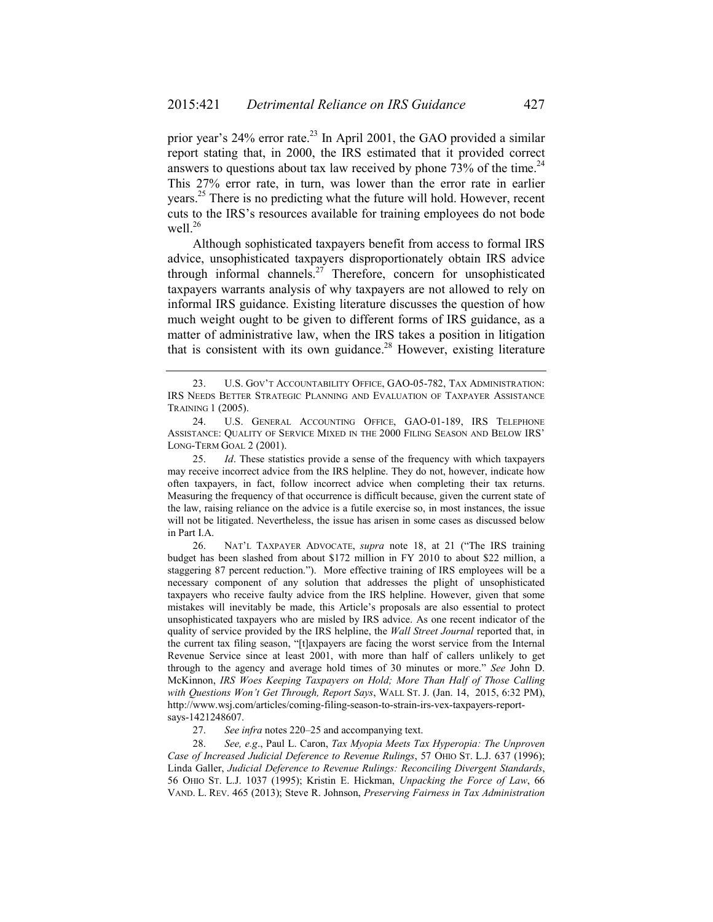prior year's 24% error rate.<sup>23</sup> In April 2001, the GAO provided a similar report stating that, in 2000, the IRS estimated that it provided correct answers to questions about tax law received by phone  $73\%$  of the time.<sup>24</sup> This 27% error rate, in turn, was lower than the error rate in earlier years.25 There is no predicting what the future will hold. However, recent cuts to the IRS's resources available for training employees do not bode well.<sup>26</sup>

Although sophisticated taxpayers benefit from access to formal IRS advice, unsophisticated taxpayers disproportionately obtain IRS advice through informal channels.<sup>27</sup> Therefore, concern for unsophisticated taxpayers warrants analysis of why taxpayers are not allowed to rely on informal IRS guidance. Existing literature discusses the question of how much weight ought to be given to different forms of IRS guidance, as a matter of administrative law, when the IRS takes a position in litigation that is consistent with its own guidance.<sup>28</sup> However, existing literature

25. *Id*. These statistics provide a sense of the frequency with which taxpayers may receive incorrect advice from the IRS helpline. They do not, however, indicate how often taxpayers, in fact, follow incorrect advice when completing their tax returns. Measuring the frequency of that occurrence is difficult because, given the current state of the law, raising reliance on the advice is a futile exercise so, in most instances, the issue will not be litigated. Nevertheless, the issue has arisen in some cases as discussed below in Part I.A.

26. NAT'L TAXPAYER ADVOCATE, *supra* note 18, at 21 ("The IRS training budget has been slashed from about \$172 million in FY 2010 to about \$22 million, a staggering 87 percent reduction."). More effective training of IRS employees will be a necessary component of any solution that addresses the plight of unsophisticated taxpayers who receive faulty advice from the IRS helpline. However, given that some mistakes will inevitably be made, this Article's proposals are also essential to protect unsophisticated taxpayers who are misled by IRS advice. As one recent indicator of the quality of service provided by the IRS helpline, the *Wall Street Journal* reported that, in the current tax filing season, "[t]axpayers are facing the worst service from the Internal Revenue Service since at least 2001, with more than half of callers unlikely to get through to the agency and average hold times of 30 minutes or more." *See* John D. McKinnon, *IRS Woes Keeping Taxpayers on Hold; More Than Half of Those Calling with Questions Won't Get Through, Report Says*, WALL ST. J. (Jan. 14, 2015, 6:32 PM), http://www.wsj.com/articles/coming-filing-season-to-strain-irs-vex-taxpayers-reportsays-1421248607.

27. *See infra* notes 220–25 and accompanying text.

28. *See, e.g*., Paul L. Caron, *Tax Myopia Meets Tax Hyperopia: The Unproven Case of Increased Judicial Deference to Revenue Rulings*, 57 OHIO ST. L.J. 637 (1996); Linda Galler, *Judicial Deference to Revenue Rulings: Reconciling Divergent Standards*, 56 OHIO ST. L.J. 1037 (1995); Kristin E. Hickman, *Unpacking the Force of Law*, 66 VAND. L. REV. 465 (2013); Steve R. Johnson, *Preserving Fairness in Tax Administration* 

<sup>23.</sup> U.S. GOV'T ACCOUNTABILITY OFFICE, GAO-05-782, TAX ADMINISTRATION: IRS NEEDS BETTER STRATEGIC PLANNING AND EVALUATION OF TAXPAYER ASSISTANCE TRAINING 1 (2005).

<sup>24.</sup> U.S. GENERAL ACCOUNTING OFFICE, GAO-01-189, IRS TELEPHONE ASSISTANCE: QUALITY OF SERVICE MIXED IN THE 2000 FILING SEASON AND BELOW IRS' LONG-TERM GOAL 2 (2001).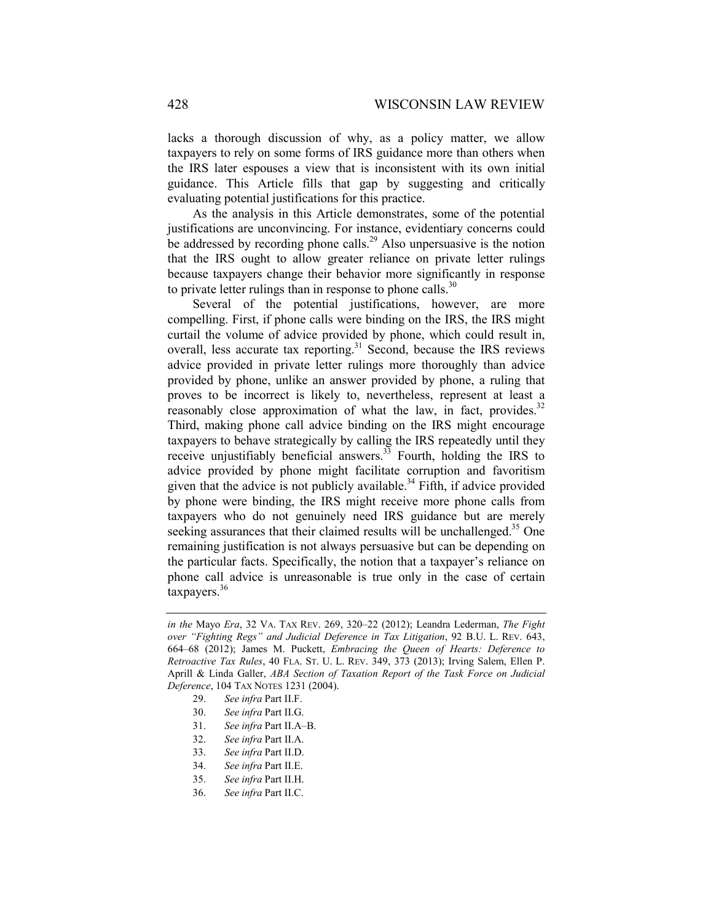lacks a thorough discussion of why, as a policy matter, we allow taxpayers to rely on some forms of IRS guidance more than others when the IRS later espouses a view that is inconsistent with its own initial guidance. This Article fills that gap by suggesting and critically evaluating potential justifications for this practice.

As the analysis in this Article demonstrates, some of the potential justifications are unconvincing. For instance, evidentiary concerns could be addressed by recording phone calls.<sup>29</sup> Also unpersuasive is the notion that the IRS ought to allow greater reliance on private letter rulings because taxpayers change their behavior more significantly in response to private letter rulings than in response to phone calls. $30$ 

Several of the potential justifications, however, are more compelling. First, if phone calls were binding on the IRS, the IRS might curtail the volume of advice provided by phone, which could result in, overall, less accurate tax reporting.<sup>31</sup> Second, because the IRS reviews advice provided in private letter rulings more thoroughly than advice provided by phone, unlike an answer provided by phone, a ruling that proves to be incorrect is likely to, nevertheless, represent at least a reasonably close approximation of what the law, in fact, provides.<sup>32</sup> Third, making phone call advice binding on the IRS might encourage taxpayers to behave strategically by calling the IRS repeatedly until they receive unjustifiably beneficial answers.<sup>33</sup> Fourth, holding the IRS to advice provided by phone might facilitate corruption and favoritism given that the advice is not publicly available.<sup>34</sup> Fifth, if advice provided by phone were binding, the IRS might receive more phone calls from taxpayers who do not genuinely need IRS guidance but are merely seeking assurances that their claimed results will be unchallenged.<sup>35</sup> One remaining justification is not always persuasive but can be depending on the particular facts. Specifically, the notion that a taxpayer's reliance on phone call advice is unreasonable is true only in the case of certain taxpayers.<sup>36</sup>

- 31. *See infra* Part II.A–B.
- 32. *See infra* Part II.A.
- 33. *See infra* Part II.D.
- 34. *See infra* Part II.E.
- 35. *See infra* Part II.H.
- 36. *See infra* Part II.C.

*in the* Mayo *Era*, 32 VA. TAX REV. 269, 320–22 (2012); Leandra Lederman, *The Fight over "Fighting Regs" and Judicial Deference in Tax Litigation*, 92 B.U. L. REV. 643, 664–68 (2012); James M. Puckett, *Embracing the Queen of Hearts: Deference to Retroactive Tax Rules*, 40 FLA. ST. U. L. REV. 349, 373 (2013); Irving Salem, Ellen P. Aprill & Linda Galler, *ABA Section of Taxation Report of the Task Force on Judicial Deference*, 104 TAX NOTES 1231 (2004).

<sup>29.</sup> *See infra* Part II.F.

<sup>30.</sup> *See infra* Part II.G.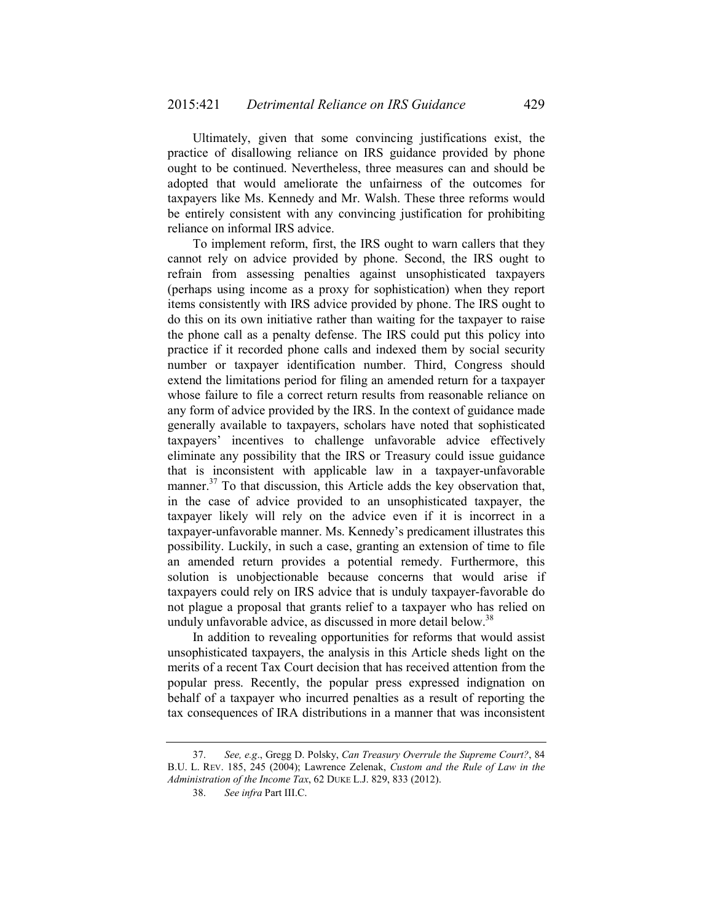Ultimately, given that some convincing justifications exist, the practice of disallowing reliance on IRS guidance provided by phone ought to be continued. Nevertheless, three measures can and should be adopted that would ameliorate the unfairness of the outcomes for taxpayers like Ms. Kennedy and Mr. Walsh. These three reforms would be entirely consistent with any convincing justification for prohibiting reliance on informal IRS advice.

To implement reform, first, the IRS ought to warn callers that they cannot rely on advice provided by phone. Second, the IRS ought to refrain from assessing penalties against unsophisticated taxpayers (perhaps using income as a proxy for sophistication) when they report items consistently with IRS advice provided by phone. The IRS ought to do this on its own initiative rather than waiting for the taxpayer to raise the phone call as a penalty defense. The IRS could put this policy into practice if it recorded phone calls and indexed them by social security number or taxpayer identification number. Third, Congress should extend the limitations period for filing an amended return for a taxpayer whose failure to file a correct return results from reasonable reliance on any form of advice provided by the IRS. In the context of guidance made generally available to taxpayers, scholars have noted that sophisticated taxpayers' incentives to challenge unfavorable advice effectively eliminate any possibility that the IRS or Treasury could issue guidance that is inconsistent with applicable law in a taxpayer-unfavorable manner.<sup>37</sup> To that discussion, this Article adds the key observation that, in the case of advice provided to an unsophisticated taxpayer, the taxpayer likely will rely on the advice even if it is incorrect in a taxpayer-unfavorable manner. Ms. Kennedy's predicament illustrates this possibility. Luckily, in such a case, granting an extension of time to file an amended return provides a potential remedy. Furthermore, this solution is unobjectionable because concerns that would arise if taxpayers could rely on IRS advice that is unduly taxpayer-favorable do not plague a proposal that grants relief to a taxpayer who has relied on unduly unfavorable advice, as discussed in more detail below.<sup>38</sup>

In addition to revealing opportunities for reforms that would assist unsophisticated taxpayers, the analysis in this Article sheds light on the merits of a recent Tax Court decision that has received attention from the popular press. Recently, the popular press expressed indignation on behalf of a taxpayer who incurred penalties as a result of reporting the tax consequences of IRA distributions in a manner that was inconsistent

<sup>37.</sup> *See, e.g*., Gregg D. Polsky, *Can Treasury Overrule the Supreme Court?*, 84 B.U. L. REV. 185, 245 (2004); Lawrence Zelenak, *Custom and the Rule of Law in the Administration of the Income Tax*, 62 DUKE L.J. 829, 833 (2012).

<sup>38.</sup> *See infra* Part III.C.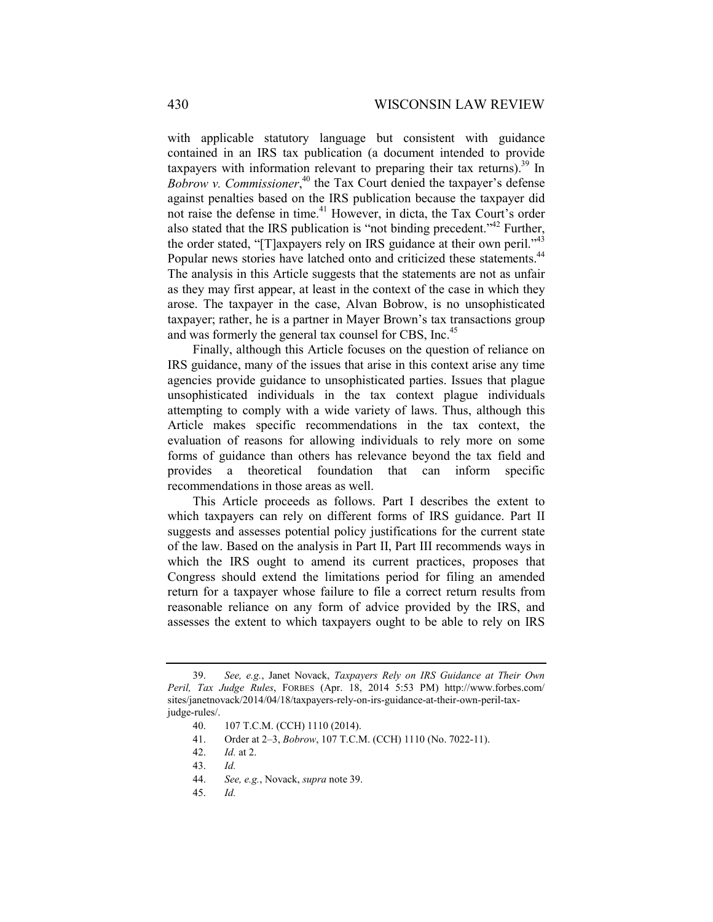with applicable statutory language but consistent with guidance contained in an IRS tax publication (a document intended to provide taxpayers with information relevant to preparing their tax returns).<sup>39</sup> In *Bobrow v. Commissioner*, 40 the Tax Court denied the taxpayer's defense against penalties based on the IRS publication because the taxpayer did not raise the defense in time.<sup>41</sup> However, in dicta, the Tax Court's order also stated that the IRS publication is "not binding precedent."<sup>42</sup> Further, the order stated, "[T]axpayers rely on IRS guidance at their own peril."<sup>43</sup> Popular news stories have latched onto and criticized these statements.<sup>44</sup> The analysis in this Article suggests that the statements are not as unfair as they may first appear, at least in the context of the case in which they arose. The taxpayer in the case, Alvan Bobrow, is no unsophisticated taxpayer; rather, he is a partner in Mayer Brown's tax transactions group and was formerly the general tax counsel for CBS, Inc.<sup>45</sup>

Finally, although this Article focuses on the question of reliance on IRS guidance, many of the issues that arise in this context arise any time agencies provide guidance to unsophisticated parties. Issues that plague unsophisticated individuals in the tax context plague individuals attempting to comply with a wide variety of laws. Thus, although this Article makes specific recommendations in the tax context, the evaluation of reasons for allowing individuals to rely more on some forms of guidance than others has relevance beyond the tax field and provides a theoretical foundation that can inform specific recommendations in those areas as well.

This Article proceeds as follows. Part I describes the extent to which taxpayers can rely on different forms of IRS guidance. Part II suggests and assesses potential policy justifications for the current state of the law. Based on the analysis in Part II, Part III recommends ways in which the IRS ought to amend its current practices, proposes that Congress should extend the limitations period for filing an amended return for a taxpayer whose failure to file a correct return results from reasonable reliance on any form of advice provided by the IRS, and assesses the extent to which taxpayers ought to be able to rely on IRS

<sup>39.</sup> *See, e.g.*, Janet Novack, *Taxpayers Rely on IRS Guidance at Their Own Peril, Tax Judge Rules*, FORBES (Apr. 18, 2014 5:53 PM) http://www.forbes.com/ sites/janetnovack/2014/04/18/taxpayers-rely-on-irs-guidance-at-their-own-peril-taxjudge-rules/.

<sup>40.</sup> 107 T.C.M. (CCH) 1110 (2014).

<sup>41.</sup> Order at 2–3, *Bobrow*, 107 T.C.M. (CCH) 1110 (No. 7022-11).

<sup>42.</sup> *Id.* at 2.

<sup>43.</sup> *Id.*

<sup>44.</sup> *See, e.g.*, Novack, *supra* note 39.

<sup>45.</sup> *Id.*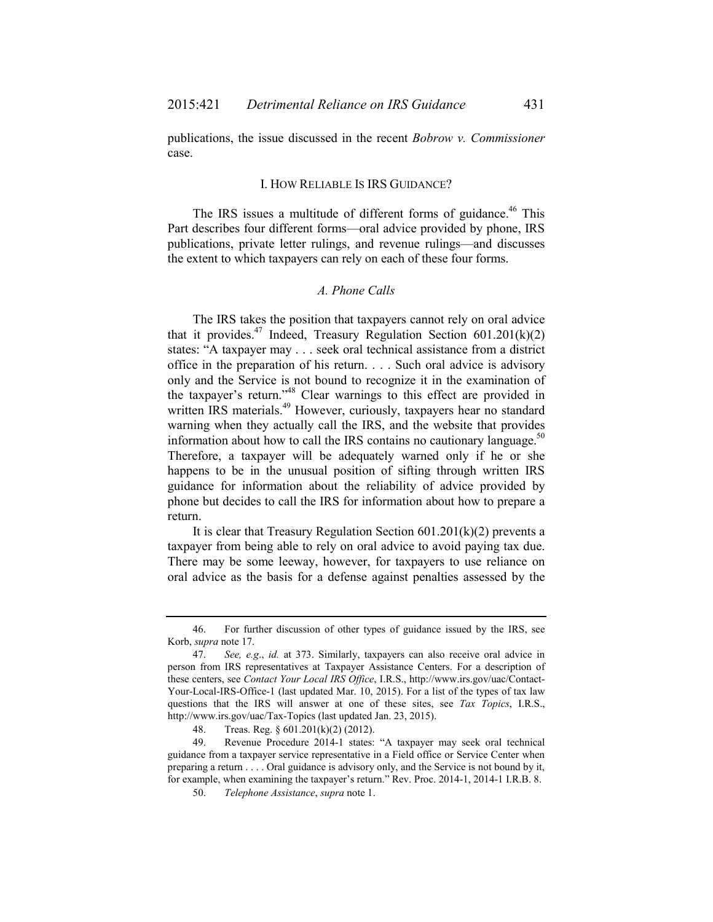publications, the issue discussed in the recent *Bobrow v. Commissioner* case.

#### I. HOW RELIABLE IS IRS GUIDANCE?

The IRS issues a multitude of different forms of guidance.<sup>46</sup> This Part describes four different forms—oral advice provided by phone, IRS publications, private letter rulings, and revenue rulings—and discusses the extent to which taxpayers can rely on each of these four forms.

#### *A. Phone Calls*

The IRS takes the position that taxpayers cannot rely on oral advice that it provides.<sup>47</sup> Indeed, Treasury Regulation Section  $601.201(k)(2)$ states: "A taxpayer may . . . seek oral technical assistance from a district office in the preparation of his return. . . . Such oral advice is advisory only and the Service is not bound to recognize it in the examination of the taxpayer's return."48 Clear warnings to this effect are provided in written IRS materials.<sup>49</sup> However, curiously, taxpayers hear no standard warning when they actually call the IRS, and the website that provides information about how to call the IRS contains no cautionary language.<sup>50</sup> Therefore, a taxpayer will be adequately warned only if he or she happens to be in the unusual position of sifting through written IRS guidance for information about the reliability of advice provided by phone but decides to call the IRS for information about how to prepare a return.

It is clear that Treasury Regulation Section  $601.201(k)(2)$  prevents a taxpayer from being able to rely on oral advice to avoid paying tax due. There may be some leeway, however, for taxpayers to use reliance on oral advice as the basis for a defense against penalties assessed by the

48. Treas. Reg. § 601.201(k)(2) (2012).

<sup>46.</sup> For further discussion of other types of guidance issued by the IRS, see Korb, *supra* note 17.

<sup>47.</sup> *See, e.g*., *id.* at 373. Similarly, taxpayers can also receive oral advice in person from IRS representatives at Taxpayer Assistance Centers. For a description of these centers, see *Contact Your Local IRS Office*, I.R.S., http://www.irs.gov/uac/Contact-Your-Local-IRS-Office-1 (last updated Mar. 10, 2015). For a list of the types of tax law questions that the IRS will answer at one of these sites, see *Tax Topics*, I.R.S., http://www.irs.gov/uac/Tax-Topics (last updated Jan. 23, 2015).

<sup>49.</sup> Revenue Procedure 2014-1 states: "A taxpayer may seek oral technical guidance from a taxpayer service representative in a Field office or Service Center when preparing a return . . . . Oral guidance is advisory only, and the Service is not bound by it, for example, when examining the taxpayer's return." Rev. Proc. 2014-1, 2014-1 I.R.B. 8.

<sup>50.</sup> *Telephone Assistance*, *supra* note 1.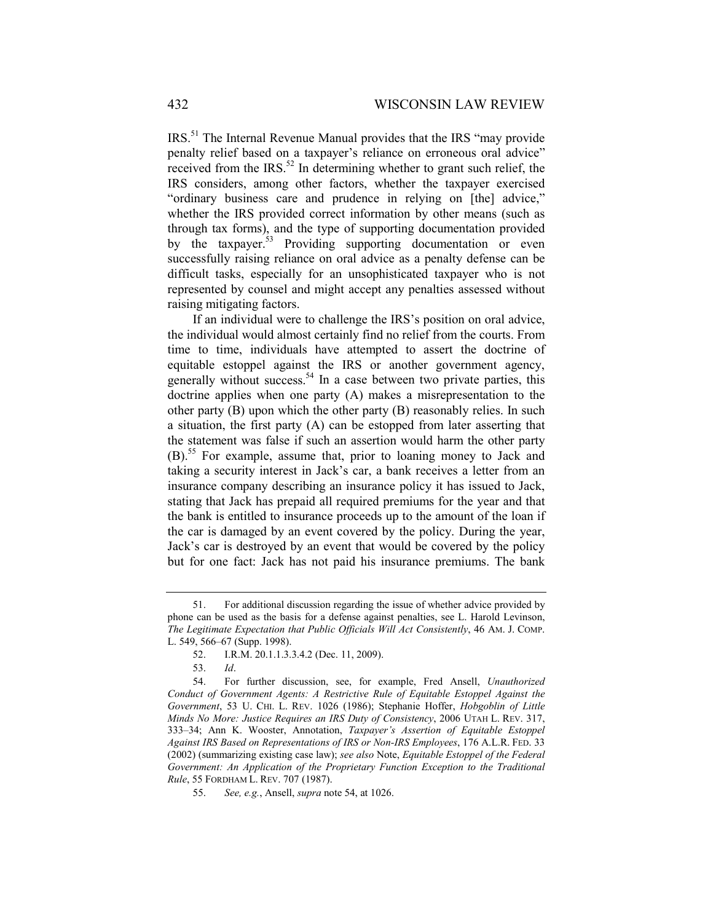IRS.51 The Internal Revenue Manual provides that the IRS "may provide penalty relief based on a taxpayer's reliance on erroneous oral advice" received from the IRS. $52$  In determining whether to grant such relief, the IRS considers, among other factors, whether the taxpayer exercised "ordinary business care and prudence in relying on [the] advice," whether the IRS provided correct information by other means (such as through tax forms), and the type of supporting documentation provided by the taxpayer.<sup>53</sup> Providing supporting documentation or even successfully raising reliance on oral advice as a penalty defense can be difficult tasks, especially for an unsophisticated taxpayer who is not represented by counsel and might accept any penalties assessed without raising mitigating factors.

If an individual were to challenge the IRS's position on oral advice, the individual would almost certainly find no relief from the courts. From time to time, individuals have attempted to assert the doctrine of equitable estoppel against the IRS or another government agency, generally without success.<sup>54</sup> In a case between two private parties, this doctrine applies when one party (A) makes a misrepresentation to the other party (B) upon which the other party (B) reasonably relies. In such a situation, the first party (A) can be estopped from later asserting that the statement was false if such an assertion would harm the other party (B).55 For example, assume that, prior to loaning money to Jack and taking a security interest in Jack's car, a bank receives a letter from an insurance company describing an insurance policy it has issued to Jack, stating that Jack has prepaid all required premiums for the year and that the bank is entitled to insurance proceeds up to the amount of the loan if the car is damaged by an event covered by the policy. During the year, Jack's car is destroyed by an event that would be covered by the policy but for one fact: Jack has not paid his insurance premiums. The bank

<sup>51.</sup> For additional discussion regarding the issue of whether advice provided by phone can be used as the basis for a defense against penalties, see L. Harold Levinson, *The Legitimate Expectation that Public Officials Will Act Consistently*, 46 AM. J. COMP. L. 549, 566–67 (Supp. 1998).

<sup>52.</sup> I.R.M. 20.1.1.3.3.4.2 (Dec. 11, 2009).

<sup>53.</sup> *Id*.

<sup>54.</sup> For further discussion, see, for example, Fred Ansell, *Unauthorized Conduct of Government Agents: A Restrictive Rule of Equitable Estoppel Against the Government*, 53 U. CHI. L. REV. 1026 (1986); Stephanie Hoffer, *Hobgoblin of Little Minds No More: Justice Requires an IRS Duty of Consistency*, 2006 UTAH L. REV. 317, 333–34; Ann K. Wooster, Annotation, *Taxpayer's Assertion of Equitable Estoppel Against IRS Based on Representations of IRS or Non-IRS Employees*, 176 A.L.R. FED. 33 (2002) (summarizing existing case law); *see also* Note, *Equitable Estoppel of the Federal Government: An Application of the Proprietary Function Exception to the Traditional Rule*, 55 FORDHAM L. REV. 707 (1987).

<sup>55.</sup> *See, e.g.*, Ansell, *supra* note 54, at 1026.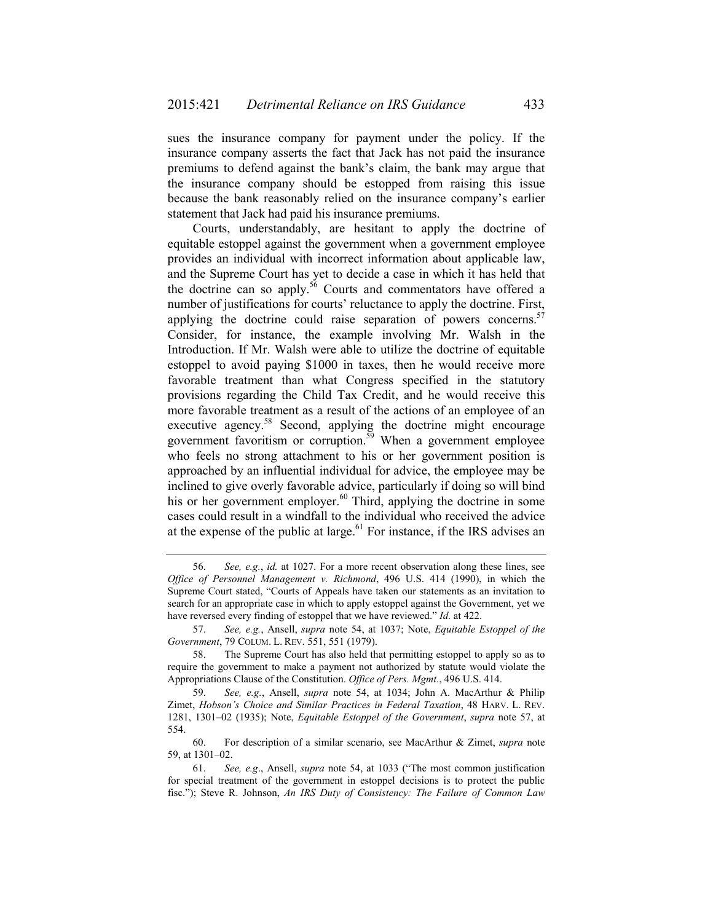sues the insurance company for payment under the policy. If the insurance company asserts the fact that Jack has not paid the insurance premiums to defend against the bank's claim, the bank may argue that the insurance company should be estopped from raising this issue because the bank reasonably relied on the insurance company's earlier statement that Jack had paid his insurance premiums.

Courts, understandably, are hesitant to apply the doctrine of equitable estoppel against the government when a government employee provides an individual with incorrect information about applicable law, and the Supreme Court has yet to decide a case in which it has held that the doctrine can so apply.<sup>56</sup> Courts and commentators have offered a number of justifications for courts' reluctance to apply the doctrine. First, applying the doctrine could raise separation of powers concerns.<sup>57</sup> Consider, for instance, the example involving Mr. Walsh in the Introduction. If Mr. Walsh were able to utilize the doctrine of equitable estoppel to avoid paying \$1000 in taxes, then he would receive more favorable treatment than what Congress specified in the statutory provisions regarding the Child Tax Credit, and he would receive this more favorable treatment as a result of the actions of an employee of an executive agency.<sup>58</sup> Second, applying the doctrine might encourage government favoritism or corruption.<sup>59</sup> When a government employee who feels no strong attachment to his or her government position is approached by an influential individual for advice, the employee may be inclined to give overly favorable advice, particularly if doing so will bind his or her government employer.<sup>60</sup> Third, applying the doctrine in some cases could result in a windfall to the individual who received the advice at the expense of the public at large.<sup>61</sup> For instance, if the IRS advises an

<sup>56.</sup> *See, e.g.*, *id.* at 1027. For a more recent observation along these lines, see *Office of Personnel Management v. Richmond*, 496 U.S. 414 (1990), in which the Supreme Court stated, "Courts of Appeals have taken our statements as an invitation to search for an appropriate case in which to apply estoppel against the Government, yet we have reversed every finding of estoppel that we have reviewed." *Id.* at 422.

<sup>57.</sup> *See, e.g.*, Ansell, *supra* note 54, at 1037; Note, *Equitable Estoppel of the Government*, 79 COLUM. L. REV. 551, 551 (1979).

<sup>58.</sup> The Supreme Court has also held that permitting estoppel to apply so as to require the government to make a payment not authorized by statute would violate the Appropriations Clause of the Constitution. *Office of Pers. Mgmt.*, 496 U.S. 414.

<sup>59.</sup> *See, e.g.*, Ansell, *supra* note 54, at 1034; John A. MacArthur & Philip Zimet, *Hobson's Choice and Similar Practices in Federal Taxation*, 48 HARV. L. REV. 1281, 1301–02 (1935); Note, *Equitable Estoppel of the Government*, *supra* note 57, at 554.

<sup>60.</sup> For description of a similar scenario, see MacArthur & Zimet, *supra* note 59, at 1301–02.

<sup>61.</sup> *See, e.g*., Ansell, *supra* note 54, at 1033 ("The most common justification for special treatment of the government in estoppel decisions is to protect the public fisc."); Steve R. Johnson, *An IRS Duty of Consistency: The Failure of Common Law*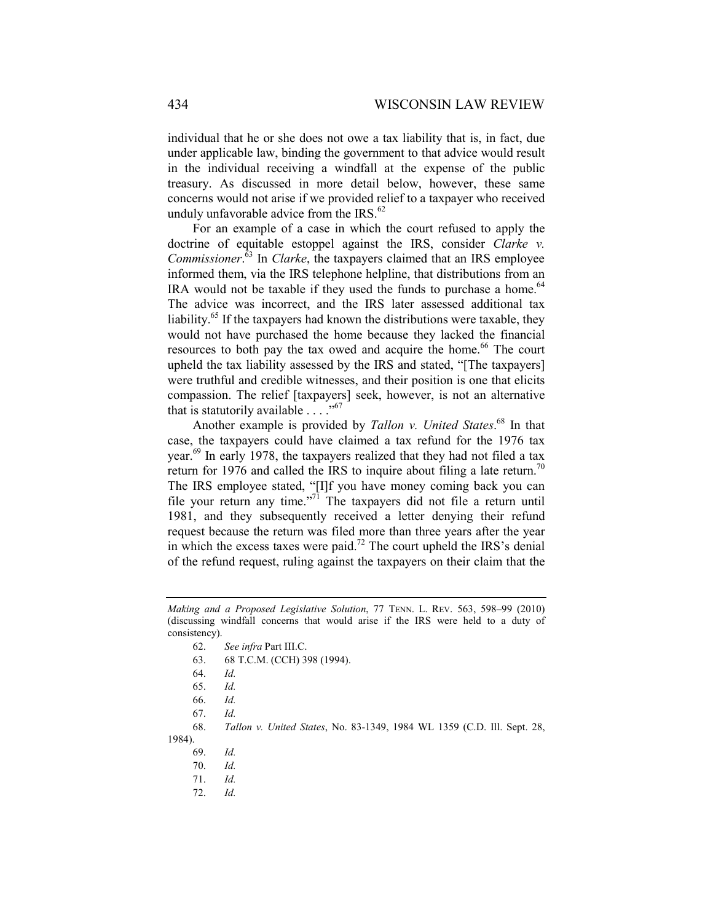individual that he or she does not owe a tax liability that is, in fact, due under applicable law, binding the government to that advice would result in the individual receiving a windfall at the expense of the public treasury. As discussed in more detail below, however, these same concerns would not arise if we provided relief to a taxpayer who received unduly unfavorable advice from the IRS. $^{62}$ 

For an example of a case in which the court refused to apply the doctrine of equitable estoppel against the IRS, consider *Clarke v. Commissioner*. 63 In *Clarke*, the taxpayers claimed that an IRS employee informed them, via the IRS telephone helpline, that distributions from an IRA would not be taxable if they used the funds to purchase a home.<sup>64</sup> The advice was incorrect, and the IRS later assessed additional tax liability.<sup>65</sup> If the taxpayers had known the distributions were taxable, they would not have purchased the home because they lacked the financial resources to both pay the tax owed and acquire the home.<sup>66</sup> The court upheld the tax liability assessed by the IRS and stated, "[The taxpayers] were truthful and credible witnesses, and their position is one that elicits compassion. The relief [taxpayers] seek, however, is not an alternative that is statutorily available  $\ldots$ ."<sup>67</sup>

Another example is provided by *Tallon v. United States*. <sup>68</sup> In that case, the taxpayers could have claimed a tax refund for the 1976 tax year.<sup>69</sup> In early 1978, the taxpayers realized that they had not filed a tax return for 1976 and called the IRS to inquire about filing a late return.<sup>70</sup> The IRS employee stated, "[I]f you have money coming back you can file your return any time."71 The taxpayers did not file a return until 1981, and they subsequently received a letter denying their refund request because the return was filed more than three years after the year in which the excess taxes were paid.<sup>72</sup> The court upheld the IRS's denial of the refund request, ruling against the taxpayers on their claim that the

- 63. 68 T.C.M. (CCH) 398 (1994).
- 64. *Id.*

68. *Tallon v. United States*, No. 83-1349, 1984 WL 1359 (C.D. Ill. Sept. 28, 1984).

72. *Id.*

*Making and a Proposed Legislative Solution*, 77 TENN. L. REV. 563, 598–99 (2010) (discussing windfall concerns that would arise if the IRS were held to a duty of consistency).

<sup>62.</sup> *See infra* Part III.C.

<sup>65.</sup> *Id.*

<sup>66.</sup> *Id.*

<sup>67.</sup> *Id.*

<sup>69.</sup> *Id.*

<sup>70.</sup> *Id.*

<sup>71.</sup> *Id.*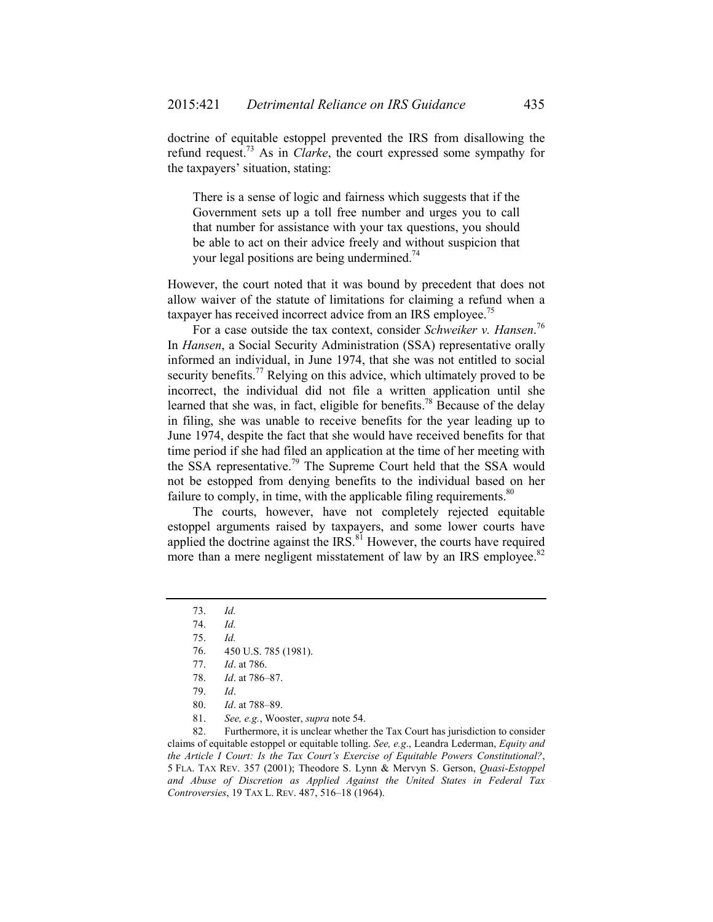doctrine of equitable estoppel prevented the IRS from disallowing the refund request.73 As in *Clarke*, the court expressed some sympathy for the taxpayers' situation, stating:

There is a sense of logic and fairness which suggests that if the Government sets up a toll free number and urges you to call that number for assistance with your tax questions, you should be able to act on their advice freely and without suspicion that your legal positions are being undermined.<sup>74</sup>

However, the court noted that it was bound by precedent that does not allow waiver of the statute of limitations for claiming a refund when a taxpayer has received incorrect advice from an IRS employee.<sup>75</sup>

For a case outside the tax context, consider *Schweiker v. Hansen*. 76 In *Hansen*, a Social Security Administration (SSA) representative orally informed an individual, in June 1974, that she was not entitled to social security benefits.<sup>77</sup> Relying on this advice, which ultimately proved to be incorrect, the individual did not file a written application until she learned that she was, in fact, eligible for benefits.<sup>78</sup> Because of the delay in filing, she was unable to receive benefits for the year leading up to June 1974, despite the fact that she would have received benefits for that time period if she had filed an application at the time of her meeting with the SSA representative.<sup>79</sup> The Supreme Court held that the SSA would not be estopped from denying benefits to the individual based on her failure to comply, in time, with the applicable filing requirements. $80^\circ$ 

The courts, however, have not completely rejected equitable estoppel arguments raised by taxpayers, and some lower courts have applied the doctrine against the  $IRS<sup>81</sup>$  However, the courts have required more than a mere negligent misstatement of law by an IRS employee.<sup>82</sup>

81. *See, e.g.*, Wooster, *supra* note 54.

82. Furthermore, it is unclear whether the Tax Court has jurisdiction to consider claims of equitable estoppel or equitable tolling. *See, e.g*., Leandra Lederman, *Equity and the Article I Court: Is the Tax Court's Exercise of Equitable Powers Constitutional?*, 5 FLA. TAX REV. 357 (2001); Theodore S. Lynn & Mervyn S. Gerson, *Quasi-Estoppel and Abuse of Discretion as Applied Against the United States in Federal Tax Controversies*, 19 TAX L. REV. 487, 516–18 (1964).

<sup>73.</sup> *Id.*

<sup>74.</sup> *Id.*

<sup>75.</sup> *Id.*

<sup>76.</sup> 450 U.S. 785 (1981).

<sup>77.</sup> *Id*. at 786.

<sup>78.</sup> *Id*. at 786–87.

<sup>79.</sup> *Id*.

<sup>80.</sup> *Id*. at 788–89.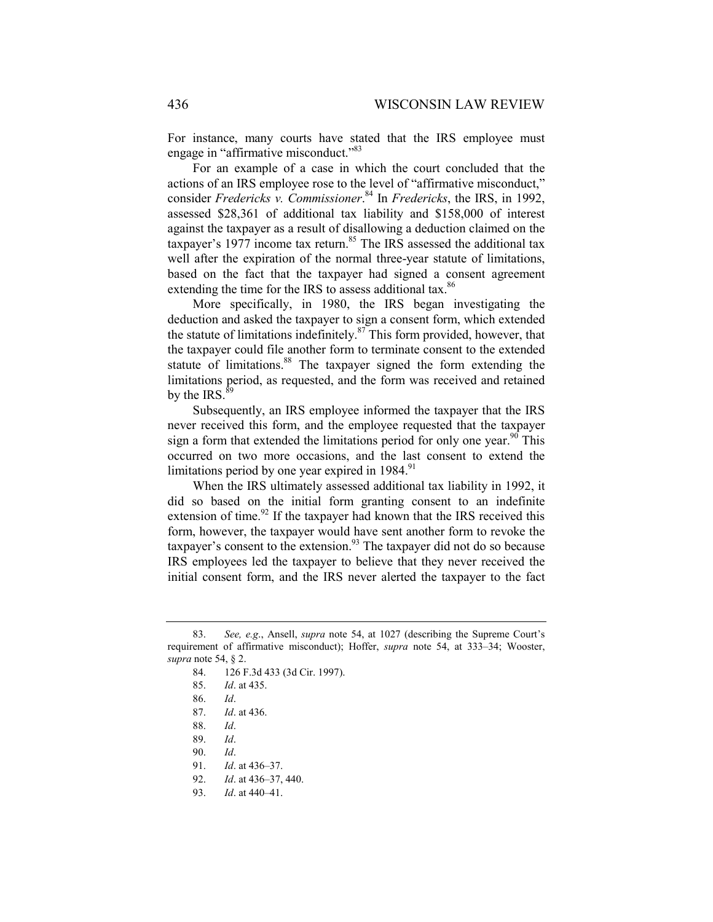For instance, many courts have stated that the IRS employee must engage in "affirmative misconduct."83

For an example of a case in which the court concluded that the actions of an IRS employee rose to the level of "affirmative misconduct," consider *Fredericks v. Commissioner*. 84 In *Fredericks*, the IRS, in 1992, assessed \$28,361 of additional tax liability and \$158,000 of interest against the taxpayer as a result of disallowing a deduction claimed on the taxpayer's 1977 income tax return.<sup>85</sup> The IRS assessed the additional tax well after the expiration of the normal three-year statute of limitations, based on the fact that the taxpayer had signed a consent agreement extending the time for the IRS to assess additional tax.<sup>86</sup>

More specifically, in 1980, the IRS began investigating the deduction and asked the taxpayer to sign a consent form, which extended the statute of limitations indefinitely. $87$  This form provided, however, that the taxpayer could file another form to terminate consent to the extended statute of limitations.<sup>88</sup> The taxpayer signed the form extending the limitations period, as requested, and the form was received and retained by the IRS. $89$ 

Subsequently, an IRS employee informed the taxpayer that the IRS never received this form, and the employee requested that the taxpayer sign a form that extended the limitations period for only one year.<sup>90</sup> This occurred on two more occasions, and the last consent to extend the limitations period by one year expired in  $1984$ <sup>91</sup>

When the IRS ultimately assessed additional tax liability in 1992, it did so based on the initial form granting consent to an indefinite extension of time. $92$  If the taxpayer had known that the IRS received this form, however, the taxpayer would have sent another form to revoke the taxpayer's consent to the extension.<sup>93</sup> The taxpayer did not do so because IRS employees led the taxpayer to believe that they never received the initial consent form, and the IRS never alerted the taxpayer to the fact

93. *Id*. at 440–41.

<sup>83.</sup> *See, e.g*., Ansell, *supra* note 54, at 1027 (describing the Supreme Court's requirement of affirmative misconduct); Hoffer, *supra* note 54, at 333–34; Wooster, *supra* note 54, § 2.

<sup>84.</sup> 126 F.3d 433 (3d Cir. 1997).

<sup>85.</sup> *Id*. at 435.

<sup>86.</sup> *Id*.

<sup>87.</sup> *Id*. at 436.

<sup>88.</sup> *Id*.

<sup>89.</sup> *Id*.

<sup>90.</sup> *Id*.

<sup>91.</sup> *Id*. at 436–37.

<sup>92.</sup> *Id*. at 436–37, 440.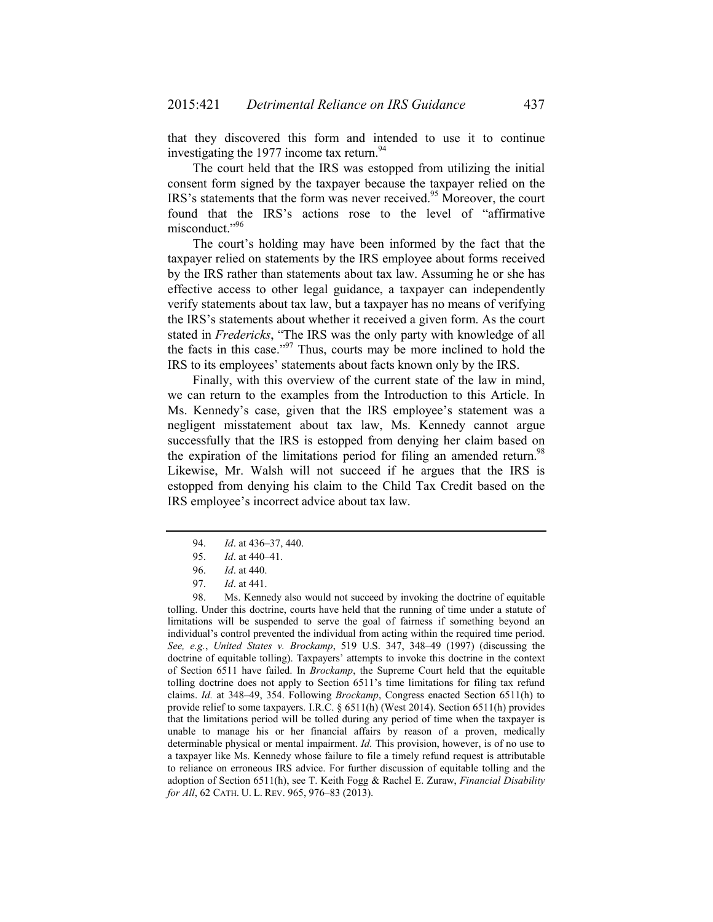that they discovered this form and intended to use it to continue investigating the 1977 income tax return. $94$ 

The court held that the IRS was estopped from utilizing the initial consent form signed by the taxpayer because the taxpayer relied on the IRS's statements that the form was never received.<sup>95</sup> Moreover, the court found that the IRS's actions rose to the level of "affirmative misconduct."96

The court's holding may have been informed by the fact that the taxpayer relied on statements by the IRS employee about forms received by the IRS rather than statements about tax law. Assuming he or she has effective access to other legal guidance, a taxpayer can independently verify statements about tax law, but a taxpayer has no means of verifying the IRS's statements about whether it received a given form. As the court stated in *Fredericks*, "The IRS was the only party with knowledge of all the facts in this case." $\frac{37}{7}$  Thus, courts may be more inclined to hold the IRS to its employees' statements about facts known only by the IRS.

Finally, with this overview of the current state of the law in mind, we can return to the examples from the Introduction to this Article. In Ms. Kennedy's case, given that the IRS employee's statement was a negligent misstatement about tax law, Ms. Kennedy cannot argue successfully that the IRS is estopped from denying her claim based on the expiration of the limitations period for filing an amended return.<sup>98</sup> Likewise, Mr. Walsh will not succeed if he argues that the IRS is estopped from denying his claim to the Child Tax Credit based on the IRS employee's incorrect advice about tax law.

98. Ms. Kennedy also would not succeed by invoking the doctrine of equitable tolling. Under this doctrine, courts have held that the running of time under a statute of limitations will be suspended to serve the goal of fairness if something beyond an individual's control prevented the individual from acting within the required time period. *See, e.g.*, *United States v. Brockamp*, 519 U.S. 347, 348–49 (1997) (discussing the doctrine of equitable tolling). Taxpayers' attempts to invoke this doctrine in the context of Section 6511 have failed. In *Brockamp*, the Supreme Court held that the equitable tolling doctrine does not apply to Section 6511's time limitations for filing tax refund claims. *Id.* at 348–49, 354. Following *Brockamp*, Congress enacted Section 6511(h) to provide relief to some taxpayers. I.R.C. § 6511(h) (West 2014). Section 6511(h) provides that the limitations period will be tolled during any period of time when the taxpayer is unable to manage his or her financial affairs by reason of a proven, medically determinable physical or mental impairment. *Id.* This provision, however, is of no use to a taxpayer like Ms. Kennedy whose failure to file a timely refund request is attributable to reliance on erroneous IRS advice. For further discussion of equitable tolling and the adoption of Section 6511(h), see T. Keith Fogg & Rachel E. Zuraw, *Financial Disability for All*, 62 CATH. U. L. REV. 965, 976–83 (2013).

<sup>94.</sup> *Id*. at 436–37, 440.

<sup>95.</sup> *Id*. at 440–41.

<sup>96.</sup> *Id*. at 440.

<sup>97.</sup> *Id*. at 441.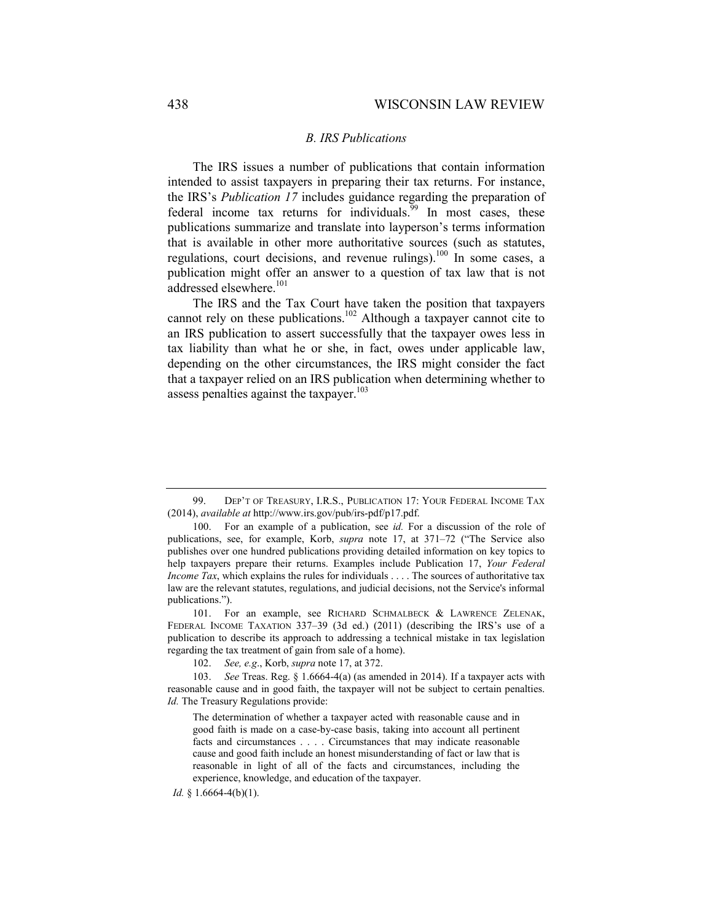#### *B. IRS Publications*

The IRS issues a number of publications that contain information intended to assist taxpayers in preparing their tax returns. For instance, the IRS's *Publication 17* includes guidance regarding the preparation of federal income tax returns for individuals.<sup>99</sup> In most cases, these publications summarize and translate into layperson's terms information that is available in other more authoritative sources (such as statutes, regulations, court decisions, and revenue rulings).<sup>100</sup> In some cases, a publication might offer an answer to a question of tax law that is not addressed elsewhere.<sup>101</sup>

The IRS and the Tax Court have taken the position that taxpayers cannot rely on these publications.<sup>102</sup> Although a taxpayer cannot cite to an IRS publication to assert successfully that the taxpayer owes less in tax liability than what he or she, in fact, owes under applicable law, depending on the other circumstances, the IRS might consider the fact that a taxpayer relied on an IRS publication when determining whether to assess penalties against the taxpayer.<sup>103</sup>

101. For an example, see RICHARD SCHMALBECK & LAWRENCE ZELENAK, FEDERAL INCOME TAXATION 337–39 (3d ed.) (2011) (describing the IRS's use of a publication to describe its approach to addressing a technical mistake in tax legislation regarding the tax treatment of gain from sale of a home).

102. *See, e.g*., Korb, *supra* note 17, at 372.

<sup>99.</sup> DEP'T OF TREASURY, I.R.S., PUBLICATION 17: YOUR FEDERAL INCOME TAX (2014), *available at* http://www.irs.gov/pub/irs-pdf/p17.pdf.

<sup>100.</sup> For an example of a publication, see *id.* For a discussion of the role of publications, see, for example, Korb, *supra* note 17, at 371–72 ("The Service also publishes over one hundred publications providing detailed information on key topics to help taxpayers prepare their returns. Examples include Publication 17, *Your Federal Income Tax*, which explains the rules for individuals . . . . The sources of authoritative tax law are the relevant statutes, regulations, and judicial decisions, not the Service's informal publications.").

 <sup>103.</sup> *See* Treas. Reg. § 1.6664-4(a) (as amended in 2014). If a taxpayer acts with reasonable cause and in good faith, the taxpayer will not be subject to certain penalties. *Id.* The Treasury Regulations provide:

The determination of whether a taxpayer acted with reasonable cause and in good faith is made on a case-by-case basis, taking into account all pertinent facts and circumstances . . . . Circumstances that may indicate reasonable cause and good faith include an honest misunderstanding of fact or law that is reasonable in light of all of the facts and circumstances, including the experience, knowledge, and education of the taxpayer.

*Id.* § 1.6664-4(b)(1).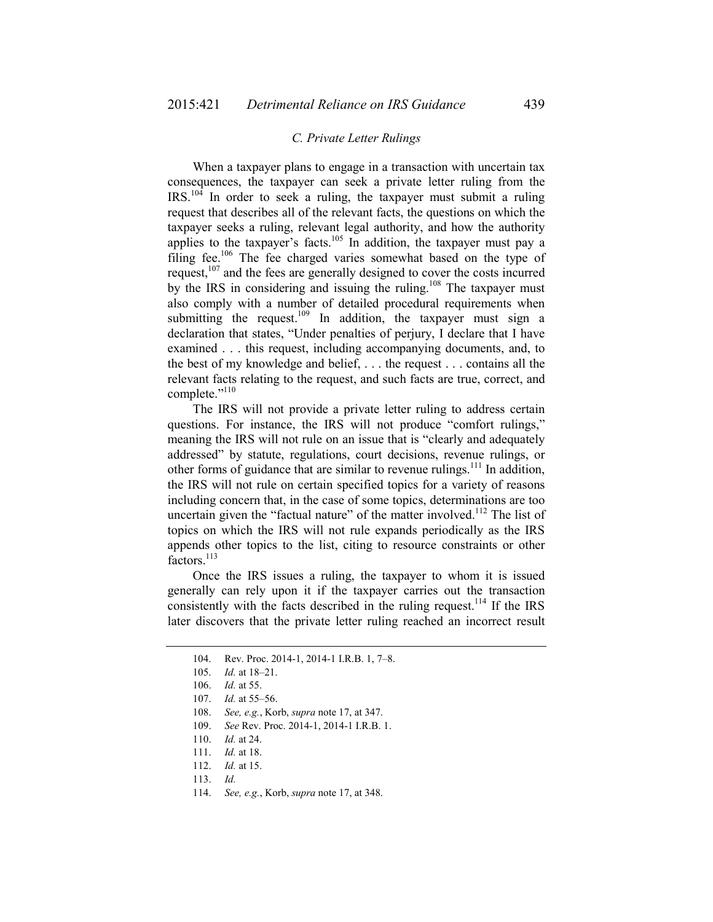### *C. Private Letter Rulings*

When a taxpayer plans to engage in a transaction with uncertain tax consequences, the taxpayer can seek a private letter ruling from the  $IRS<sup>104</sup>$  In order to seek a ruling, the taxpayer must submit a ruling request that describes all of the relevant facts, the questions on which the taxpayer seeks a ruling, relevant legal authority, and how the authority applies to the taxpayer's facts.105 In addition, the taxpayer must pay a filing fee.<sup>106</sup> The fee charged varies somewhat based on the type of request,107 and the fees are generally designed to cover the costs incurred by the IRS in considering and issuing the ruling.<sup>108</sup> The taxpayer must also comply with a number of detailed procedural requirements when submitting the request.<sup>109</sup> In addition, the taxpayer must sign a declaration that states, "Under penalties of perjury, I declare that I have examined . . . this request, including accompanying documents, and, to the best of my knowledge and belief, . . . the request . . . contains all the relevant facts relating to the request, and such facts are true, correct, and complete."<sup>110</sup>

The IRS will not provide a private letter ruling to address certain questions. For instance, the IRS will not produce "comfort rulings," meaning the IRS will not rule on an issue that is "clearly and adequately addressed" by statute, regulations, court decisions, revenue rulings, or other forms of guidance that are similar to revenue rulings.<sup>111</sup> In addition, the IRS will not rule on certain specified topics for a variety of reasons including concern that, in the case of some topics, determinations are too uncertain given the "factual nature" of the matter involved.<sup>112</sup> The list of topics on which the IRS will not rule expands periodically as the IRS appends other topics to the list, citing to resource constraints or other factors.<sup>113</sup>

Once the IRS issues a ruling, the taxpayer to whom it is issued generally can rely upon it if the taxpayer carries out the transaction consistently with the facts described in the ruling request.<sup>114</sup> If the IRS later discovers that the private letter ruling reached an incorrect result

108. *See, e.g.*, Korb, *supra* note 17, at 347.

<sup>104.</sup> Rev. Proc. 2014-1, 2014-1 I.R.B. 1, 7–8.

 <sup>105.</sup> *Id.* at 18–21.

 <sup>106.</sup> *Id.* at 55.

 <sup>107.</sup> *Id.* at 55–56.

 <sup>109.</sup> *See* Rev. Proc. 2014-1, 2014-1 I.R.B. 1.

 <sup>110.</sup> *Id.* at 24.

 <sup>111.</sup> *Id.* at 18.

 <sup>112.</sup> *Id.* at 15.

 <sup>113.</sup> *Id.*

 <sup>114.</sup> *See, e.g.*, Korb, *supra* note 17, at 348.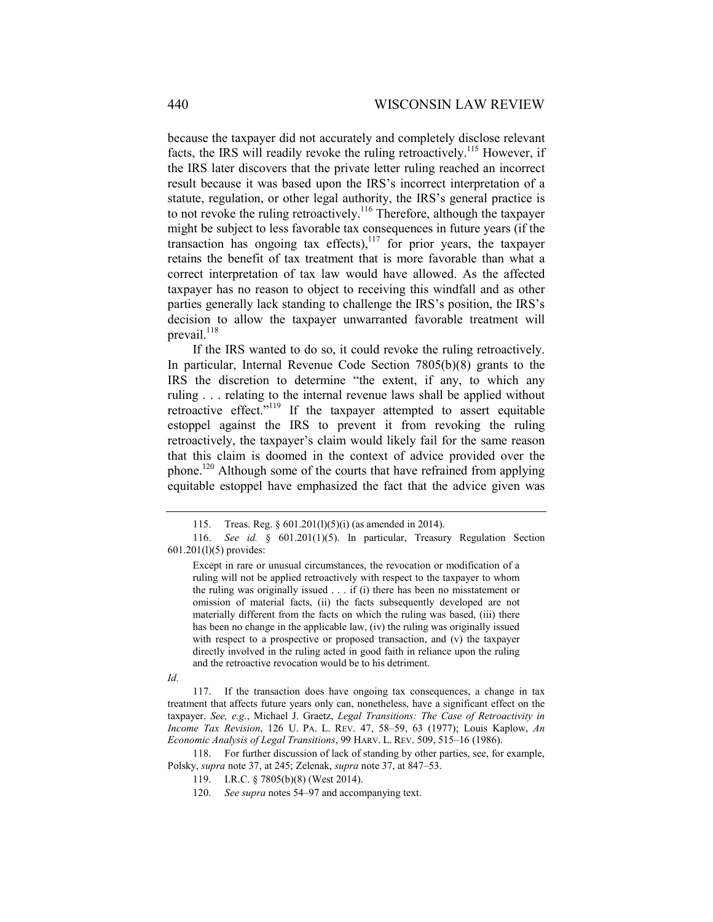because the taxpayer did not accurately and completely disclose relevant facts, the IRS will readily revoke the ruling retroactively.<sup>115</sup> However, if the IRS later discovers that the private letter ruling reached an incorrect result because it was based upon the IRS's incorrect interpretation of a statute, regulation, or other legal authority, the IRS's general practice is to not revoke the ruling retroactively.<sup>116</sup> Therefore, although the taxpayer might be subject to less favorable tax consequences in future years (if the transaction has ongoing tax effects), $117$  for prior years, the taxpayer retains the benefit of tax treatment that is more favorable than what a correct interpretation of tax law would have allowed. As the affected taxpayer has no reason to object to receiving this windfall and as other parties generally lack standing to challenge the IRS's position, the IRS's decision to allow the taxpayer unwarranted favorable treatment will prevail.<sup>118</sup>

If the IRS wanted to do so, it could revoke the ruling retroactively. In particular, Internal Revenue Code Section 7805(b)(8) grants to the IRS the discretion to determine "the extent, if any, to which any ruling . . . relating to the internal revenue laws shall be applied without retroactive effect."119 If the taxpayer attempted to assert equitable estoppel against the IRS to prevent it from revoking the ruling retroactively, the taxpayer's claim would likely fail for the same reason that this claim is doomed in the context of advice provided over the phone.120 Although some of the courts that have refrained from applying equitable estoppel have emphasized the fact that the advice given was

<sup>115.</sup> Treas. Reg. § 601.201(l)(5)(i) (as amended in 2014).

 <sup>116.</sup> *See id.* § 601.201(1)(5). In particular, Treasury Regulation Section 601.201(l)(5) provides:

Except in rare or unusual circumstances, the revocation or modification of a ruling will not be applied retroactively with respect to the taxpayer to whom the ruling was originally issued . . . if (i) there has been no misstatement or omission of material facts, (ii) the facts subsequently developed are not materially different from the facts on which the ruling was based, (iii) there has been no change in the applicable law, (iv) the ruling was originally issued with respect to a prospective or proposed transaction, and (v) the taxpayer directly involved in the ruling acted in good faith in reliance upon the ruling and the retroactive revocation would be to his detriment.

*Id.* 

<sup>117.</sup> If the transaction does have ongoing tax consequences, a change in tax treatment that affects future years only can, nonetheless, have a significant effect on the taxpayer. *See, e.g*., Michael J. Graetz, *Legal Transitions: The Case of Retroactivity in Income Tax Revision*, 126 U. PA. L. REV. 47, 58–59, 63 (1977); Louis Kaplow, *An Economic Analysis of Legal Transitions*, 99 HARV. L. REV. 509, 515–16 (1986).

<sup>118.</sup> For further discussion of lack of standing by other parties, see, for example, Polsky, *supra* note 37, at 245; Zelenak, *supra* note 37, at 847–53.

<sup>119.</sup> I.R.C. § 7805(b)(8) (West 2014).

 <sup>120.</sup> *See supra* notes 54–97 and accompanying text.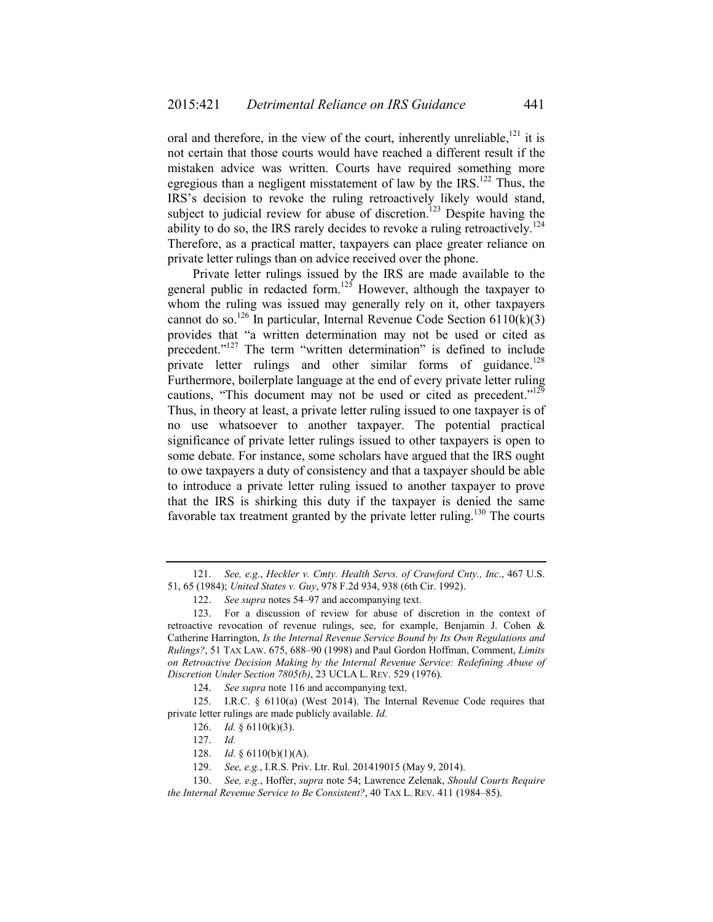oral and therefore, in the view of the court, inherently unreliable,  $^{121}$  it is not certain that those courts would have reached a different result if the mistaken advice was written. Courts have required something more egregious than a negligent misstatement of law by the  $IRS$ <sup>122</sup> Thus, the IRS's decision to revoke the ruling retroactively likely would stand, subject to judicial review for abuse of discretion.<sup>123</sup> Despite having the ability to do so, the IRS rarely decides to revoke a ruling retroactively.<sup>124</sup> Therefore, as a practical matter, taxpayers can place greater reliance on private letter rulings than on advice received over the phone.

Private letter rulings issued by the IRS are made available to the general public in redacted form.<sup>125</sup> However, although the taxpayer to whom the ruling was issued may generally rely on it, other taxpayers cannot do so.<sup>126</sup> In particular, Internal Revenue Code Section 6110(k)(3) provides that "a written determination may not be used or cited as precedent."<sup>127</sup> The term "written determination" is defined to include private letter rulings and other similar forms of guidance.<sup>128</sup> Furthermore, boilerplate language at the end of every private letter ruling cautions, "This document may not be used or cited as precedent."<sup>129</sup> Thus, in theory at least, a private letter ruling issued to one taxpayer is of no use whatsoever to another taxpayer. The potential practical significance of private letter rulings issued to other taxpayers is open to some debate. For instance, some scholars have argued that the IRS ought to owe taxpayers a duty of consistency and that a taxpayer should be able to introduce a private letter ruling issued to another taxpayer to prove that the IRS is shirking this duty if the taxpayer is denied the same favorable tax treatment granted by the private letter ruling.<sup>130</sup> The courts

 <sup>121.</sup> *See, e.g.*, *Heckler v. Cmty. Health Servs. of Crawford Cnty., Inc*., 467 U.S. 51, 65 (1984); *United States v. Guy*, 978 F.2d 934, 938 (6th Cir. 1992).

 <sup>122.</sup> *See supra* notes 54–97 and accompanying text.

<sup>123.</sup> For a discussion of review for abuse of discretion in the context of retroactive revocation of revenue rulings, see, for example, Benjamin J. Cohen & Catherine Harrington, *Is the Internal Revenue Service Bound by Its Own Regulations and Rulings?*, 51 TAX LAW. 675, 688–90 (1998) and Paul Gordon Hoffman, Comment, *Limits on Retroactive Decision Making by the Internal Revenue Service: Redefining Abuse of Discretion Under Section 7805(b)*, 23 UCLA L. REV. 529 (1976).

 <sup>124.</sup> *See supra* note 116 and accompanying text.

<sup>125.</sup> I.R.C. § 6110(a) (West 2014). The Internal Revenue Code requires that private letter rulings are made publicly available. *Id.* 

 <sup>126.</sup> *Id.* § 6110(k)(3).

 <sup>127.</sup> *Id.*

 <sup>128.</sup> *Id.* § 6110(b)(1)(A).

 <sup>129.</sup> *See, e.g.*, I.R.S. Priv. Ltr. Rul. 201419015 (May 9, 2014).

 <sup>130.</sup> *See, e.g.*, Hoffer, *supra* note 54; Lawrence Zelenak, *Should Courts Require the Internal Revenue Service to Be Consistent?*, 40 TAX L. REV. 411 (1984–85).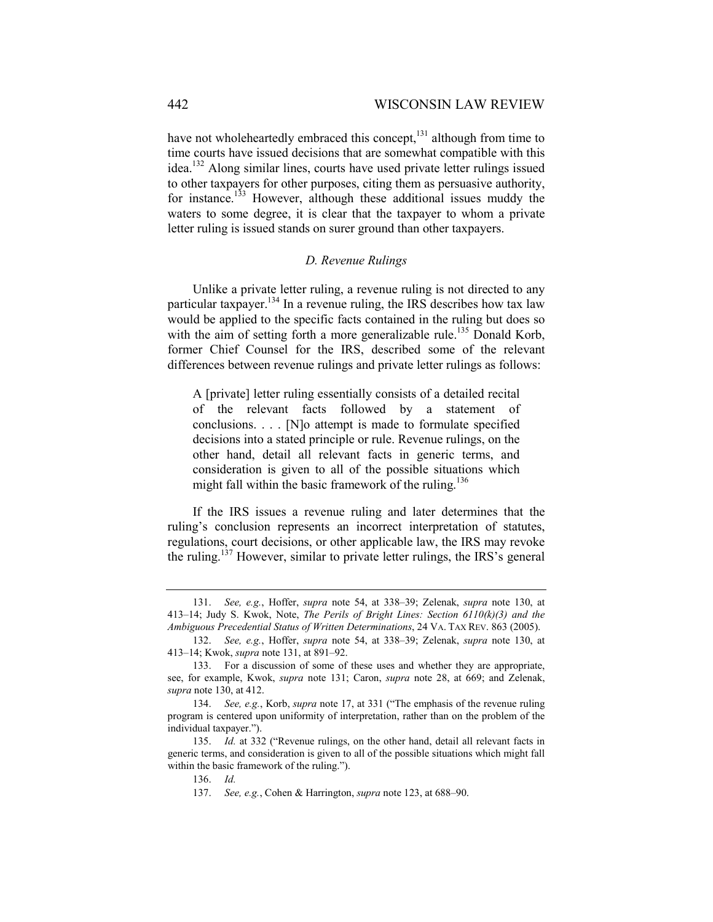have not wholeheartedly embraced this concept,<sup>131</sup> although from time to time courts have issued decisions that are somewhat compatible with this idea.<sup>132</sup> Along similar lines, courts have used private letter rulings issued to other taxpayers for other purposes, citing them as persuasive authority, for instance.<sup>133</sup> However, although these additional issues muddy the waters to some degree, it is clear that the taxpayer to whom a private letter ruling is issued stands on surer ground than other taxpayers.

#### *D. Revenue Rulings*

Unlike a private letter ruling, a revenue ruling is not directed to any particular taxpayer.<sup>134</sup> In a revenue ruling, the IRS describes how tax law would be applied to the specific facts contained in the ruling but does so with the aim of setting forth a more generalizable rule.<sup>135</sup> Donald Korb, former Chief Counsel for the IRS, described some of the relevant differences between revenue rulings and private letter rulings as follows:

A [private] letter ruling essentially consists of a detailed recital of the relevant facts followed by a statement of conclusions. . . . [N]o attempt is made to formulate specified decisions into a stated principle or rule. Revenue rulings, on the other hand, detail all relevant facts in generic terms, and consideration is given to all of the possible situations which might fall within the basic framework of the ruling.<sup>136</sup>

If the IRS issues a revenue ruling and later determines that the ruling's conclusion represents an incorrect interpretation of statutes, regulations, court decisions, or other applicable law, the IRS may revoke the ruling.137 However, similar to private letter rulings, the IRS's general

 <sup>131.</sup> *See, e.g.*, Hoffer, *supra* note 54, at 338–39; Zelenak, *supra* note 130, at 413–14; Judy S. Kwok, Note, *The Perils of Bright Lines: Section 6110(k)(3) and the Ambiguous Precedential Status of Written Determinations*, 24 VA. TAX REV. 863 (2005).

 <sup>132.</sup> *See, e.g.*, Hoffer, *supra* note 54, at 338–39; Zelenak, *supra* note 130, at 413–14; Kwok, *supra* note 131, at 891–92.

<sup>133.</sup> For a discussion of some of these uses and whether they are appropriate, see, for example, Kwok, *supra* note 131; Caron, *supra* note 28, at 669; and Zelenak, *supra* note 130, at 412.

 <sup>134.</sup> *See, e.g.*, Korb, *supra* note 17, at 331 ("The emphasis of the revenue ruling program is centered upon uniformity of interpretation, rather than on the problem of the individual taxpayer.").

 <sup>135.</sup> *Id.* at 332 ("Revenue rulings, on the other hand, detail all relevant facts in generic terms, and consideration is given to all of the possible situations which might fall within the basic framework of the ruling.").

 <sup>136.</sup> *Id.* 

 <sup>137.</sup> *See, e.g.*, Cohen & Harrington, *supra* note 123, at 688–90.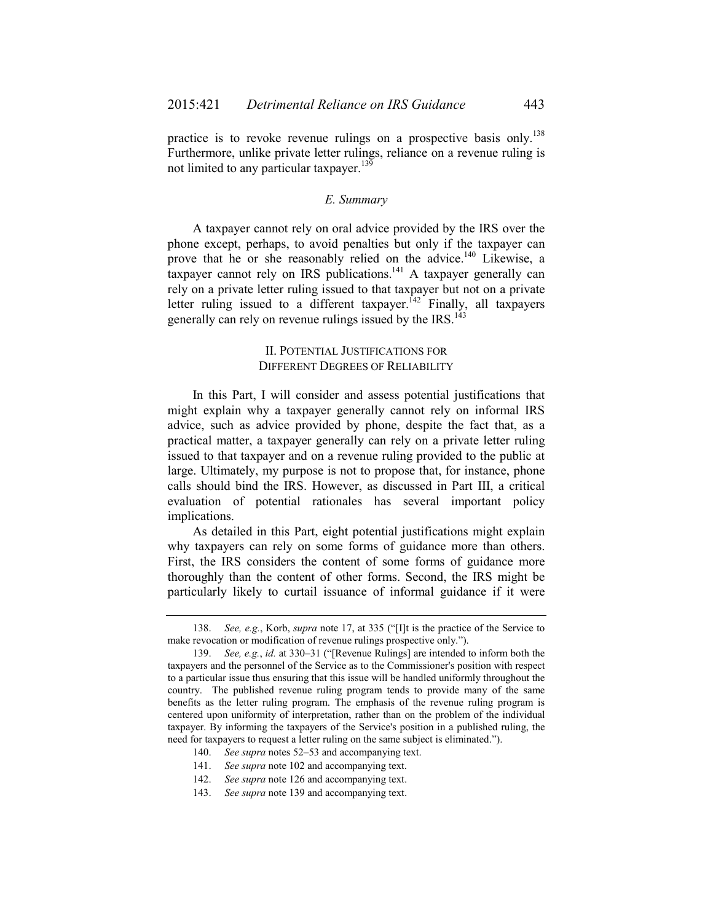practice is to revoke revenue rulings on a prospective basis only.<sup>138</sup> Furthermore, unlike private letter rulings, reliance on a revenue ruling is not limited to any particular taxpayer.<sup>139</sup>

#### *E. Summary*

A taxpayer cannot rely on oral advice provided by the IRS over the phone except, perhaps, to avoid penalties but only if the taxpayer can prove that he or she reasonably relied on the advice.<sup>140</sup> Likewise, a taxpayer cannot rely on IRS publications.<sup>141</sup> A taxpayer generally can rely on a private letter ruling issued to that taxpayer but not on a private letter ruling issued to a different taxpayer.<sup>142</sup> Finally, all taxpayers generally can rely on revenue rulings issued by the IRS.<sup>143</sup>

# II. POTENTIAL JUSTIFICATIONS FOR DIFFERENT DEGREES OF RELIABILITY

In this Part, I will consider and assess potential justifications that might explain why a taxpayer generally cannot rely on informal IRS advice, such as advice provided by phone, despite the fact that, as a practical matter, a taxpayer generally can rely on a private letter ruling issued to that taxpayer and on a revenue ruling provided to the public at large. Ultimately, my purpose is not to propose that, for instance, phone calls should bind the IRS. However, as discussed in Part III, a critical evaluation of potential rationales has several important policy implications.

As detailed in this Part, eight potential justifications might explain why taxpayers can rely on some forms of guidance more than others. First, the IRS considers the content of some forms of guidance more thoroughly than the content of other forms. Second, the IRS might be particularly likely to curtail issuance of informal guidance if it were

- 141. *See supra* note 102 and accompanying text.
- 142. *See supra* note 126 and accompanying text.

 <sup>138.</sup> *See, e.g.*, Korb, *supra* note 17, at 335 ("[I]t is the practice of the Service to make revocation or modification of revenue rulings prospective only.").

 <sup>139.</sup> *See, e.g.*, *id.* at 330–31 ("[Revenue Rulings] are intended to inform both the taxpayers and the personnel of the Service as to the Commissioner's position with respect to a particular issue thus ensuring that this issue will be handled uniformly throughout the country. The published revenue ruling program tends to provide many of the same benefits as the letter ruling program. The emphasis of the revenue ruling program is centered upon uniformity of interpretation, rather than on the problem of the individual taxpayer. By informing the taxpayers of the Service's position in a published ruling, the need for taxpayers to request a letter ruling on the same subject is eliminated.").

 <sup>140.</sup> *See supra* notes 52–53 and accompanying text.

 <sup>143.</sup> *See supra* note 139 and accompanying text.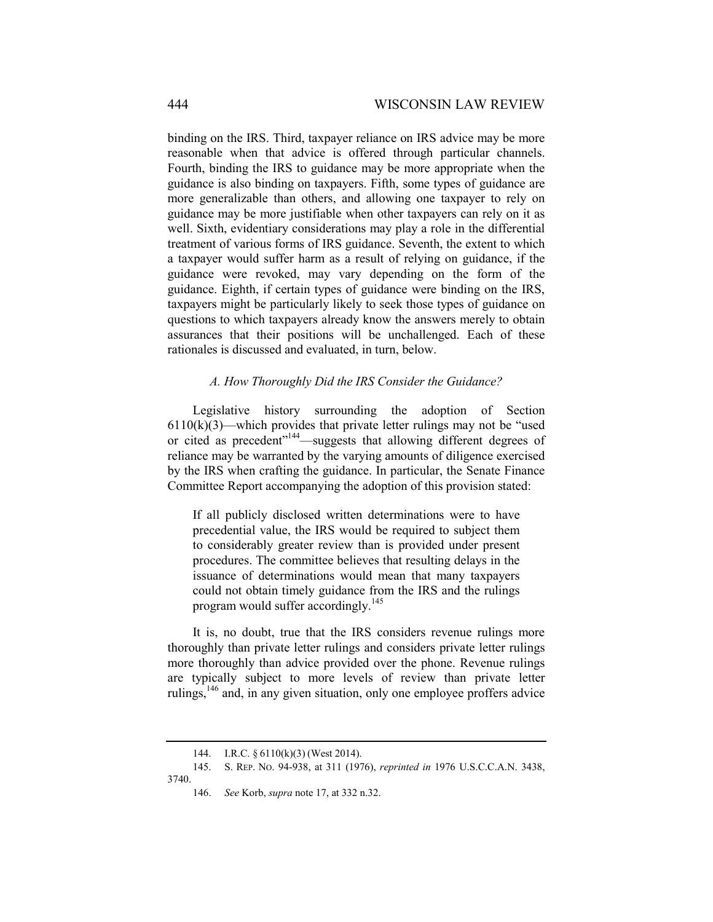binding on the IRS. Third, taxpayer reliance on IRS advice may be more reasonable when that advice is offered through particular channels. Fourth, binding the IRS to guidance may be more appropriate when the guidance is also binding on taxpayers. Fifth, some types of guidance are more generalizable than others, and allowing one taxpayer to rely on guidance may be more justifiable when other taxpayers can rely on it as well. Sixth, evidentiary considerations may play a role in the differential treatment of various forms of IRS guidance. Seventh, the extent to which a taxpayer would suffer harm as a result of relying on guidance, if the guidance were revoked, may vary depending on the form of the guidance. Eighth, if certain types of guidance were binding on the IRS, taxpayers might be particularly likely to seek those types of guidance on questions to which taxpayers already know the answers merely to obtain assurances that their positions will be unchallenged. Each of these rationales is discussed and evaluated, in turn, below.

#### *A. How Thoroughly Did the IRS Consider the Guidance?*

Legislative history surrounding the adoption of Section  $6110(k)(3)$ —which provides that private letter rulings may not be "used" or cited as precedent"<sup>144</sup>—suggests that allowing different degrees of reliance may be warranted by the varying amounts of diligence exercised by the IRS when crafting the guidance. In particular, the Senate Finance Committee Report accompanying the adoption of this provision stated:

If all publicly disclosed written determinations were to have precedential value, the IRS would be required to subject them to considerably greater review than is provided under present procedures. The committee believes that resulting delays in the issuance of determinations would mean that many taxpayers could not obtain timely guidance from the IRS and the rulings program would suffer accordingly.<sup>145</sup>

It is, no doubt, true that the IRS considers revenue rulings more thoroughly than private letter rulings and considers private letter rulings more thoroughly than advice provided over the phone. Revenue rulings are typically subject to more levels of review than private letter rulings,146 and, in any given situation, only one employee proffers advice

 <sup>144.</sup> I.R.C. § 6110(k)(3) (West 2014).

 <sup>145.</sup> S. REP. NO. 94-938, at 311 (1976), *reprinted in* 1976 U.S.C.C.A.N. 3438, 3740.

 <sup>146.</sup> *See* Korb, *supra* note 17, at 332 n.32.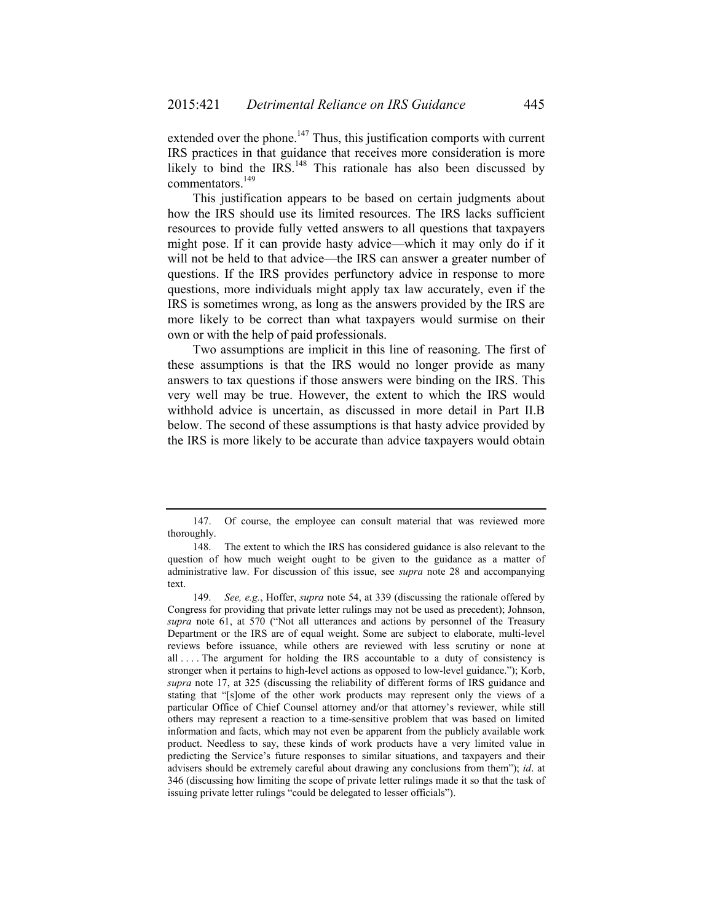extended over the phone.<sup>147</sup> Thus, this justification comports with current IRS practices in that guidance that receives more consideration is more likely to bind the IRS.<sup>148</sup> This rationale has also been discussed by commentators.149

This justification appears to be based on certain judgments about how the IRS should use its limited resources. The IRS lacks sufficient resources to provide fully vetted answers to all questions that taxpayers might pose. If it can provide hasty advice—which it may only do if it will not be held to that advice—the IRS can answer a greater number of questions. If the IRS provides perfunctory advice in response to more questions, more individuals might apply tax law accurately, even if the IRS is sometimes wrong, as long as the answers provided by the IRS are more likely to be correct than what taxpayers would surmise on their own or with the help of paid professionals.

Two assumptions are implicit in this line of reasoning. The first of these assumptions is that the IRS would no longer provide as many answers to tax questions if those answers were binding on the IRS. This very well may be true. However, the extent to which the IRS would withhold advice is uncertain, as discussed in more detail in Part II.B below. The second of these assumptions is that hasty advice provided by the IRS is more likely to be accurate than advice taxpayers would obtain

<sup>147.</sup> Of course, the employee can consult material that was reviewed more thoroughly.

<sup>148.</sup> The extent to which the IRS has considered guidance is also relevant to the question of how much weight ought to be given to the guidance as a matter of administrative law. For discussion of this issue, see *supra* note 28 and accompanying text.

 <sup>149.</sup> *See, e.g.*, Hoffer, *supra* note 54, at 339 (discussing the rationale offered by Congress for providing that private letter rulings may not be used as precedent); Johnson, *supra* note 61, at 570 ("Not all utterances and actions by personnel of the Treasury Department or the IRS are of equal weight. Some are subject to elaborate, multi-level reviews before issuance, while others are reviewed with less scrutiny or none at all . . . . The argument for holding the IRS accountable to a duty of consistency is stronger when it pertains to high-level actions as opposed to low-level guidance."); Korb, *supra* note 17, at 325 (discussing the reliability of different forms of IRS guidance and stating that "[s]ome of the other work products may represent only the views of a particular Office of Chief Counsel attorney and/or that attorney's reviewer, while still others may represent a reaction to a time-sensitive problem that was based on limited information and facts, which may not even be apparent from the publicly available work product. Needless to say, these kinds of work products have a very limited value in predicting the Service's future responses to similar situations, and taxpayers and their advisers should be extremely careful about drawing any conclusions from them"); *id*. at 346 (discussing how limiting the scope of private letter rulings made it so that the task of issuing private letter rulings "could be delegated to lesser officials").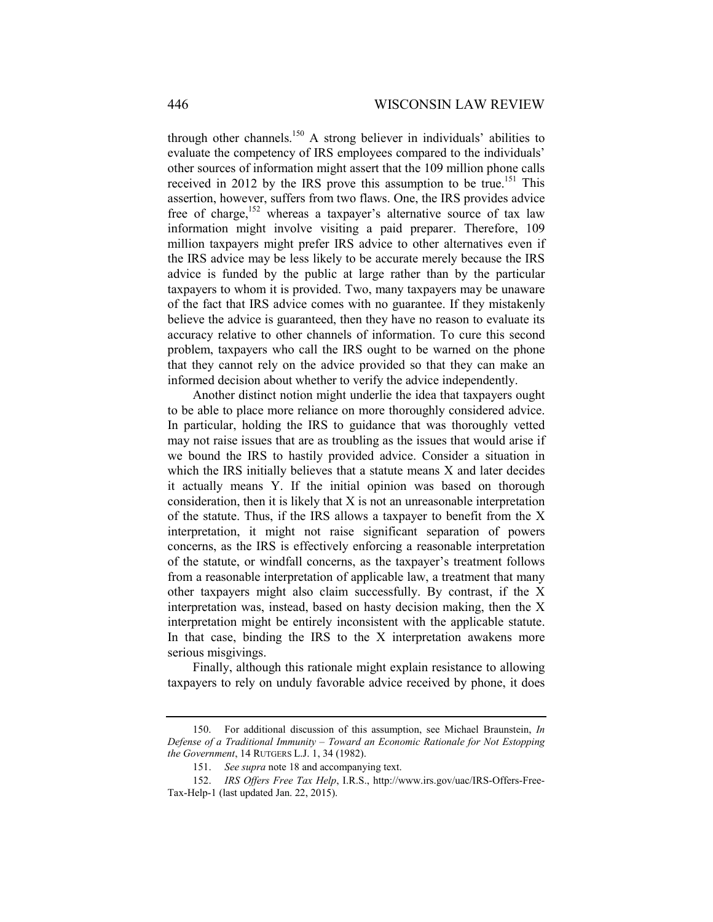through other channels.<sup>150</sup> A strong believer in individuals' abilities to evaluate the competency of IRS employees compared to the individuals' other sources of information might assert that the 109 million phone calls received in 2012 by the IRS prove this assumption to be true.<sup>151</sup> This assertion, however, suffers from two flaws. One, the IRS provides advice free of charge,<sup>152</sup> whereas a taxpayer's alternative source of tax law information might involve visiting a paid preparer. Therefore, 109 million taxpayers might prefer IRS advice to other alternatives even if the IRS advice may be less likely to be accurate merely because the IRS advice is funded by the public at large rather than by the particular taxpayers to whom it is provided. Two, many taxpayers may be unaware of the fact that IRS advice comes with no guarantee. If they mistakenly believe the advice is guaranteed, then they have no reason to evaluate its accuracy relative to other channels of information. To cure this second problem, taxpayers who call the IRS ought to be warned on the phone that they cannot rely on the advice provided so that they can make an informed decision about whether to verify the advice independently.

Another distinct notion might underlie the idea that taxpayers ought to be able to place more reliance on more thoroughly considered advice. In particular, holding the IRS to guidance that was thoroughly vetted may not raise issues that are as troubling as the issues that would arise if we bound the IRS to hastily provided advice. Consider a situation in which the IRS initially believes that a statute means X and later decides it actually means Y. If the initial opinion was based on thorough consideration, then it is likely that X is not an unreasonable interpretation of the statute. Thus, if the IRS allows a taxpayer to benefit from the X interpretation, it might not raise significant separation of powers concerns, as the IRS is effectively enforcing a reasonable interpretation of the statute, or windfall concerns, as the taxpayer's treatment follows from a reasonable interpretation of applicable law, a treatment that many other taxpayers might also claim successfully. By contrast, if the X interpretation was, instead, based on hasty decision making, then the X interpretation might be entirely inconsistent with the applicable statute. In that case, binding the IRS to the X interpretation awakens more serious misgivings.

Finally, although this rationale might explain resistance to allowing taxpayers to rely on unduly favorable advice received by phone, it does

<sup>150.</sup> For additional discussion of this assumption, see Michael Braunstein, *In Defense of a Traditional Immunity – Toward an Economic Rationale for Not Estopping the Government*, 14 RUTGERS L.J. 1, 34 (1982).

 <sup>151.</sup> *See supra* note 18 and accompanying text.

 <sup>152.</sup> *IRS Offers Free Tax Help*, I.R.S., http://www.irs.gov/uac/IRS-Offers-Free-Tax-Help-1 (last updated Jan. 22, 2015).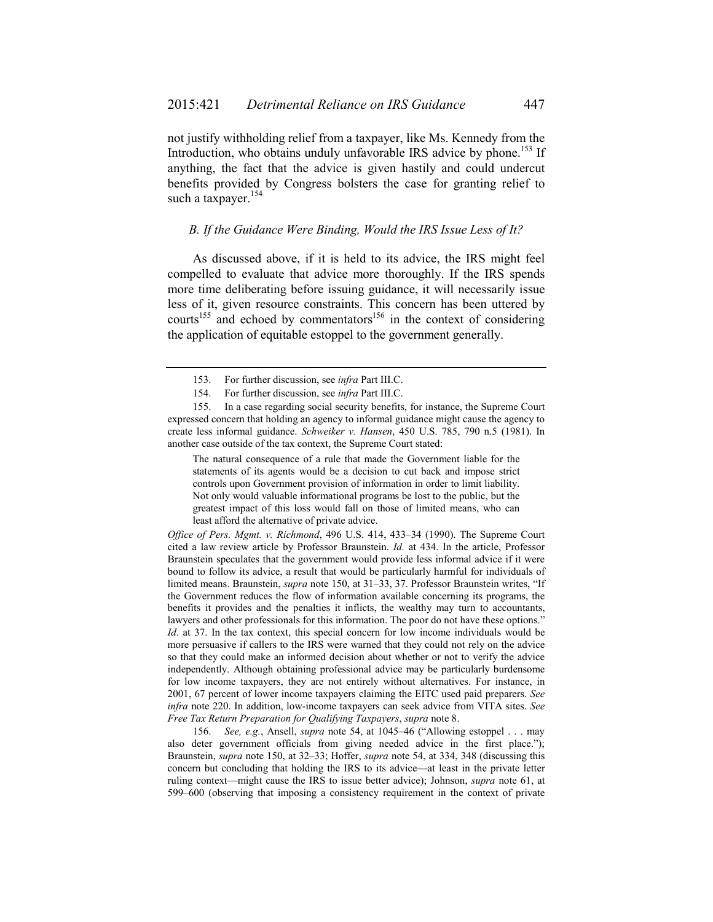not justify withholding relief from a taxpayer, like Ms. Kennedy from the Introduction, who obtains unduly unfavorable IRS advice by phone.<sup>153</sup> If anything, the fact that the advice is given hastily and could undercut benefits provided by Congress bolsters the case for granting relief to such a taxpayer.<sup>154</sup>

#### *B. If the Guidance Were Binding, Would the IRS Issue Less of It?*

As discussed above, if it is held to its advice, the IRS might feel compelled to evaluate that advice more thoroughly. If the IRS spends more time deliberating before issuing guidance, it will necessarily issue less of it, given resource constraints. This concern has been uttered by courts<sup>155</sup> and echoed by commentators<sup>156</sup> in the context of considering the application of equitable estoppel to the government generally.

154. For further discussion, see *infra* Part III.C.

155. In a case regarding social security benefits, for instance, the Supreme Court expressed concern that holding an agency to informal guidance might cause the agency to create less informal guidance. *Schweiker v. Hansen*, 450 U.S. 785, 790 n.5 (1981). In another case outside of the tax context, the Supreme Court stated:

The natural consequence of a rule that made the Government liable for the statements of its agents would be a decision to cut back and impose strict controls upon Government provision of information in order to limit liability. Not only would valuable informational programs be lost to the public, but the greatest impact of this loss would fall on those of limited means, who can least afford the alternative of private advice.

*Office of Pers. Mgmt. v. Richmond*, 496 U.S. 414, 433–34 (1990). The Supreme Court cited a law review article by Professor Braunstein. *Id.* at 434. In the article, Professor Braunstein speculates that the government would provide less informal advice if it were bound to follow its advice, a result that would be particularly harmful for individuals of limited means. Braunstein, *supra* note 150, at 31–33, 37. Professor Braunstein writes, "If the Government reduces the flow of information available concerning its programs, the benefits it provides and the penalties it inflicts, the wealthy may turn to accountants, lawyers and other professionals for this information. The poor do not have these options." *Id.* at 37. In the tax context, this special concern for low income individuals would be more persuasive if callers to the IRS were warned that they could not rely on the advice so that they could make an informed decision about whether or not to verify the advice independently. Although obtaining professional advice may be particularly burdensome for low income taxpayers, they are not entirely without alternatives. For instance, in 2001, 67 percent of lower income taxpayers claiming the EITC used paid preparers. *See infra* note 220. In addition, low-income taxpayers can seek advice from VITA sites. *See Free Tax Return Preparation for Qualifying Taxpayers*, *supra* note 8.

 156. *See, e.g.*, Ansell, *supra* note 54, at 1045–46 ("Allowing estoppel . . . may also deter government officials from giving needed advice in the first place."); Braunstein, *supra* note 150, at 32–33; Hoffer, *supra* note 54, at 334, 348 (discussing this concern but concluding that holding the IRS to its advice—at least in the private letter ruling context—might cause the IRS to issue better advice); Johnson, *supra* note 61, at 599–600 (observing that imposing a consistency requirement in the context of private

<sup>153.</sup> For further discussion, see *infra* Part III.C.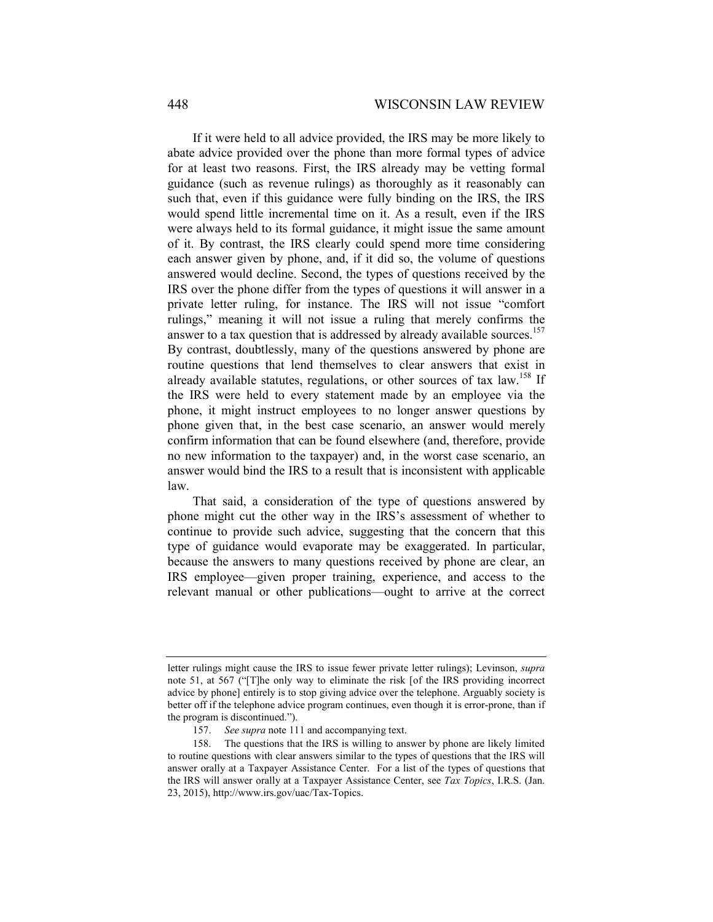If it were held to all advice provided, the IRS may be more likely to abate advice provided over the phone than more formal types of advice for at least two reasons. First, the IRS already may be vetting formal guidance (such as revenue rulings) as thoroughly as it reasonably can such that, even if this guidance were fully binding on the IRS, the IRS would spend little incremental time on it. As a result, even if the IRS were always held to its formal guidance, it might issue the same amount of it. By contrast, the IRS clearly could spend more time considering each answer given by phone, and, if it did so, the volume of questions answered would decline. Second, the types of questions received by the IRS over the phone differ from the types of questions it will answer in a private letter ruling, for instance. The IRS will not issue "comfort rulings," meaning it will not issue a ruling that merely confirms the answer to a tax question that is addressed by already available sources.<sup>157</sup> By contrast, doubtlessly, many of the questions answered by phone are routine questions that lend themselves to clear answers that exist in already available statutes, regulations, or other sources of tax  $\text{law}^{\,158}$  If the IRS were held to every statement made by an employee via the phone, it might instruct employees to no longer answer questions by phone given that, in the best case scenario, an answer would merely confirm information that can be found elsewhere (and, therefore, provide no new information to the taxpayer) and, in the worst case scenario, an answer would bind the IRS to a result that is inconsistent with applicable law.

That said, a consideration of the type of questions answered by phone might cut the other way in the IRS's assessment of whether to continue to provide such advice, suggesting that the concern that this type of guidance would evaporate may be exaggerated. In particular, because the answers to many questions received by phone are clear, an IRS employee—given proper training, experience, and access to the relevant manual or other publications—ought to arrive at the correct

letter rulings might cause the IRS to issue fewer private letter rulings); Levinson, *supra* note 51, at 567 ("[T]he only way to eliminate the risk [of the IRS providing incorrect advice by phone] entirely is to stop giving advice over the telephone. Arguably society is better off if the telephone advice program continues, even though it is error-prone, than if the program is discontinued.").

 <sup>157.</sup> *See supra* note 111 and accompanying text.

<sup>158.</sup> The questions that the IRS is willing to answer by phone are likely limited to routine questions with clear answers similar to the types of questions that the IRS will answer orally at a Taxpayer Assistance Center. For a list of the types of questions that the IRS will answer orally at a Taxpayer Assistance Center, see *Tax Topics*, I.R.S. (Jan. 23, 2015), http://www.irs.gov/uac/Tax-Topics.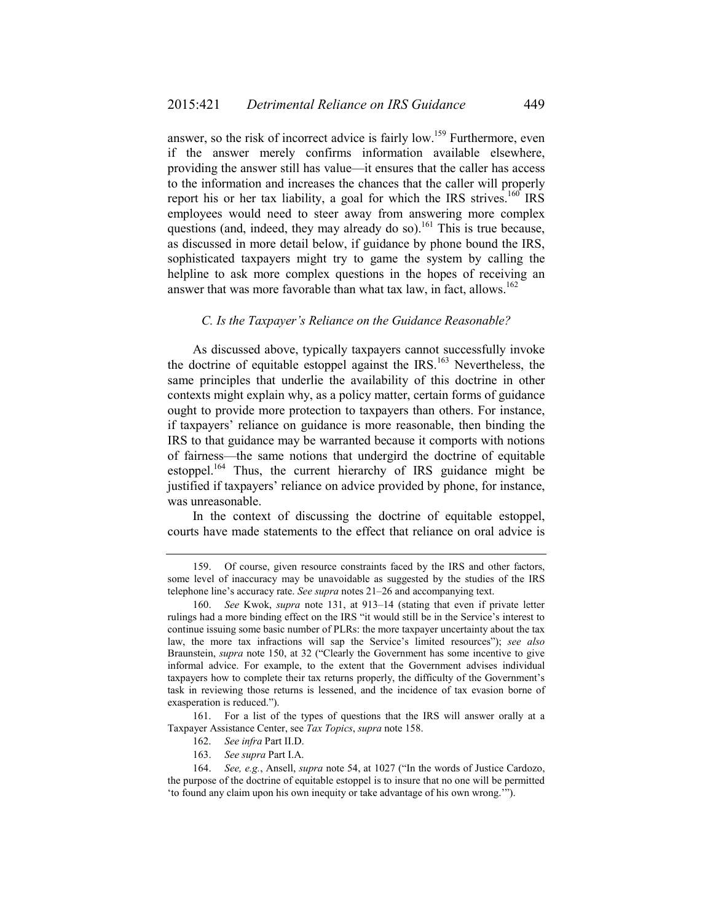answer, so the risk of incorrect advice is fairly low.<sup>159</sup> Furthermore, even if the answer merely confirms information available elsewhere, providing the answer still has value—it ensures that the caller has access to the information and increases the chances that the caller will properly report his or her tax liability, a goal for which the IRS strives.<sup>160</sup> IRS employees would need to steer away from answering more complex questions (and, indeed, they may already do so).<sup>161</sup> This is true because, as discussed in more detail below, if guidance by phone bound the IRS, sophisticated taxpayers might try to game the system by calling the helpline to ask more complex questions in the hopes of receiving an answer that was more favorable than what tax law, in fact, allows.<sup>162</sup>

#### *C. Is the Taxpayer's Reliance on the Guidance Reasonable?*

As discussed above, typically taxpayers cannot successfully invoke the doctrine of equitable estoppel against the IRS.<sup>163</sup> Nevertheless, the same principles that underlie the availability of this doctrine in other contexts might explain why, as a policy matter, certain forms of guidance ought to provide more protection to taxpayers than others. For instance, if taxpayers' reliance on guidance is more reasonable, then binding the IRS to that guidance may be warranted because it comports with notions of fairness—the same notions that undergird the doctrine of equitable estoppel.<sup>164</sup> Thus, the current hierarchy of IRS guidance might be justified if taxpayers' reliance on advice provided by phone, for instance, was unreasonable.

In the context of discussing the doctrine of equitable estoppel, courts have made statements to the effect that reliance on oral advice is

- 162. *See infra* Part II.D.
- 163. *See supra* Part I.A.

<sup>159.</sup> Of course, given resource constraints faced by the IRS and other factors, some level of inaccuracy may be unavoidable as suggested by the studies of the IRS telephone line's accuracy rate. *See supra* notes 21–26 and accompanying text.

 <sup>160.</sup> *See* Kwok, *supra* note 131, at 913–14 (stating that even if private letter rulings had a more binding effect on the IRS "it would still be in the Service's interest to continue issuing some basic number of PLRs: the more taxpayer uncertainty about the tax law, the more tax infractions will sap the Service's limited resources"); *see also* Braunstein, *supra* note 150, at 32 ("Clearly the Government has some incentive to give informal advice. For example, to the extent that the Government advises individual taxpayers how to complete their tax returns properly, the difficulty of the Government's task in reviewing those returns is lessened, and the incidence of tax evasion borne of exasperation is reduced.").

<sup>161.</sup> For a list of the types of questions that the IRS will answer orally at a Taxpayer Assistance Center, see *Tax Topics*, *supra* note 158.

 <sup>164.</sup> *See, e.g.*, Ansell, *supra* note 54, at 1027 ("In the words of Justice Cardozo, the purpose of the doctrine of equitable estoppel is to insure that no one will be permitted 'to found any claim upon his own inequity or take advantage of his own wrong.'").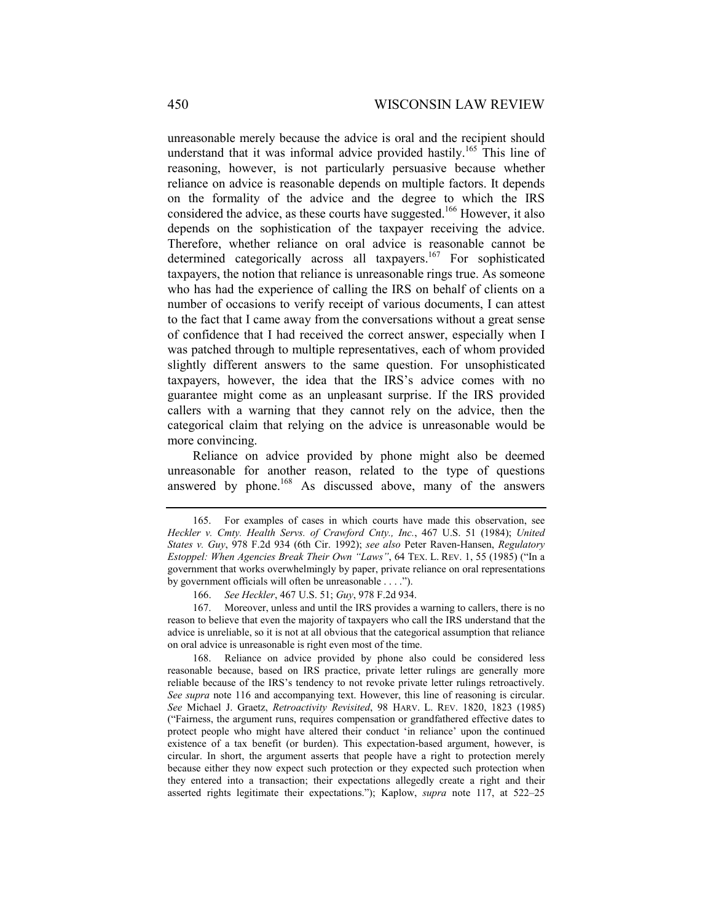unreasonable merely because the advice is oral and the recipient should understand that it was informal advice provided hastily.<sup>165</sup> This line of reasoning, however, is not particularly persuasive because whether reliance on advice is reasonable depends on multiple factors. It depends on the formality of the advice and the degree to which the IRS considered the advice, as these courts have suggested.<sup>166</sup> However, it also depends on the sophistication of the taxpayer receiving the advice. Therefore, whether reliance on oral advice is reasonable cannot be determined categorically across all taxpayers.<sup>167</sup> For sophisticated taxpayers, the notion that reliance is unreasonable rings true. As someone who has had the experience of calling the IRS on behalf of clients on a number of occasions to verify receipt of various documents, I can attest to the fact that I came away from the conversations without a great sense of confidence that I had received the correct answer, especially when I was patched through to multiple representatives, each of whom provided slightly different answers to the same question. For unsophisticated taxpayers, however, the idea that the IRS's advice comes with no guarantee might come as an unpleasant surprise. If the IRS provided callers with a warning that they cannot rely on the advice, then the categorical claim that relying on the advice is unreasonable would be more convincing.

Reliance on advice provided by phone might also be deemed unreasonable for another reason, related to the type of questions answered by phone.<sup>168</sup> As discussed above, many of the answers

<sup>165.</sup> For examples of cases in which courts have made this observation, see *Heckler v. Cmty. Health Servs. of Crawford Cnty., Inc.*, 467 U.S. 51 (1984); *United States v. Guy*, 978 F.2d 934 (6th Cir. 1992); *see also* Peter Raven-Hansen, *Regulatory Estoppel: When Agencies Break Their Own "Laws"*, 64 TEX. L. REV. 1, 55 (1985) ("In a government that works overwhelmingly by paper, private reliance on oral representations by government officials will often be unreasonable . . . .").

 <sup>166.</sup> *See Heckler*, 467 U.S. 51; *Guy*, 978 F.2d 934.

<sup>167.</sup> Moreover, unless and until the IRS provides a warning to callers, there is no reason to believe that even the majority of taxpayers who call the IRS understand that the advice is unreliable, so it is not at all obvious that the categorical assumption that reliance on oral advice is unreasonable is right even most of the time.

<sup>168.</sup> Reliance on advice provided by phone also could be considered less reasonable because, based on IRS practice, private letter rulings are generally more reliable because of the IRS's tendency to not revoke private letter rulings retroactively. *See supra* note 116 and accompanying text. However, this line of reasoning is circular. *See* Michael J. Graetz, *Retroactivity Revisited*, 98 HARV. L. REV. 1820, 1823 (1985) ("Fairness, the argument runs, requires compensation or grandfathered effective dates to protect people who might have altered their conduct 'in reliance' upon the continued existence of a tax benefit (or burden). This expectation-based argument, however, is circular. In short, the argument asserts that people have a right to protection merely because either they now expect such protection or they expected such protection when they entered into a transaction; their expectations allegedly create a right and their asserted rights legitimate their expectations."); Kaplow, *supra* note 117, at 522–25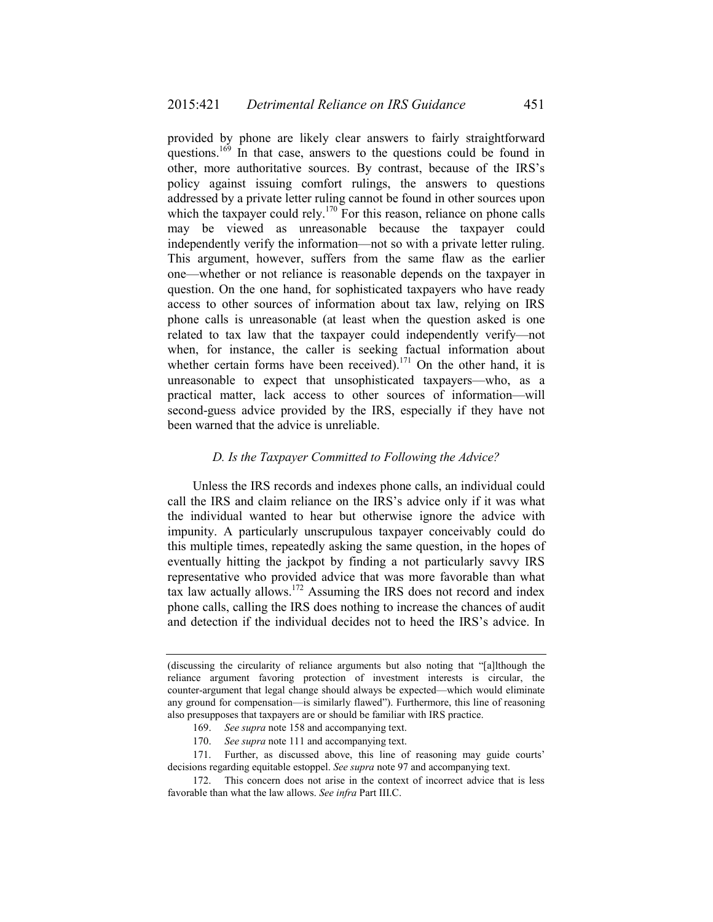provided by phone are likely clear answers to fairly straightforward questions.<sup>169</sup> In that case, answers to the questions could be found in other, more authoritative sources. By contrast, because of the IRS's policy against issuing comfort rulings, the answers to questions addressed by a private letter ruling cannot be found in other sources upon which the taxpayer could rely.<sup>170</sup> For this reason, reliance on phone calls may be viewed as unreasonable because the taxpayer could independently verify the information—not so with a private letter ruling. This argument, however, suffers from the same flaw as the earlier one—whether or not reliance is reasonable depends on the taxpayer in question. On the one hand, for sophisticated taxpayers who have ready access to other sources of information about tax law, relying on IRS phone calls is unreasonable (at least when the question asked is one related to tax law that the taxpayer could independently verify—not when, for instance, the caller is seeking factual information about whether certain forms have been received).<sup>171</sup> On the other hand, it is unreasonable to expect that unsophisticated taxpayers—who, as a practical matter, lack access to other sources of information—will second-guess advice provided by the IRS, especially if they have not been warned that the advice is unreliable.

## *D. Is the Taxpayer Committed to Following the Advice?*

Unless the IRS records and indexes phone calls, an individual could call the IRS and claim reliance on the IRS's advice only if it was what the individual wanted to hear but otherwise ignore the advice with impunity. A particularly unscrupulous taxpayer conceivably could do this multiple times, repeatedly asking the same question, in the hopes of eventually hitting the jackpot by finding a not particularly savvy IRS representative who provided advice that was more favorable than what tax law actually allows.<sup>172</sup> Assuming the IRS does not record and index phone calls, calling the IRS does nothing to increase the chances of audit and detection if the individual decides not to heed the IRS's advice. In

<sup>(</sup>discussing the circularity of reliance arguments but also noting that "[a]lthough the reliance argument favoring protection of investment interests is circular, the counter-argument that legal change should always be expected—which would eliminate any ground for compensation—is similarly flawed"). Furthermore, this line of reasoning also presupposes that taxpayers are or should be familiar with IRS practice.

 <sup>169.</sup> *See supra* note 158 and accompanying text.

 <sup>170.</sup> *See supra* note 111 and accompanying text.

<sup>171.</sup> Further, as discussed above, this line of reasoning may guide courts' decisions regarding equitable estoppel. *See supra* note 97 and accompanying text.

<sup>172.</sup> This concern does not arise in the context of incorrect advice that is less favorable than what the law allows. *See infra* Part III.C.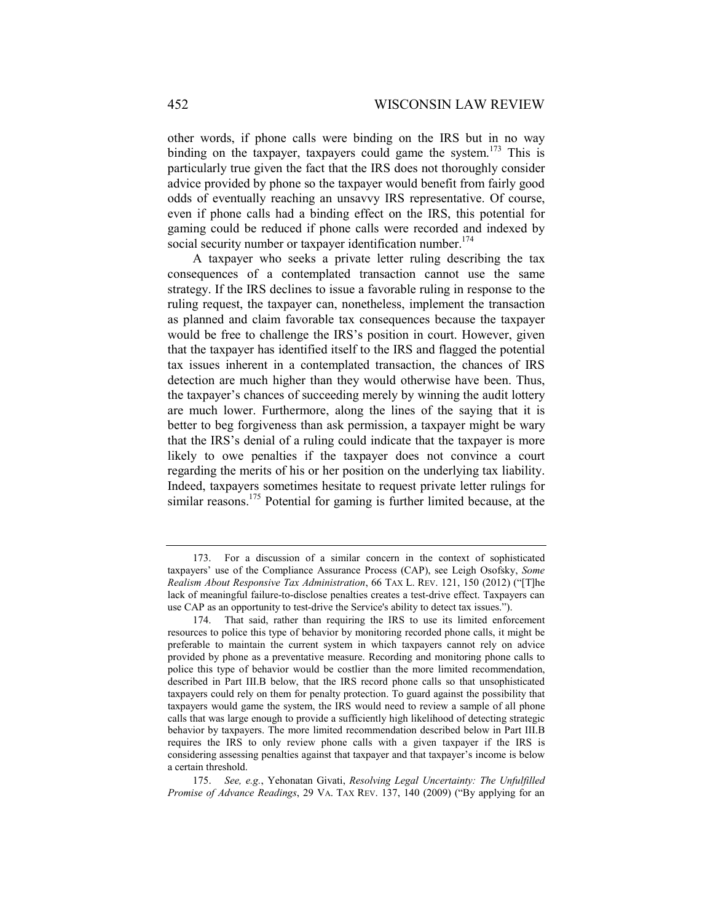other words, if phone calls were binding on the IRS but in no way binding on the taxpayer, taxpayers could game the system.<sup>173</sup> This is particularly true given the fact that the IRS does not thoroughly consider advice provided by phone so the taxpayer would benefit from fairly good odds of eventually reaching an unsavvy IRS representative. Of course, even if phone calls had a binding effect on the IRS, this potential for gaming could be reduced if phone calls were recorded and indexed by social security number or taxpayer identification number.<sup>174</sup>

A taxpayer who seeks a private letter ruling describing the tax consequences of a contemplated transaction cannot use the same strategy. If the IRS declines to issue a favorable ruling in response to the ruling request, the taxpayer can, nonetheless, implement the transaction as planned and claim favorable tax consequences because the taxpayer would be free to challenge the IRS's position in court. However, given that the taxpayer has identified itself to the IRS and flagged the potential tax issues inherent in a contemplated transaction, the chances of IRS detection are much higher than they would otherwise have been. Thus, the taxpayer's chances of succeeding merely by winning the audit lottery are much lower. Furthermore, along the lines of the saying that it is better to beg forgiveness than ask permission, a taxpayer might be wary that the IRS's denial of a ruling could indicate that the taxpayer is more likely to owe penalties if the taxpayer does not convince a court regarding the merits of his or her position on the underlying tax liability. Indeed, taxpayers sometimes hesitate to request private letter rulings for similar reasons.<sup>175</sup> Potential for gaming is further limited because, at the

<sup>173.</sup> For a discussion of a similar concern in the context of sophisticated taxpayers' use of the Compliance Assurance Process (CAP), see Leigh Osofsky, *Some Realism About Responsive Tax Administration*, 66 TAX L. REV. 121, 150 (2012) ("[T]he lack of meaningful failure-to-disclose penalties creates a test-drive effect. Taxpayers can use CAP as an opportunity to test-drive the Service's ability to detect tax issues.").

<sup>174.</sup> That said, rather than requiring the IRS to use its limited enforcement resources to police this type of behavior by monitoring recorded phone calls, it might be preferable to maintain the current system in which taxpayers cannot rely on advice provided by phone as a preventative measure. Recording and monitoring phone calls to police this type of behavior would be costlier than the more limited recommendation, described in Part III.B below, that the IRS record phone calls so that unsophisticated taxpayers could rely on them for penalty protection. To guard against the possibility that taxpayers would game the system, the IRS would need to review a sample of all phone calls that was large enough to provide a sufficiently high likelihood of detecting strategic behavior by taxpayers. The more limited recommendation described below in Part III.B requires the IRS to only review phone calls with a given taxpayer if the IRS is considering assessing penalties against that taxpayer and that taxpayer's income is below a certain threshold.

 <sup>175.</sup> *See, e.g.*, Yehonatan Givati, *Resolving Legal Uncertainty: The Unfulfilled Promise of Advance Readings*, 29 VA. TAX REV. 137, 140 (2009) ("By applying for an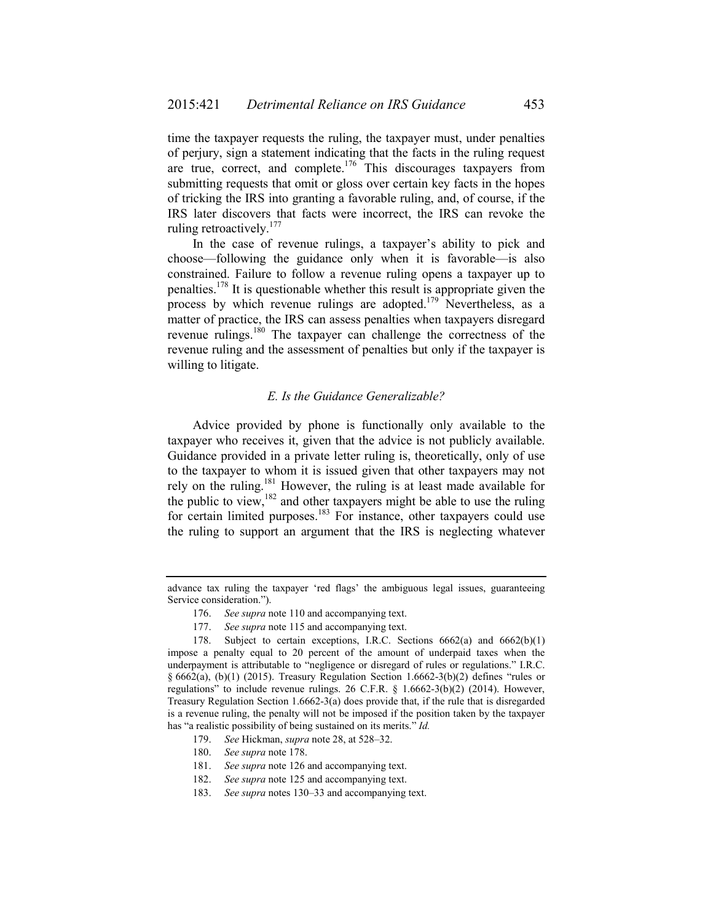time the taxpayer requests the ruling, the taxpayer must, under penalties of perjury, sign a statement indicating that the facts in the ruling request are true, correct, and complete.<sup>176</sup> This discourages taxpayers from submitting requests that omit or gloss over certain key facts in the hopes of tricking the IRS into granting a favorable ruling, and, of course, if the IRS later discovers that facts were incorrect, the IRS can revoke the ruling retroactively.<sup>177</sup>

In the case of revenue rulings, a taxpayer's ability to pick and choose—following the guidance only when it is favorable—is also constrained. Failure to follow a revenue ruling opens a taxpayer up to penalties.178 It is questionable whether this result is appropriate given the process by which revenue rulings are adopted.<sup>179</sup> Nevertheless, as a matter of practice, the IRS can assess penalties when taxpayers disregard revenue rulings.180 The taxpayer can challenge the correctness of the revenue ruling and the assessment of penalties but only if the taxpayer is willing to litigate.

# *E. Is the Guidance Generalizable?*

Advice provided by phone is functionally only available to the taxpayer who receives it, given that the advice is not publicly available. Guidance provided in a private letter ruling is, theoretically, only of use to the taxpayer to whom it is issued given that other taxpayers may not rely on the ruling.<sup>181</sup> However, the ruling is at least made available for the public to view,  $182$  and other taxpayers might be able to use the ruling for certain limited purposes.<sup>183</sup> For instance, other taxpayers could use the ruling to support an argument that the IRS is neglecting whatever

advance tax ruling the taxpayer 'red flags' the ambiguous legal issues, guaranteeing Service consideration.").

 <sup>176.</sup> *See supra* note 110 and accompanying text.

 <sup>177.</sup> *See supra* note 115 and accompanying text.

<sup>178.</sup> Subject to certain exceptions, I.R.C. Sections 6662(a) and 6662(b)(1) impose a penalty equal to 20 percent of the amount of underpaid taxes when the underpayment is attributable to "negligence or disregard of rules or regulations." I.R.C.  $§ 6662(a), (b)(1) (2015)$ . Treasury Regulation Section 1.6662-3(b)(2) defines "rules or regulations" to include revenue rulings. 26 C.F.R. § 1.6662-3(b)(2) (2014). However, Treasury Regulation Section 1.6662-3(a) does provide that, if the rule that is disregarded is a revenue ruling, the penalty will not be imposed if the position taken by the taxpayer has "a realistic possibility of being sustained on its merits." *Id.* 

 <sup>179.</sup> *See* Hickman, *supra* note 28, at 528–32.

 <sup>180.</sup> *See supra* note 178.

 <sup>181.</sup> *See supra* note 126 and accompanying text.

 <sup>182.</sup> *See supra* note 125 and accompanying text.

 <sup>183.</sup> *See supra* notes 130–33 and accompanying text.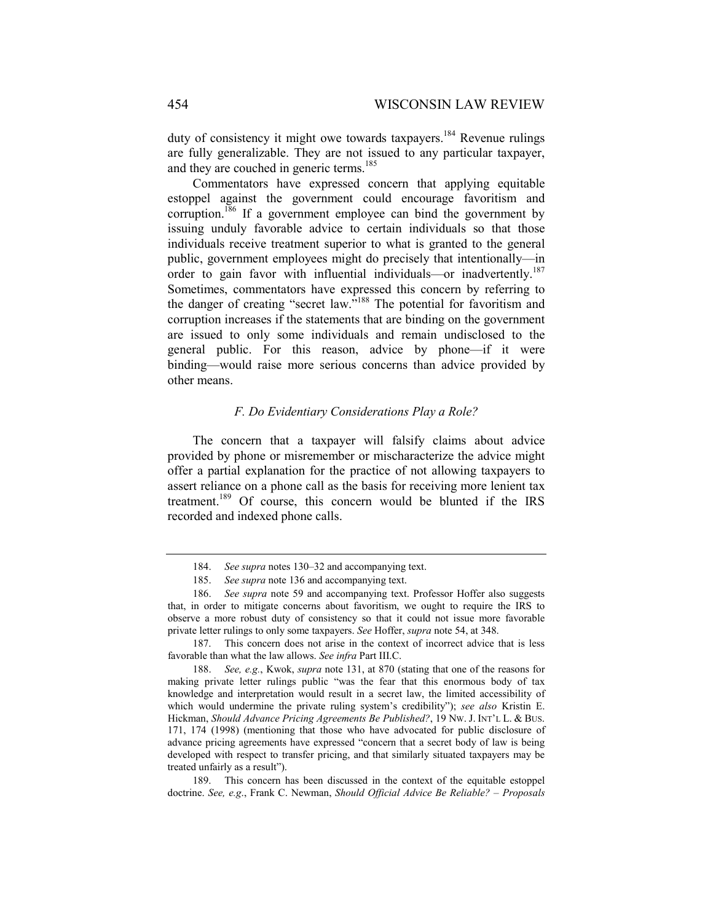duty of consistency it might owe towards taxpayers.<sup>184</sup> Revenue rulings are fully generalizable. They are not issued to any particular taxpayer, and they are couched in generic terms.<sup>185</sup>

Commentators have expressed concern that applying equitable estoppel against the government could encourage favoritism and corruption.<sup>186</sup> If a government employee can bind the government by issuing unduly favorable advice to certain individuals so that those individuals receive treatment superior to what is granted to the general public, government employees might do precisely that intentionally—in order to gain favor with influential individuals—or inadvertently.<sup>187</sup> Sometimes, commentators have expressed this concern by referring to the danger of creating "secret law."188 The potential for favoritism and corruption increases if the statements that are binding on the government are issued to only some individuals and remain undisclosed to the general public. For this reason, advice by phone—if it were binding—would raise more serious concerns than advice provided by other means.

## *F. Do Evidentiary Considerations Play a Role?*

The concern that a taxpayer will falsify claims about advice provided by phone or misremember or mischaracterize the advice might offer a partial explanation for the practice of not allowing taxpayers to assert reliance on a phone call as the basis for receiving more lenient tax treatment.<sup>189</sup> Of course, this concern would be blunted if the IRS recorded and indexed phone calls.

 <sup>184.</sup> *See supra* notes 130–32 and accompanying text.

 <sup>185.</sup> *See supra* note 136 and accompanying text.

 <sup>186.</sup> *See supra* note 59 and accompanying text. Professor Hoffer also suggests that, in order to mitigate concerns about favoritism, we ought to require the IRS to observe a more robust duty of consistency so that it could not issue more favorable private letter rulings to only some taxpayers. *See* Hoffer, *supra* note 54, at 348.

<sup>187.</sup> This concern does not arise in the context of incorrect advice that is less favorable than what the law allows. *See infra* Part III.C.

See, e.g., Kwok, *supra* note 131, at 870 (stating that one of the reasons for making private letter rulings public "was the fear that this enormous body of tax knowledge and interpretation would result in a secret law, the limited accessibility of which would undermine the private ruling system's credibility"); *see also* Kristin E. Hickman, *Should Advance Pricing Agreements Be Published?*, 19 NW. J. INT'L L. & BUS. 171, 174 (1998) (mentioning that those who have advocated for public disclosure of advance pricing agreements have expressed "concern that a secret body of law is being developed with respect to transfer pricing, and that similarly situated taxpayers may be treated unfairly as a result").

<sup>189.</sup> This concern has been discussed in the context of the equitable estoppel doctrine. *See, e.g*., Frank C. Newman, *Should Official Advice Be Reliable? – Proposals*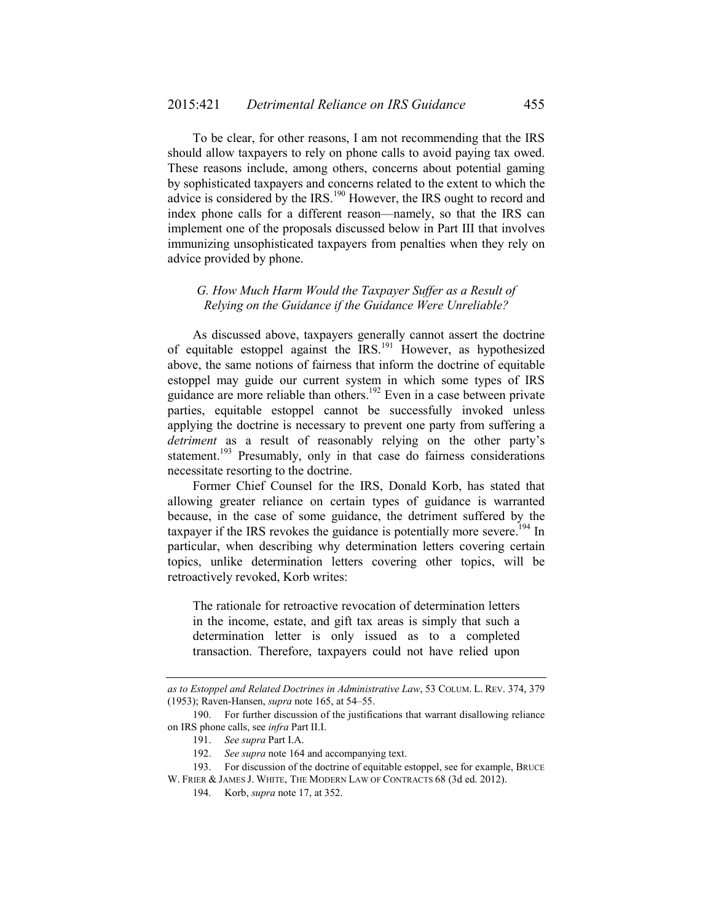To be clear, for other reasons, I am not recommending that the IRS should allow taxpayers to rely on phone calls to avoid paying tax owed. These reasons include, among others, concerns about potential gaming by sophisticated taxpayers and concerns related to the extent to which the advice is considered by the IRS.190 However, the IRS ought to record and index phone calls for a different reason—namely, so that the IRS can implement one of the proposals discussed below in Part III that involves immunizing unsophisticated taxpayers from penalties when they rely on advice provided by phone.

# *G. How Much Harm Would the Taxpayer Suffer as a Result of Relying on the Guidance if the Guidance Were Unreliable?*

As discussed above, taxpayers generally cannot assert the doctrine of equitable estoppel against the  $IRS$ <sup>191</sup> However, as hypothesized above, the same notions of fairness that inform the doctrine of equitable estoppel may guide our current system in which some types of IRS guidance are more reliable than others.<sup>192</sup> Even in a case between private parties, equitable estoppel cannot be successfully invoked unless applying the doctrine is necessary to prevent one party from suffering a *detriment* as a result of reasonably relying on the other party's statement.<sup>193</sup> Presumably, only in that case do fairness considerations necessitate resorting to the doctrine.

Former Chief Counsel for the IRS, Donald Korb, has stated that allowing greater reliance on certain types of guidance is warranted because, in the case of some guidance, the detriment suffered by the taxpayer if the IRS revokes the guidance is potentially more severe.<sup>194</sup> In particular, when describing why determination letters covering certain topics, unlike determination letters covering other topics, will be retroactively revoked, Korb writes:

The rationale for retroactive revocation of determination letters in the income, estate, and gift tax areas is simply that such a determination letter is only issued as to a completed transaction. Therefore, taxpayers could not have relied upon

*as to Estoppel and Related Doctrines in Administrative Law*, 53 COLUM. L. REV. 374, 379 (1953); Raven-Hansen, *supra* note 165, at 54–55.

<sup>190.</sup> For further discussion of the justifications that warrant disallowing reliance on IRS phone calls, see *infra* Part II.I.

 <sup>191.</sup> *See supra* Part I.A.

 <sup>192.</sup> *See supra* note 164 and accompanying text.

<sup>193.</sup> For discussion of the doctrine of equitable estoppel, see for example, BRUCE W. FRIER & JAMES J. WHITE, THE MODERN LAW OF CONTRACTS 68 (3d ed. 2012).

 <sup>194.</sup> Korb, *supra* note 17, at 352.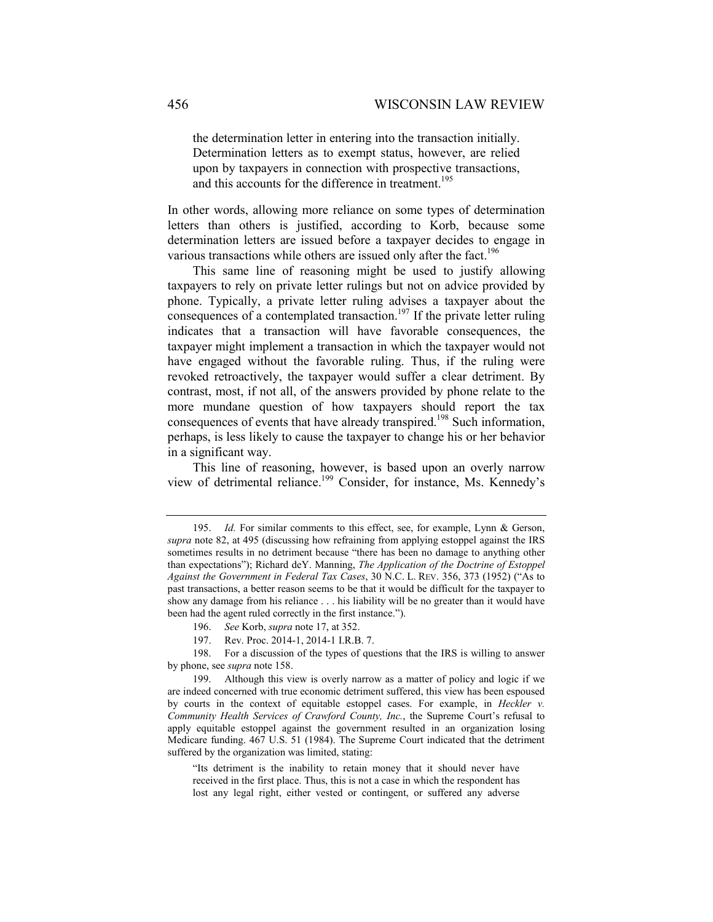the determination letter in entering into the transaction initially. Determination letters as to exempt status, however, are relied upon by taxpayers in connection with prospective transactions, and this accounts for the difference in treatment.<sup>195</sup>

In other words, allowing more reliance on some types of determination letters than others is justified, according to Korb, because some determination letters are issued before a taxpayer decides to engage in various transactions while others are issued only after the fact.<sup>196</sup>

This same line of reasoning might be used to justify allowing taxpayers to rely on private letter rulings but not on advice provided by phone. Typically, a private letter ruling advises a taxpayer about the consequences of a contemplated transaction.<sup>197</sup> If the private letter ruling indicates that a transaction will have favorable consequences, the taxpayer might implement a transaction in which the taxpayer would not have engaged without the favorable ruling. Thus, if the ruling were revoked retroactively, the taxpayer would suffer a clear detriment. By contrast, most, if not all, of the answers provided by phone relate to the more mundane question of how taxpayers should report the tax consequences of events that have already transpired.<sup>198</sup> Such information, perhaps, is less likely to cause the taxpayer to change his or her behavior in a significant way.

This line of reasoning, however, is based upon an overly narrow view of detrimental reliance.199 Consider, for instance, Ms. Kennedy's

 <sup>195.</sup> *Id.* For similar comments to this effect, see, for example, Lynn & Gerson, *supra* note 82, at 495 (discussing how refraining from applying estoppel against the IRS sometimes results in no detriment because "there has been no damage to anything other than expectations"); Richard deY. Manning, *The Application of the Doctrine of Estoppel Against the Government in Federal Tax Cases*, 30 N.C. L. REV. 356, 373 (1952) ("As to past transactions, a better reason seems to be that it would be difficult for the taxpayer to show any damage from his reliance . . . his liability will be no greater than it would have been had the agent ruled correctly in the first instance.").

 <sup>196.</sup> *See* Korb, *supra* note 17, at 352.

<sup>197.</sup> Rev. Proc. 2014-1, 2014-1 I.R.B. 7.

<sup>198.</sup> For a discussion of the types of questions that the IRS is willing to answer by phone, see *supra* note 158.

<sup>199.</sup> Although this view is overly narrow as a matter of policy and logic if we are indeed concerned with true economic detriment suffered, this view has been espoused by courts in the context of equitable estoppel cases. For example, in *Heckler v. Community Health Services of Crawford County, Inc.*, the Supreme Court's refusal to apply equitable estoppel against the government resulted in an organization losing Medicare funding. 467 U.S. 51 (1984). The Supreme Court indicated that the detriment suffered by the organization was limited, stating:

<sup>&</sup>quot;Its detriment is the inability to retain money that it should never have received in the first place. Thus, this is not a case in which the respondent has lost any legal right, either vested or contingent, or suffered any adverse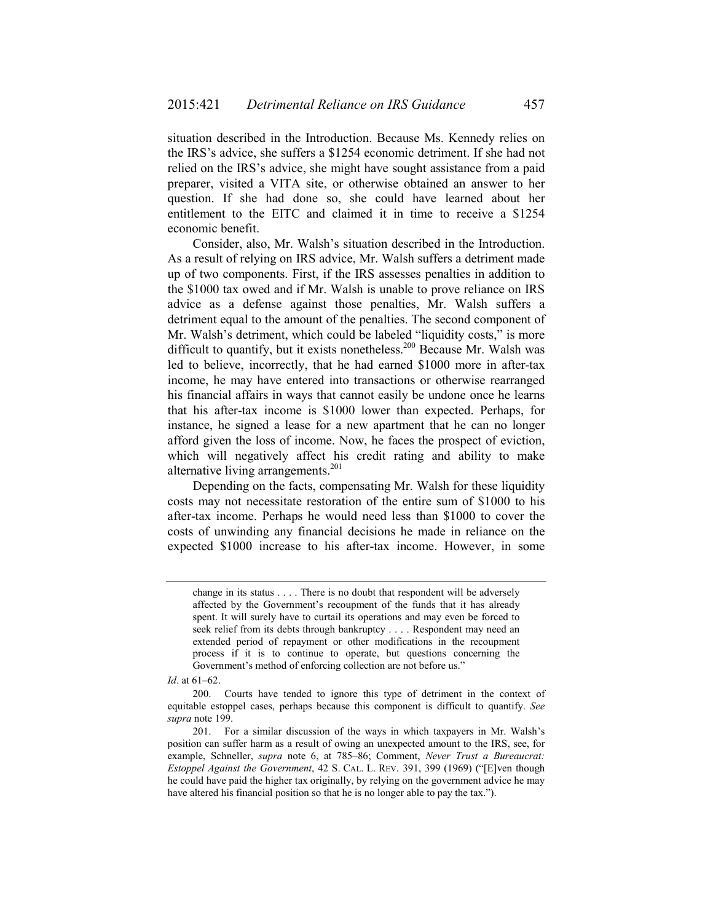situation described in the Introduction. Because Ms. Kennedy relies on the IRS's advice, she suffers a \$1254 economic detriment. If she had not relied on the IRS's advice, she might have sought assistance from a paid preparer, visited a VITA site, or otherwise obtained an answer to her question. If she had done so, she could have learned about her entitlement to the EITC and claimed it in time to receive a \$1254 economic benefit.

Consider, also, Mr. Walsh's situation described in the Introduction. As a result of relying on IRS advice, Mr. Walsh suffers a detriment made up of two components. First, if the IRS assesses penalties in addition to the \$1000 tax owed and if Mr. Walsh is unable to prove reliance on IRS advice as a defense against those penalties, Mr. Walsh suffers a detriment equal to the amount of the penalties. The second component of Mr. Walsh's detriment, which could be labeled "liquidity costs," is more difficult to quantify, but it exists nonetheless.<sup>200</sup> Because Mr. Walsh was led to believe, incorrectly, that he had earned \$1000 more in after-tax income, he may have entered into transactions or otherwise rearranged his financial affairs in ways that cannot easily be undone once he learns that his after-tax income is \$1000 lower than expected. Perhaps, for instance, he signed a lease for a new apartment that he can no longer afford given the loss of income. Now, he faces the prospect of eviction, which will negatively affect his credit rating and ability to make alternative living arrangements.<sup>201</sup>

Depending on the facts, compensating Mr. Walsh for these liquidity costs may not necessitate restoration of the entire sum of \$1000 to his after-tax income. Perhaps he would need less than \$1000 to cover the costs of unwinding any financial decisions he made in reliance on the expected \$1000 increase to his after-tax income. However, in some

*Id*. at 61–62.

change in its status . . . . There is no doubt that respondent will be adversely affected by the Government's recoupment of the funds that it has already spent. It will surely have to curtail its operations and may even be forced to seek relief from its debts through bankruptcy . . . . Respondent may need an extended period of repayment or other modifications in the recoupment process if it is to continue to operate, but questions concerning the Government's method of enforcing collection are not before us."

<sup>200.</sup> Courts have tended to ignore this type of detriment in the context of equitable estoppel cases, perhaps because this component is difficult to quantify. *See supra* note 199.

<sup>201.</sup> For a similar discussion of the ways in which taxpayers in Mr. Walsh's position can suffer harm as a result of owing an unexpected amount to the IRS, see, for example, Schneller, *supra* note 6, at 785–86; Comment, *Never Trust a Bureaucrat: Estoppel Against the Government*, 42 S. CAL. L. REV. 391, 399 (1969) ("[E]ven though he could have paid the higher tax originally, by relying on the government advice he may have altered his financial position so that he is no longer able to pay the tax.").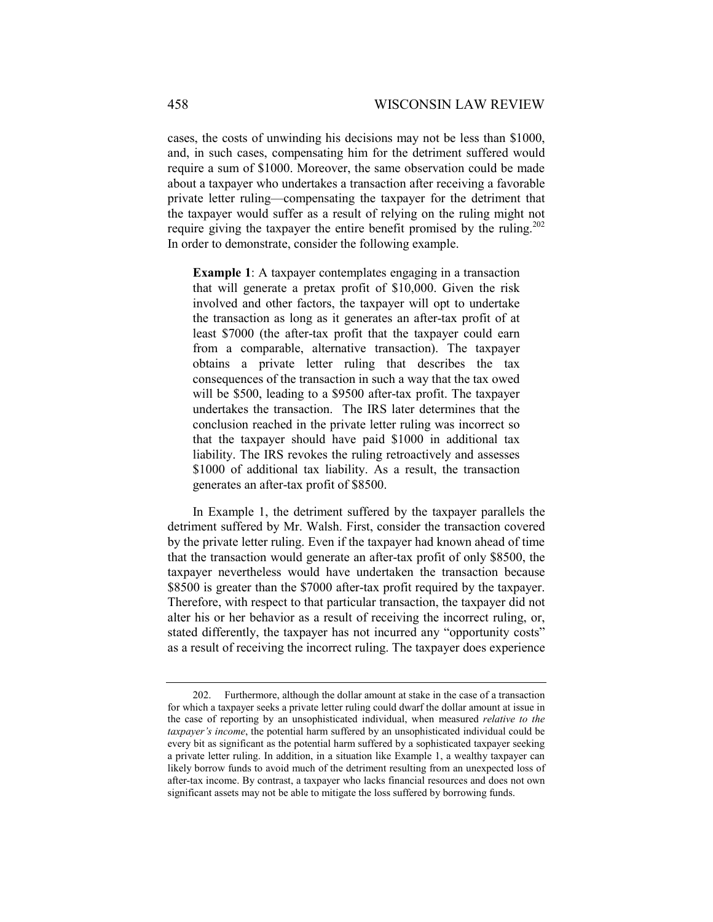cases, the costs of unwinding his decisions may not be less than \$1000, and, in such cases, compensating him for the detriment suffered would require a sum of \$1000. Moreover, the same observation could be made about a taxpayer who undertakes a transaction after receiving a favorable private letter ruling—compensating the taxpayer for the detriment that the taxpayer would suffer as a result of relying on the ruling might not require giving the taxpayer the entire benefit promised by the ruling.<sup>202</sup> In order to demonstrate, consider the following example.

**Example 1**: A taxpayer contemplates engaging in a transaction that will generate a pretax profit of \$10,000. Given the risk involved and other factors, the taxpayer will opt to undertake the transaction as long as it generates an after-tax profit of at least \$7000 (the after-tax profit that the taxpayer could earn from a comparable, alternative transaction). The taxpayer obtains a private letter ruling that describes the tax consequences of the transaction in such a way that the tax owed will be \$500, leading to a \$9500 after-tax profit. The taxpayer undertakes the transaction. The IRS later determines that the conclusion reached in the private letter ruling was incorrect so that the taxpayer should have paid \$1000 in additional tax liability. The IRS revokes the ruling retroactively and assesses \$1000 of additional tax liability. As a result, the transaction generates an after-tax profit of \$8500.

In Example 1, the detriment suffered by the taxpayer parallels the detriment suffered by Mr. Walsh. First, consider the transaction covered by the private letter ruling. Even if the taxpayer had known ahead of time that the transaction would generate an after-tax profit of only \$8500, the taxpayer nevertheless would have undertaken the transaction because \$8500 is greater than the \$7000 after-tax profit required by the taxpayer. Therefore, with respect to that particular transaction, the taxpayer did not alter his or her behavior as a result of receiving the incorrect ruling, or, stated differently, the taxpayer has not incurred any "opportunity costs" as a result of receiving the incorrect ruling. The taxpayer does experience

<sup>202.</sup> Furthermore, although the dollar amount at stake in the case of a transaction for which a taxpayer seeks a private letter ruling could dwarf the dollar amount at issue in the case of reporting by an unsophisticated individual, when measured *relative to the taxpayer's income*, the potential harm suffered by an unsophisticated individual could be every bit as significant as the potential harm suffered by a sophisticated taxpayer seeking a private letter ruling. In addition, in a situation like Example 1, a wealthy taxpayer can likely borrow funds to avoid much of the detriment resulting from an unexpected loss of after-tax income. By contrast, a taxpayer who lacks financial resources and does not own significant assets may not be able to mitigate the loss suffered by borrowing funds.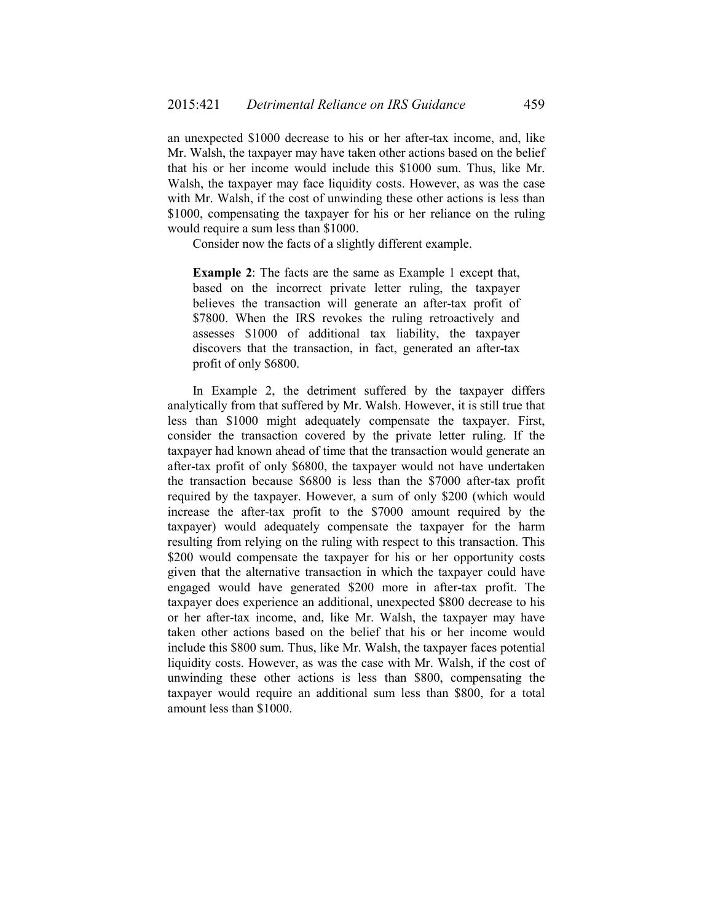an unexpected \$1000 decrease to his or her after-tax income, and, like Mr. Walsh, the taxpayer may have taken other actions based on the belief that his or her income would include this \$1000 sum. Thus, like Mr. Walsh, the taxpayer may face liquidity costs. However, as was the case with Mr. Walsh, if the cost of unwinding these other actions is less than \$1000, compensating the taxpayer for his or her reliance on the ruling would require a sum less than \$1000.

Consider now the facts of a slightly different example.

**Example 2**: The facts are the same as Example 1 except that, based on the incorrect private letter ruling, the taxpayer believes the transaction will generate an after-tax profit of \$7800. When the IRS revokes the ruling retroactively and assesses \$1000 of additional tax liability, the taxpayer discovers that the transaction, in fact, generated an after-tax profit of only \$6800.

In Example 2, the detriment suffered by the taxpayer differs analytically from that suffered by Mr. Walsh. However, it is still true that less than \$1000 might adequately compensate the taxpayer. First, consider the transaction covered by the private letter ruling. If the taxpayer had known ahead of time that the transaction would generate an after-tax profit of only \$6800, the taxpayer would not have undertaken the transaction because \$6800 is less than the \$7000 after-tax profit required by the taxpayer. However, a sum of only \$200 (which would increase the after-tax profit to the \$7000 amount required by the taxpayer) would adequately compensate the taxpayer for the harm resulting from relying on the ruling with respect to this transaction. This \$200 would compensate the taxpayer for his or her opportunity costs given that the alternative transaction in which the taxpayer could have engaged would have generated \$200 more in after-tax profit. The taxpayer does experience an additional, unexpected \$800 decrease to his or her after-tax income, and, like Mr. Walsh, the taxpayer may have taken other actions based on the belief that his or her income would include this \$800 sum. Thus, like Mr. Walsh, the taxpayer faces potential liquidity costs. However, as was the case with Mr. Walsh, if the cost of unwinding these other actions is less than \$800, compensating the taxpayer would require an additional sum less than \$800, for a total amount less than \$1000.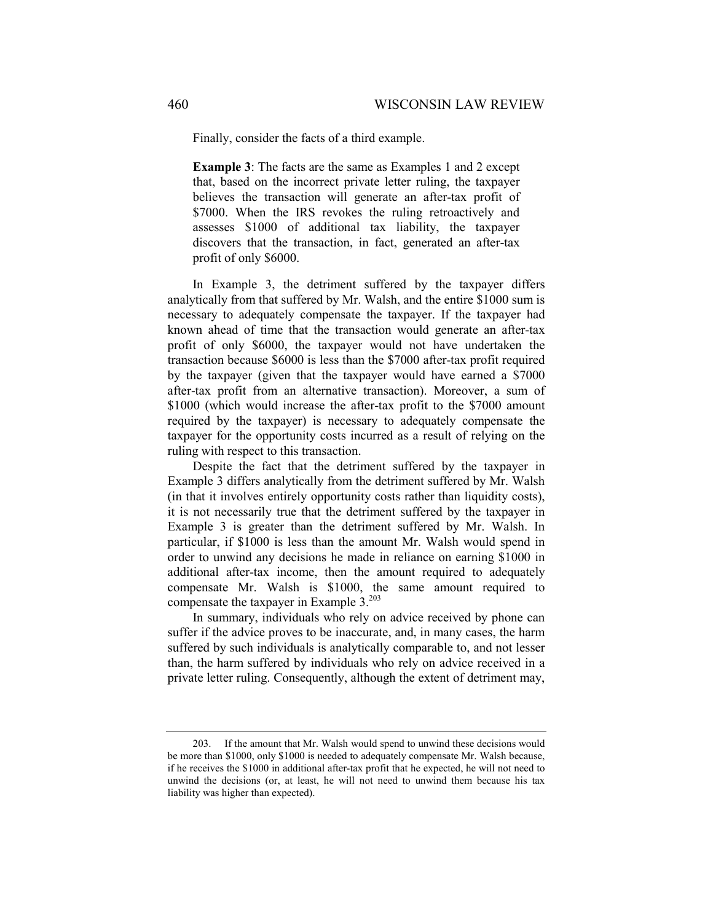Finally, consider the facts of a third example.

**Example 3**: The facts are the same as Examples 1 and 2 except that, based on the incorrect private letter ruling, the taxpayer believes the transaction will generate an after-tax profit of \$7000. When the IRS revokes the ruling retroactively and assesses \$1000 of additional tax liability, the taxpayer discovers that the transaction, in fact, generated an after-tax profit of only \$6000.

In Example 3, the detriment suffered by the taxpayer differs analytically from that suffered by Mr. Walsh, and the entire \$1000 sum is necessary to adequately compensate the taxpayer. If the taxpayer had known ahead of time that the transaction would generate an after-tax profit of only \$6000, the taxpayer would not have undertaken the transaction because \$6000 is less than the \$7000 after-tax profit required by the taxpayer (given that the taxpayer would have earned a \$7000 after-tax profit from an alternative transaction). Moreover, a sum of \$1000 (which would increase the after-tax profit to the \$7000 amount required by the taxpayer) is necessary to adequately compensate the taxpayer for the opportunity costs incurred as a result of relying on the ruling with respect to this transaction.

Despite the fact that the detriment suffered by the taxpayer in Example 3 differs analytically from the detriment suffered by Mr. Walsh (in that it involves entirely opportunity costs rather than liquidity costs), it is not necessarily true that the detriment suffered by the taxpayer in Example 3 is greater than the detriment suffered by Mr. Walsh. In particular, if \$1000 is less than the amount Mr. Walsh would spend in order to unwind any decisions he made in reliance on earning \$1000 in additional after-tax income, then the amount required to adequately compensate Mr. Walsh is \$1000, the same amount required to compensate the taxpayer in Example  $3.^{203}$ 

In summary, individuals who rely on advice received by phone can suffer if the advice proves to be inaccurate, and, in many cases, the harm suffered by such individuals is analytically comparable to, and not lesser than, the harm suffered by individuals who rely on advice received in a private letter ruling. Consequently, although the extent of detriment may,

<sup>203.</sup> If the amount that Mr. Walsh would spend to unwind these decisions would be more than \$1000, only \$1000 is needed to adequately compensate Mr. Walsh because, if he receives the \$1000 in additional after-tax profit that he expected, he will not need to unwind the decisions (or, at least, he will not need to unwind them because his tax liability was higher than expected).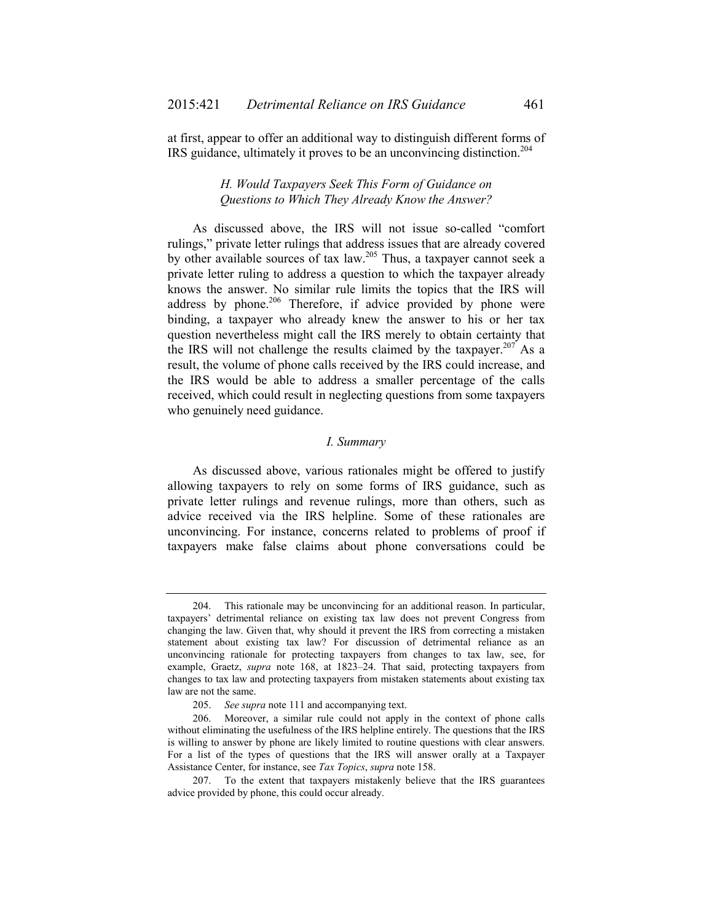at first, appear to offer an additional way to distinguish different forms of IRS guidance, ultimately it proves to be an unconvincing distinction.204

# *H. Would Taxpayers Seek This Form of Guidance on Questions to Which They Already Know the Answer?*

As discussed above, the IRS will not issue so-called "comfort rulings," private letter rulings that address issues that are already covered by other available sources of tax law.205 Thus, a taxpayer cannot seek a private letter ruling to address a question to which the taxpayer already knows the answer. No similar rule limits the topics that the IRS will address by phone.<sup>206</sup> Therefore, if advice provided by phone were binding, a taxpayer who already knew the answer to his or her tax question nevertheless might call the IRS merely to obtain certainty that the IRS will not challenge the results claimed by the taxpayer.<sup>207</sup> As a result, the volume of phone calls received by the IRS could increase, and the IRS would be able to address a smaller percentage of the calls received, which could result in neglecting questions from some taxpayers who genuinely need guidance.

# *I. Summary*

As discussed above, various rationales might be offered to justify allowing taxpayers to rely on some forms of IRS guidance, such as private letter rulings and revenue rulings, more than others, such as advice received via the IRS helpline. Some of these rationales are unconvincing. For instance, concerns related to problems of proof if taxpayers make false claims about phone conversations could be

<sup>204.</sup> This rationale may be unconvincing for an additional reason. In particular, taxpayers' detrimental reliance on existing tax law does not prevent Congress from changing the law. Given that, why should it prevent the IRS from correcting a mistaken statement about existing tax law? For discussion of detrimental reliance as an unconvincing rationale for protecting taxpayers from changes to tax law, see, for example, Graetz, *supra* note 168, at 1823–24. That said, protecting taxpayers from changes to tax law and protecting taxpayers from mistaken statements about existing tax law are not the same.

 <sup>205.</sup> *See supra* note 111 and accompanying text.

<sup>206.</sup> Moreover, a similar rule could not apply in the context of phone calls without eliminating the usefulness of the IRS helpline entirely. The questions that the IRS is willing to answer by phone are likely limited to routine questions with clear answers. For a list of the types of questions that the IRS will answer orally at a Taxpayer Assistance Center, for instance, see *Tax Topics*, *supra* note 158.

<sup>207.</sup> To the extent that taxpayers mistakenly believe that the IRS guarantees advice provided by phone, this could occur already.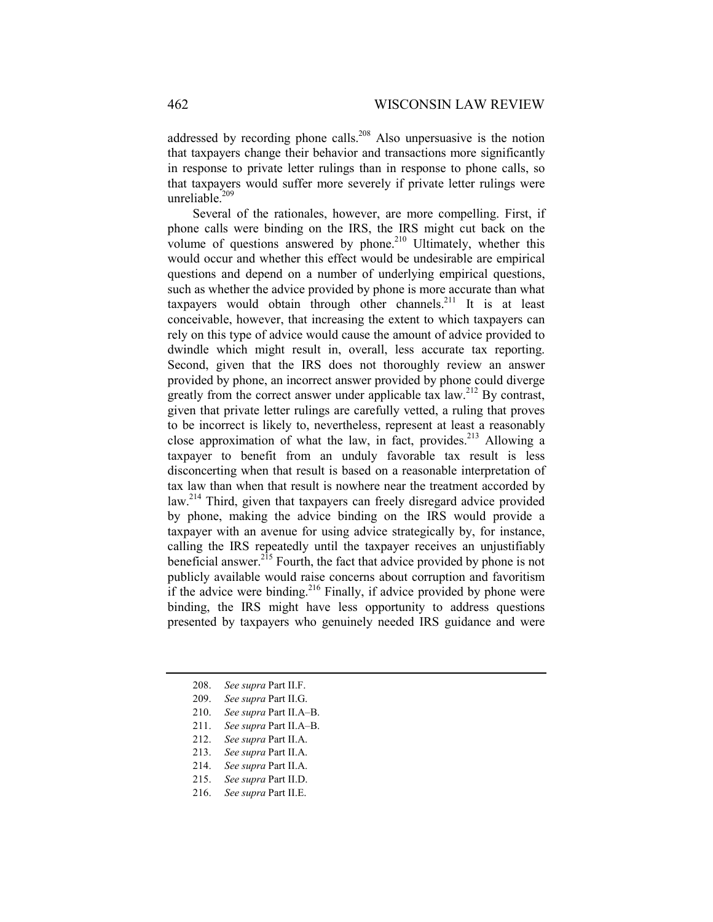addressed by recording phone calls.<sup>208</sup> Also unpersuasive is the notion that taxpayers change their behavior and transactions more significantly in response to private letter rulings than in response to phone calls, so that taxpayers would suffer more severely if private letter rulings were unreliable.<sup>209</sup>

Several of the rationales, however, are more compelling. First, if phone calls were binding on the IRS, the IRS might cut back on the volume of questions answered by phone.<sup>210</sup> Ultimately, whether this would occur and whether this effect would be undesirable are empirical questions and depend on a number of underlying empirical questions, such as whether the advice provided by phone is more accurate than what taxpayers would obtain through other channels.<sup>211</sup> It is at least conceivable, however, that increasing the extent to which taxpayers can rely on this type of advice would cause the amount of advice provided to dwindle which might result in, overall, less accurate tax reporting. Second, given that the IRS does not thoroughly review an answer provided by phone, an incorrect answer provided by phone could diverge greatly from the correct answer under applicable tax  $law$ <sup>212</sup> By contrast, given that private letter rulings are carefully vetted, a ruling that proves to be incorrect is likely to, nevertheless, represent at least a reasonably close approximation of what the law, in fact, provides.<sup>213</sup> Allowing a taxpayer to benefit from an unduly favorable tax result is less disconcerting when that result is based on a reasonable interpretation of tax law than when that result is nowhere near the treatment accorded by law.<sup>214</sup> Third, given that taxpayers can freely disregard advice provided by phone, making the advice binding on the IRS would provide a taxpayer with an avenue for using advice strategically by, for instance, calling the IRS repeatedly until the taxpayer receives an unjustifiably beneficial answer.<sup>215</sup> Fourth, the fact that advice provided by phone is not publicly available would raise concerns about corruption and favoritism if the advice were binding.<sup>216</sup> Finally, if advice provided by phone were binding, the IRS might have less opportunity to address questions presented by taxpayers who genuinely needed IRS guidance and were

 <sup>208.</sup> *See supra* Part II.F.

 <sup>209.</sup> *See supra* Part II.G.

 <sup>210.</sup> *See supra* Part II.A–B.

 <sup>211.</sup> *See supra* Part II.A–B.

 <sup>212.</sup> *See supra* Part II.A.

 <sup>213.</sup> *See supra* Part II.A.

 <sup>214.</sup> *See supra* Part II.A.

 <sup>215.</sup> *See supra* Part II.D.

 <sup>216.</sup> *See supra* Part II.E.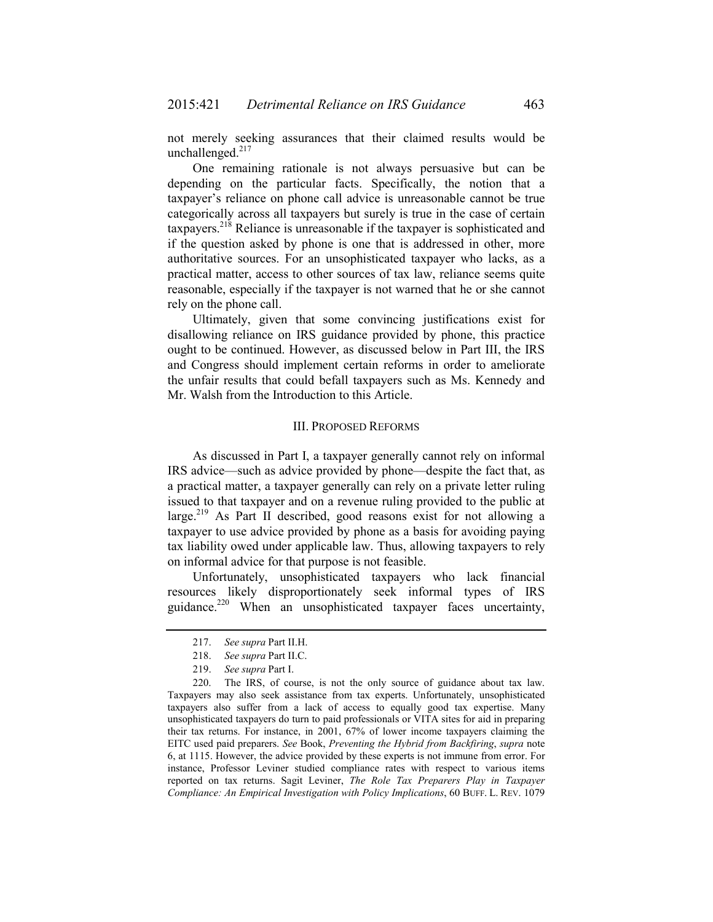not merely seeking assurances that their claimed results would be unchallenged. $217$ 

One remaining rationale is not always persuasive but can be depending on the particular facts. Specifically, the notion that a taxpayer's reliance on phone call advice is unreasonable cannot be true categorically across all taxpayers but surely is true in the case of certain taxpayers.218 Reliance is unreasonable if the taxpayer is sophisticated and if the question asked by phone is one that is addressed in other, more authoritative sources. For an unsophisticated taxpayer who lacks, as a practical matter, access to other sources of tax law, reliance seems quite reasonable, especially if the taxpayer is not warned that he or she cannot rely on the phone call.

Ultimately, given that some convincing justifications exist for disallowing reliance on IRS guidance provided by phone, this practice ought to be continued. However, as discussed below in Part III, the IRS and Congress should implement certain reforms in order to ameliorate the unfair results that could befall taxpayers such as Ms. Kennedy and Mr. Walsh from the Introduction to this Article.

#### III. PROPOSED REFORMS

As discussed in Part I, a taxpayer generally cannot rely on informal IRS advice—such as advice provided by phone—despite the fact that, as a practical matter, a taxpayer generally can rely on a private letter ruling issued to that taxpayer and on a revenue ruling provided to the public at large.<sup>219</sup> As Part II described, good reasons exist for not allowing a taxpayer to use advice provided by phone as a basis for avoiding paying tax liability owed under applicable law. Thus, allowing taxpayers to rely on informal advice for that purpose is not feasible.

Unfortunately, unsophisticated taxpayers who lack financial resources likely disproportionately seek informal types of IRS guidance.<sup>220</sup> When an unsophisticated taxpayer faces uncertainty,

 <sup>217.</sup> *See supra* Part II.H.

 <sup>218.</sup> *See supra* Part II.C.

 <sup>219.</sup> *See supra* Part I.

<sup>220.</sup> The IRS, of course, is not the only source of guidance about tax law. Taxpayers may also seek assistance from tax experts. Unfortunately, unsophisticated taxpayers also suffer from a lack of access to equally good tax expertise. Many unsophisticated taxpayers do turn to paid professionals or VITA sites for aid in preparing their tax returns. For instance, in 2001, 67% of lower income taxpayers claiming the EITC used paid preparers. *See* Book, *Preventing the Hybrid from Backfiring*, *supra* note 6, at 1115. However, the advice provided by these experts is not immune from error. For instance, Professor Leviner studied compliance rates with respect to various items reported on tax returns. Sagit Leviner, *The Role Tax Preparers Play in Taxpayer Compliance: An Empirical Investigation with Policy Implications*, 60 BUFF. L. REV. 1079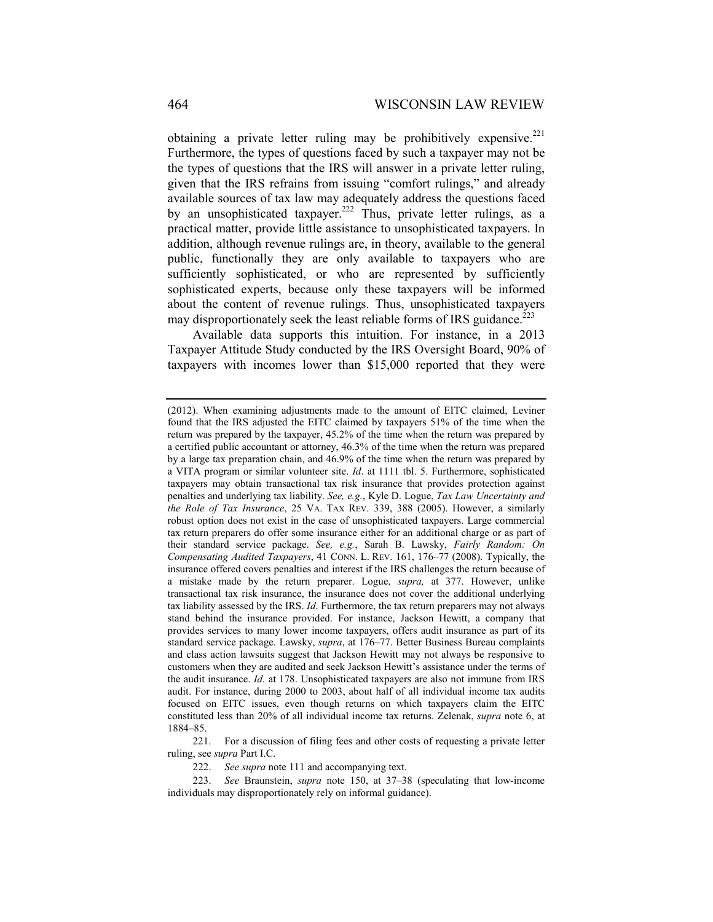obtaining a private letter ruling may be prohibitively expensive. $221$ Furthermore, the types of questions faced by such a taxpayer may not be the types of questions that the IRS will answer in a private letter ruling, given that the IRS refrains from issuing "comfort rulings," and already available sources of tax law may adequately address the questions faced by an unsophisticated taxpayer.<sup>222</sup> Thus, private letter rulings, as a practical matter, provide little assistance to unsophisticated taxpayers. In addition, although revenue rulings are, in theory, available to the general public, functionally they are only available to taxpayers who are sufficiently sophisticated, or who are represented by sufficiently sophisticated experts, because only these taxpayers will be informed about the content of revenue rulings. Thus, unsophisticated taxpayers may disproportionately seek the least reliable forms of IRS guidance.<sup>223</sup>

Available data supports this intuition. For instance, in a 2013 Taxpayer Attitude Study conducted by the IRS Oversight Board, 90% of taxpayers with incomes lower than \$15,000 reported that they were

221. For a discussion of filing fees and other costs of requesting a private letter ruling, see *supra* Part I.C.

222. *See supra* note 111 and accompanying text.

 223. *See* Braunstein, *supra* note 150, at 37–38 (speculating that low-income individuals may disproportionately rely on informal guidance).

<sup>(2012).</sup> When examining adjustments made to the amount of EITC claimed, Leviner found that the IRS adjusted the EITC claimed by taxpayers 51% of the time when the return was prepared by the taxpayer, 45.2% of the time when the return was prepared by a certified public accountant or attorney, 46.3% of the time when the return was prepared by a large tax preparation chain, and 46.9% of the time when the return was prepared by a VITA program or similar volunteer site. *Id*. at 1111 tbl. 5. Furthermore, sophisticated taxpayers may obtain transactional tax risk insurance that provides protection against penalties and underlying tax liability. *See, e.g.*, Kyle D. Logue, *Tax Law Uncertainty and the Role of Tax Insurance*, 25 VA. TAX REV. 339, 388 (2005). However, a similarly robust option does not exist in the case of unsophisticated taxpayers. Large commercial tax return preparers do offer some insurance either for an additional charge or as part of their standard service package. *See, e.g.*, Sarah B. Lawsky, *Fairly Random: On Compensating Audited Taxpayers*, 41 CONN. L. REV. 161, 176–77 (2008). Typically, the insurance offered covers penalties and interest if the IRS challenges the return because of a mistake made by the return preparer. Logue, *supra,* at 377. However, unlike transactional tax risk insurance, the insurance does not cover the additional underlying tax liability assessed by the IRS. *Id*. Furthermore, the tax return preparers may not always stand behind the insurance provided. For instance, Jackson Hewitt, a company that provides services to many lower income taxpayers, offers audit insurance as part of its standard service package. Lawsky, *supra*, at 176–77. Better Business Bureau complaints and class action lawsuits suggest that Jackson Hewitt may not always be responsive to customers when they are audited and seek Jackson Hewitt's assistance under the terms of the audit insurance. *Id.* at 178. Unsophisticated taxpayers are also not immune from IRS audit. For instance, during 2000 to 2003, about half of all individual income tax audits focused on EITC issues, even though returns on which taxpayers claim the EITC constituted less than 20% of all individual income tax returns. Zelenak, *supra* note 6, at 1884–85.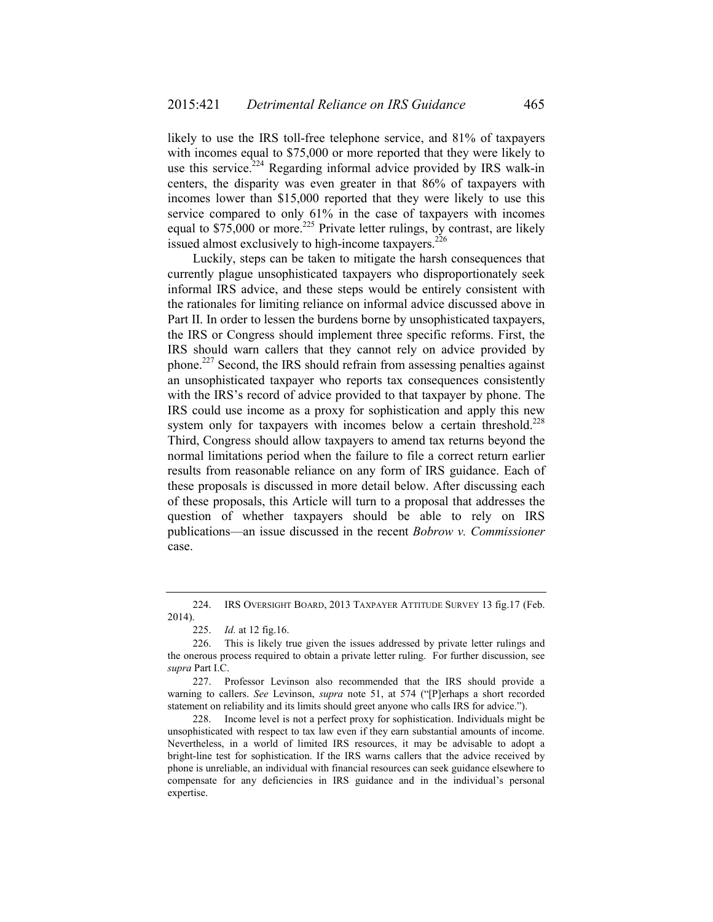likely to use the IRS toll-free telephone service, and 81% of taxpayers with incomes equal to \$75,000 or more reported that they were likely to use this service.<sup> $224$ </sup> Regarding informal advice provided by IRS walk-in centers, the disparity was even greater in that 86% of taxpayers with incomes lower than \$15,000 reported that they were likely to use this service compared to only 61% in the case of taxpayers with incomes equal to  $$75,000$  or more.<sup>225</sup> Private letter rulings, by contrast, are likely issued almost exclusively to high-income taxpayers.<sup>226</sup>

Luckily, steps can be taken to mitigate the harsh consequences that currently plague unsophisticated taxpayers who disproportionately seek informal IRS advice, and these steps would be entirely consistent with the rationales for limiting reliance on informal advice discussed above in Part II. In order to lessen the burdens borne by unsophisticated taxpayers, the IRS or Congress should implement three specific reforms. First, the IRS should warn callers that they cannot rely on advice provided by phone.227 Second, the IRS should refrain from assessing penalties against an unsophisticated taxpayer who reports tax consequences consistently with the IRS's record of advice provided to that taxpayer by phone. The IRS could use income as a proxy for sophistication and apply this new system only for taxpayers with incomes below a certain threshold.<sup>228</sup> Third, Congress should allow taxpayers to amend tax returns beyond the normal limitations period when the failure to file a correct return earlier results from reasonable reliance on any form of IRS guidance. Each of these proposals is discussed in more detail below. After discussing each of these proposals, this Article will turn to a proposal that addresses the question of whether taxpayers should be able to rely on IRS publications—an issue discussed in the recent *Bobrow v. Commissioner* case.

 <sup>224.</sup> IRS OVERSIGHT BOARD, 2013 TAXPAYER ATTITUDE SURVEY 13 fig.17 (Feb. 2014).

 <sup>225.</sup> *Id.* at 12 fig.16.

<sup>226.</sup> This is likely true given the issues addressed by private letter rulings and the onerous process required to obtain a private letter ruling. For further discussion, see *supra* Part I.C.

<sup>227.</sup> Professor Levinson also recommended that the IRS should provide a warning to callers. *See* Levinson, *supra* note 51, at 574 ("[P]erhaps a short recorded statement on reliability and its limits should greet anyone who calls IRS for advice.").

<sup>228.</sup> Income level is not a perfect proxy for sophistication. Individuals might be unsophisticated with respect to tax law even if they earn substantial amounts of income. Nevertheless, in a world of limited IRS resources, it may be advisable to adopt a bright-line test for sophistication. If the IRS warns callers that the advice received by phone is unreliable, an individual with financial resources can seek guidance elsewhere to compensate for any deficiencies in IRS guidance and in the individual's personal expertise.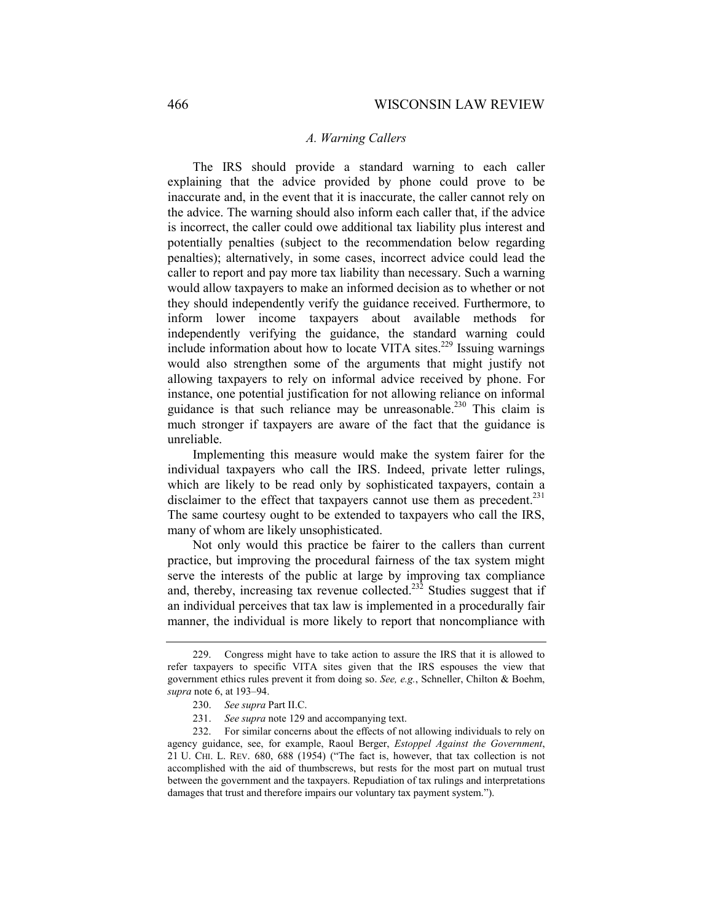#### *A. Warning Callers*

The IRS should provide a standard warning to each caller explaining that the advice provided by phone could prove to be inaccurate and, in the event that it is inaccurate, the caller cannot rely on the advice. The warning should also inform each caller that, if the advice is incorrect, the caller could owe additional tax liability plus interest and potentially penalties (subject to the recommendation below regarding penalties); alternatively, in some cases, incorrect advice could lead the caller to report and pay more tax liability than necessary. Such a warning would allow taxpayers to make an informed decision as to whether or not they should independently verify the guidance received. Furthermore, to inform lower income taxpayers about available methods for independently verifying the guidance, the standard warning could include information about how to locate VITA sites.<sup>229</sup> Issuing warnings would also strengthen some of the arguments that might justify not allowing taxpayers to rely on informal advice received by phone. For instance, one potential justification for not allowing reliance on informal guidance is that such reliance may be unreasonable.<sup>230</sup> This claim is much stronger if taxpayers are aware of the fact that the guidance is unreliable.

Implementing this measure would make the system fairer for the individual taxpayers who call the IRS. Indeed, private letter rulings, which are likely to be read only by sophisticated taxpayers, contain a disclaimer to the effect that taxpayers cannot use them as precedent. $^{231}$ The same courtesy ought to be extended to taxpayers who call the IRS, many of whom are likely unsophisticated.

Not only would this practice be fairer to the callers than current practice, but improving the procedural fairness of the tax system might serve the interests of the public at large by improving tax compliance and, thereby, increasing tax revenue collected.<sup>232</sup> Studies suggest that if an individual perceives that tax law is implemented in a procedurally fair manner, the individual is more likely to report that noncompliance with

<sup>229.</sup> Congress might have to take action to assure the IRS that it is allowed to refer taxpayers to specific VITA sites given that the IRS espouses the view that government ethics rules prevent it from doing so. *See, e.g.*, Schneller, Chilton & Boehm, *supra* note 6, at 193–94.

 <sup>230.</sup> *See supra* Part II.C.

 <sup>231.</sup> *See supra* note 129 and accompanying text.

<sup>232.</sup> For similar concerns about the effects of not allowing individuals to rely on agency guidance, see, for example, Raoul Berger, *Estoppel Against the Government*, 21 U. CHI. L. REV. 680, 688 (1954) ("The fact is, however, that tax collection is not accomplished with the aid of thumbscrews, but rests for the most part on mutual trust between the government and the taxpayers. Repudiation of tax rulings and interpretations damages that trust and therefore impairs our voluntary tax payment system.").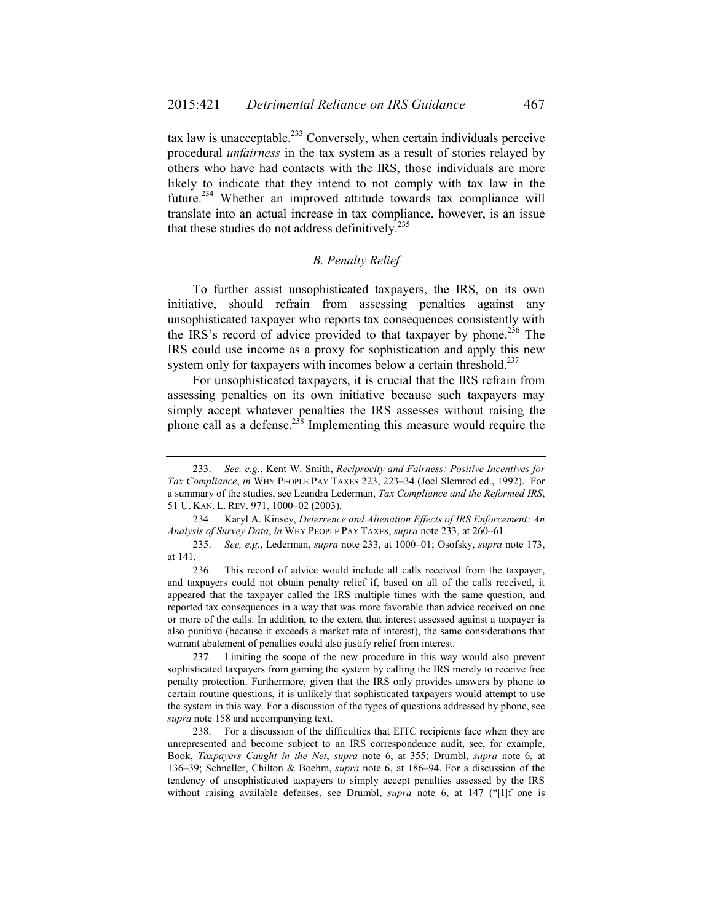tax law is unacceptable.<sup>233</sup> Conversely, when certain individuals perceive procedural *unfairness* in the tax system as a result of stories relayed by others who have had contacts with the IRS, those individuals are more likely to indicate that they intend to not comply with tax law in the future.234 Whether an improved attitude towards tax compliance will translate into an actual increase in tax compliance, however, is an issue that these studies do not address definitively. $235$ 

## *B. Penalty Relief*

To further assist unsophisticated taxpayers, the IRS, on its own initiative, should refrain from assessing penalties against any unsophisticated taxpayer who reports tax consequences consistently with the IRS's record of advice provided to that taxpayer by phone.<sup>236</sup> The IRS could use income as a proxy for sophistication and apply this new system only for taxpayers with incomes below a certain threshold.<sup>237</sup>

For unsophisticated taxpayers, it is crucial that the IRS refrain from assessing penalties on its own initiative because such taxpayers may simply accept whatever penalties the IRS assesses without raising the phone call as a defense.238 Implementing this measure would require the

 <sup>233.</sup> *See, e.g.*, Kent W. Smith, *Reciprocity and Fairness: Positive Incentives for Tax Compliance*, *in* WHY PEOPLE PAY TAXES 223, 223–34 (Joel Slemrod ed., 1992). For a summary of the studies, see Leandra Lederman, *Tax Compliance and the Reformed IRS*, 51 U. KAN. L. REV. 971, 1000–02 (2003).

 <sup>234.</sup> Karyl A. Kinsey, *Deterrence and Alienation Effects of IRS Enforcement: An Analysis of Survey Data*, *in* WHY PEOPLE PAY TAXES, *supra* note 233, at 260–61.

 <sup>235.</sup> *See, e.g.*, Lederman, *supra* note 233, at 1000–01; Osofsky, *supra* note 173, at 141.

<sup>236.</sup> This record of advice would include all calls received from the taxpayer, and taxpayers could not obtain penalty relief if, based on all of the calls received, it appeared that the taxpayer called the IRS multiple times with the same question, and reported tax consequences in a way that was more favorable than advice received on one or more of the calls. In addition, to the extent that interest assessed against a taxpayer is also punitive (because it exceeds a market rate of interest), the same considerations that warrant abatement of penalties could also justify relief from interest.

<sup>237.</sup> Limiting the scope of the new procedure in this way would also prevent sophisticated taxpayers from gaming the system by calling the IRS merely to receive free penalty protection. Furthermore, given that the IRS only provides answers by phone to certain routine questions, it is unlikely that sophisticated taxpayers would attempt to use the system in this way. For a discussion of the types of questions addressed by phone, see *supra* note 158 and accompanying text.

<sup>238.</sup> For a discussion of the difficulties that EITC recipients face when they are unrepresented and become subject to an IRS correspondence audit, see, for example, Book, *Taxpayers Caught in the Net*, *supra* note 6, at 355; Drumbl, *supra* note 6, at 136–39; Schneller, Chilton & Boehm, *supra* note 6, at 186–94. For a discussion of the tendency of unsophisticated taxpayers to simply accept penalties assessed by the IRS without raising available defenses, see Drumbl, *supra* note 6, at 147 ("[I]f one is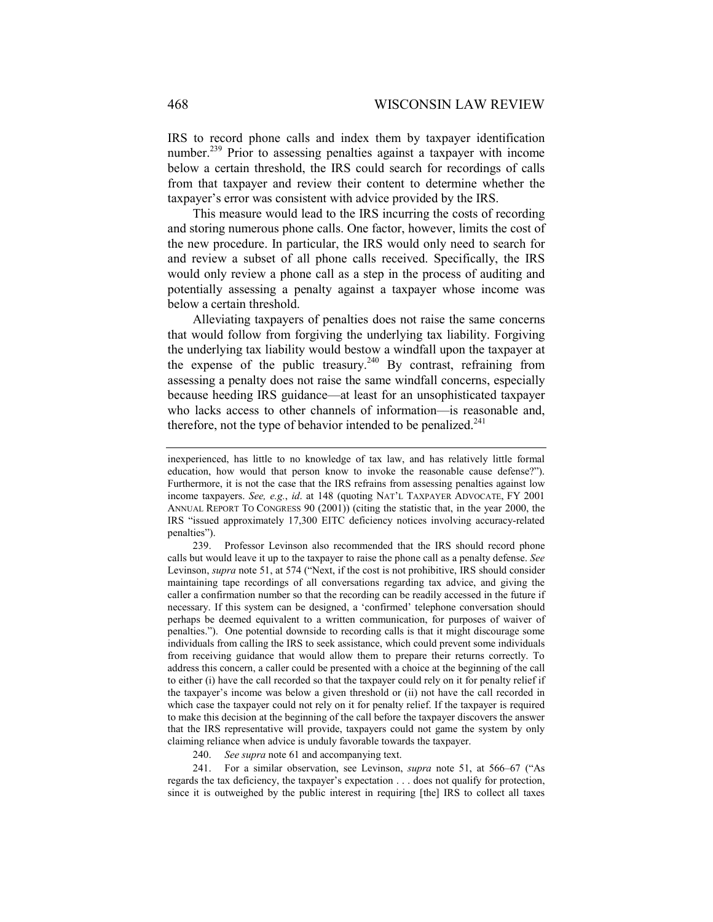IRS to record phone calls and index them by taxpayer identification number.<sup>239</sup> Prior to assessing penalties against a taxpayer with income below a certain threshold, the IRS could search for recordings of calls from that taxpayer and review their content to determine whether the taxpayer's error was consistent with advice provided by the IRS.

This measure would lead to the IRS incurring the costs of recording and storing numerous phone calls. One factor, however, limits the cost of the new procedure. In particular, the IRS would only need to search for and review a subset of all phone calls received. Specifically, the IRS would only review a phone call as a step in the process of auditing and potentially assessing a penalty against a taxpayer whose income was below a certain threshold.

Alleviating taxpayers of penalties does not raise the same concerns that would follow from forgiving the underlying tax liability. Forgiving the underlying tax liability would bestow a windfall upon the taxpayer at the expense of the public treasury.<sup>240</sup> By contrast, refraining from assessing a penalty does not raise the same windfall concerns, especially because heeding IRS guidance—at least for an unsophisticated taxpayer who lacks access to other channels of information—is reasonable and, therefore, not the type of behavior intended to be penalized.<sup>241</sup>

240. *See supra* note 61 and accompanying text.

241. For a similar observation, see Levinson, *supra* note 51, at 566–67 ("As regards the tax deficiency, the taxpayer's expectation . . . does not qualify for protection, since it is outweighed by the public interest in requiring [the] IRS to collect all taxes

inexperienced, has little to no knowledge of tax law, and has relatively little formal education, how would that person know to invoke the reasonable cause defense?"). Furthermore, it is not the case that the IRS refrains from assessing penalties against low income taxpayers. *See, e.g.*, *id*. at 148 (quoting NAT'L TAXPAYER ADVOCATE, FY 2001 ANNUAL REPORT TO CONGRESS 90 (2001)) (citing the statistic that, in the year 2000, the IRS "issued approximately 17,300 EITC deficiency notices involving accuracy-related penalties").

<sup>239.</sup> Professor Levinson also recommended that the IRS should record phone calls but would leave it up to the taxpayer to raise the phone call as a penalty defense. *See* Levinson, *supra* note 51, at 574 ("Next, if the cost is not prohibitive, IRS should consider maintaining tape recordings of all conversations regarding tax advice, and giving the caller a confirmation number so that the recording can be readily accessed in the future if necessary. If this system can be designed, a 'confirmed' telephone conversation should perhaps be deemed equivalent to a written communication, for purposes of waiver of penalties."). One potential downside to recording calls is that it might discourage some individuals from calling the IRS to seek assistance, which could prevent some individuals from receiving guidance that would allow them to prepare their returns correctly. To address this concern, a caller could be presented with a choice at the beginning of the call to either (i) have the call recorded so that the taxpayer could rely on it for penalty relief if the taxpayer's income was below a given threshold or (ii) not have the call recorded in which case the taxpayer could not rely on it for penalty relief. If the taxpayer is required to make this decision at the beginning of the call before the taxpayer discovers the answer that the IRS representative will provide, taxpayers could not game the system by only claiming reliance when advice is unduly favorable towards the taxpayer.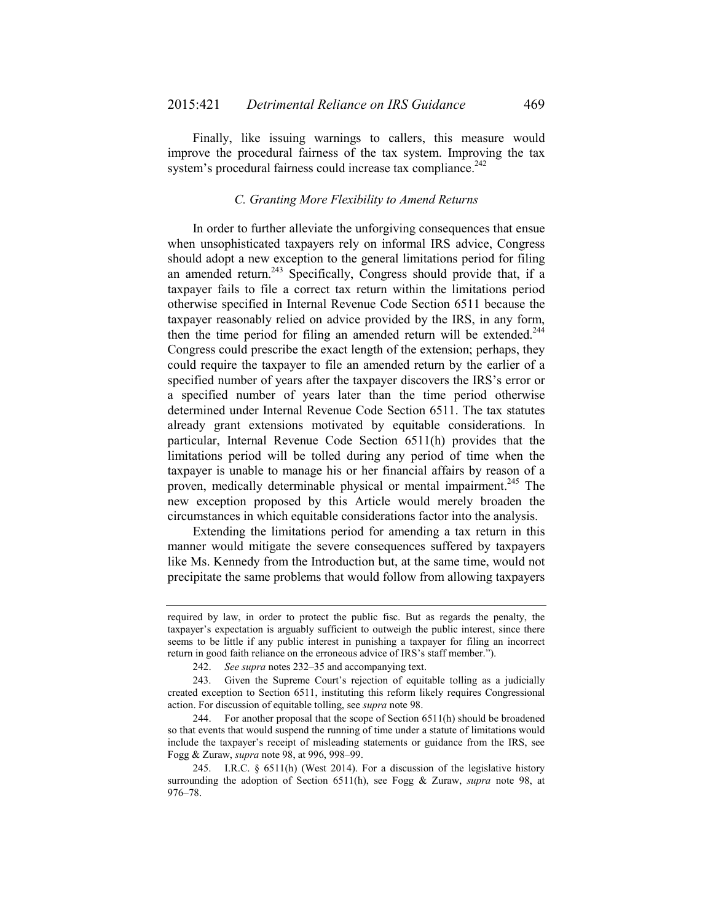Finally, like issuing warnings to callers, this measure would improve the procedural fairness of the tax system. Improving the tax system's procedural fairness could increase tax compliance.<sup>242</sup>

### *C. Granting More Flexibility to Amend Returns*

In order to further alleviate the unforgiving consequences that ensue when unsophisticated taxpayers rely on informal IRS advice, Congress should adopt a new exception to the general limitations period for filing an amended return.<sup>243</sup> Specifically, Congress should provide that, if a taxpayer fails to file a correct tax return within the limitations period otherwise specified in Internal Revenue Code Section 6511 because the taxpayer reasonably relied on advice provided by the IRS, in any form, then the time period for filing an amended return will be extended. $244$ Congress could prescribe the exact length of the extension; perhaps, they could require the taxpayer to file an amended return by the earlier of a specified number of years after the taxpayer discovers the IRS's error or a specified number of years later than the time period otherwise determined under Internal Revenue Code Section 6511. The tax statutes already grant extensions motivated by equitable considerations. In particular, Internal Revenue Code Section 6511(h) provides that the limitations period will be tolled during any period of time when the taxpayer is unable to manage his or her financial affairs by reason of a proven, medically determinable physical or mental impairment.<sup>245</sup> The new exception proposed by this Article would merely broaden the circumstances in which equitable considerations factor into the analysis.

Extending the limitations period for amending a tax return in this manner would mitigate the severe consequences suffered by taxpayers like Ms. Kennedy from the Introduction but, at the same time, would not precipitate the same problems that would follow from allowing taxpayers

required by law, in order to protect the public fisc. But as regards the penalty, the taxpayer's expectation is arguably sufficient to outweigh the public interest, since there seems to be little if any public interest in punishing a taxpayer for filing an incorrect return in good faith reliance on the erroneous advice of IRS's staff member.").

 <sup>242.</sup> *See supra* notes 232–35 and accompanying text.

<sup>243.</sup> Given the Supreme Court's rejection of equitable tolling as a judicially created exception to Section 6511, instituting this reform likely requires Congressional action. For discussion of equitable tolling, see *supra* note 98.

<sup>244.</sup> For another proposal that the scope of Section 6511(h) should be broadened so that events that would suspend the running of time under a statute of limitations would include the taxpayer's receipt of misleading statements or guidance from the IRS, see Fogg & Zuraw, *supra* note 98, at 996, 998–99.

<sup>245.</sup> I.R.C. § 6511(h) (West 2014). For a discussion of the legislative history surrounding the adoption of Section 6511(h), see Fogg & Zuraw, *supra* note 98, at 976–78.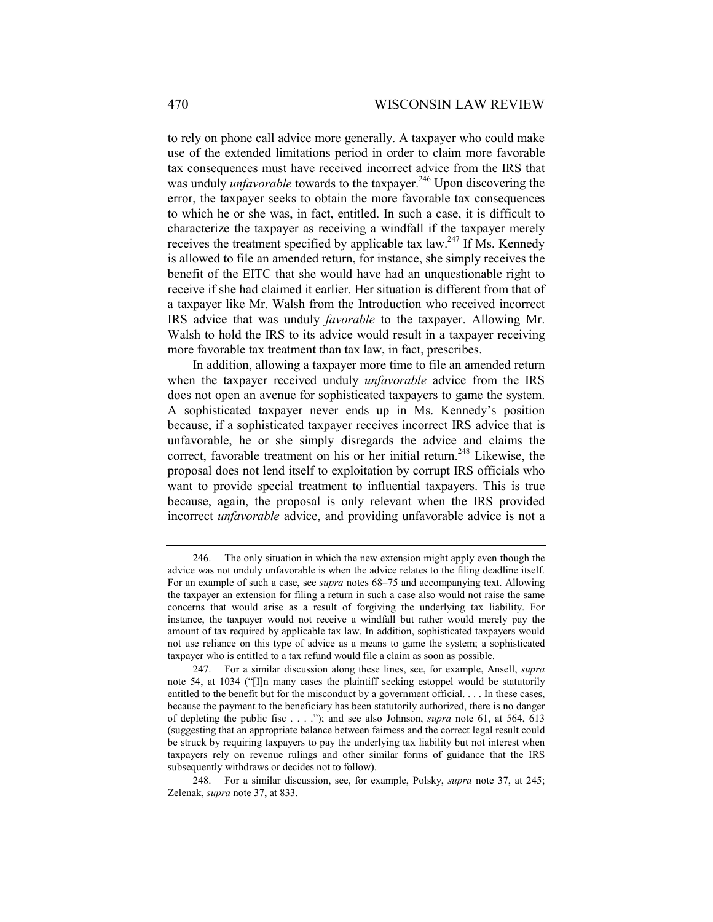to rely on phone call advice more generally. A taxpayer who could make use of the extended limitations period in order to claim more favorable tax consequences must have received incorrect advice from the IRS that was unduly *unfavorable* towards to the taxpayer.<sup>246</sup> Upon discovering the error, the taxpayer seeks to obtain the more favorable tax consequences to which he or she was, in fact, entitled. In such a case, it is difficult to characterize the taxpayer as receiving a windfall if the taxpayer merely receives the treatment specified by applicable tax law.<sup>247</sup> If Ms. Kennedy is allowed to file an amended return, for instance, she simply receives the benefit of the EITC that she would have had an unquestionable right to receive if she had claimed it earlier. Her situation is different from that of a taxpayer like Mr. Walsh from the Introduction who received incorrect IRS advice that was unduly *favorable* to the taxpayer. Allowing Mr. Walsh to hold the IRS to its advice would result in a taxpayer receiving more favorable tax treatment than tax law, in fact, prescribes.

In addition, allowing a taxpayer more time to file an amended return when the taxpayer received unduly *unfavorable* advice from the IRS does not open an avenue for sophisticated taxpayers to game the system. A sophisticated taxpayer never ends up in Ms. Kennedy's position because, if a sophisticated taxpayer receives incorrect IRS advice that is unfavorable, he or she simply disregards the advice and claims the correct, favorable treatment on his or her initial return.<sup>248</sup> Likewise, the proposal does not lend itself to exploitation by corrupt IRS officials who want to provide special treatment to influential taxpayers. This is true because, again, the proposal is only relevant when the IRS provided incorrect *unfavorable* advice, and providing unfavorable advice is not a

<sup>246.</sup> The only situation in which the new extension might apply even though the advice was not unduly unfavorable is when the advice relates to the filing deadline itself. For an example of such a case, see *supra* notes 68–75 and accompanying text. Allowing the taxpayer an extension for filing a return in such a case also would not raise the same concerns that would arise as a result of forgiving the underlying tax liability. For instance, the taxpayer would not receive a windfall but rather would merely pay the amount of tax required by applicable tax law. In addition, sophisticated taxpayers would not use reliance on this type of advice as a means to game the system; a sophisticated taxpayer who is entitled to a tax refund would file a claim as soon as possible.

<sup>247.</sup> For a similar discussion along these lines, see, for example, Ansell, *supra* note 54, at 1034 ("[I]n many cases the plaintiff seeking estoppel would be statutorily entitled to the benefit but for the misconduct by a government official. . . . In these cases, because the payment to the beneficiary has been statutorily authorized, there is no danger of depleting the public fisc . . . ."); and see also Johnson, *supra* note 61, at 564, 613 (suggesting that an appropriate balance between fairness and the correct legal result could be struck by requiring taxpayers to pay the underlying tax liability but not interest when taxpayers rely on revenue rulings and other similar forms of guidance that the IRS subsequently withdraws or decides not to follow).

<sup>248.</sup> For a similar discussion, see, for example, Polsky, *supra* note 37, at 245; Zelenak, *supra* note 37, at 833.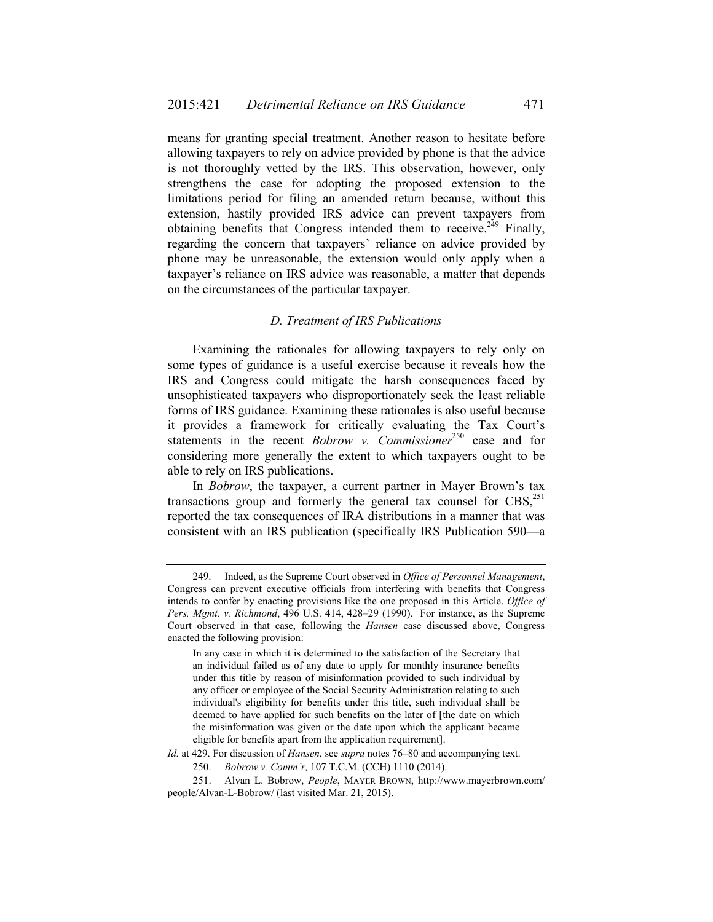means for granting special treatment. Another reason to hesitate before allowing taxpayers to rely on advice provided by phone is that the advice is not thoroughly vetted by the IRS. This observation, however, only strengthens the case for adopting the proposed extension to the limitations period for filing an amended return because, without this extension, hastily provided IRS advice can prevent taxpayers from obtaining benefits that Congress intended them to receive.<sup>249</sup> Finally, regarding the concern that taxpayers' reliance on advice provided by phone may be unreasonable, the extension would only apply when a taxpayer's reliance on IRS advice was reasonable, a matter that depends on the circumstances of the particular taxpayer.

## *D. Treatment of IRS Publications*

Examining the rationales for allowing taxpayers to rely only on some types of guidance is a useful exercise because it reveals how the IRS and Congress could mitigate the harsh consequences faced by unsophisticated taxpayers who disproportionately seek the least reliable forms of IRS guidance. Examining these rationales is also useful because it provides a framework for critically evaluating the Tax Court's statements in the recent *Bobrow v. Commissioner*<sup>250</sup> case and for considering more generally the extent to which taxpayers ought to be able to rely on IRS publications.

In *Bobrow*, the taxpayer, a current partner in Mayer Brown's tax transactions group and formerly the general tax counsel for  $CBS<sub>1</sub><sup>251</sup>$ reported the tax consequences of IRA distributions in a manner that was consistent with an IRS publication (specifically IRS Publication 590—a

*Id.* at 429. For discussion of *Hansen*, see *supra* notes 76–80 and accompanying text.

<sup>249.</sup> Indeed, as the Supreme Court observed in *Office of Personnel Management*, Congress can prevent executive officials from interfering with benefits that Congress intends to confer by enacting provisions like the one proposed in this Article. *Office of Pers. Mgmt. v. Richmond*, 496 U.S. 414, 428–29 (1990). For instance, as the Supreme Court observed in that case, following the *Hansen* case discussed above, Congress enacted the following provision:

In any case in which it is determined to the satisfaction of the Secretary that an individual failed as of any date to apply for monthly insurance benefits under this title by reason of misinformation provided to such individual by any officer or employee of the Social Security Administration relating to such individual's eligibility for benefits under this title, such individual shall be deemed to have applied for such benefits on the later of [the date on which the misinformation was given or the date upon which the applicant became eligible for benefits apart from the application requirement].

 <sup>250.</sup> *Bobrow v. Comm'r,* 107 T.C.M. (CCH) 1110 (2014).

<sup>251.</sup> Alvan L. Bobrow, *People*, MAYER BROWN, http://www.mayerbrown.com/ people/Alvan-L-Bobrow/ (last visited Mar. 21, 2015).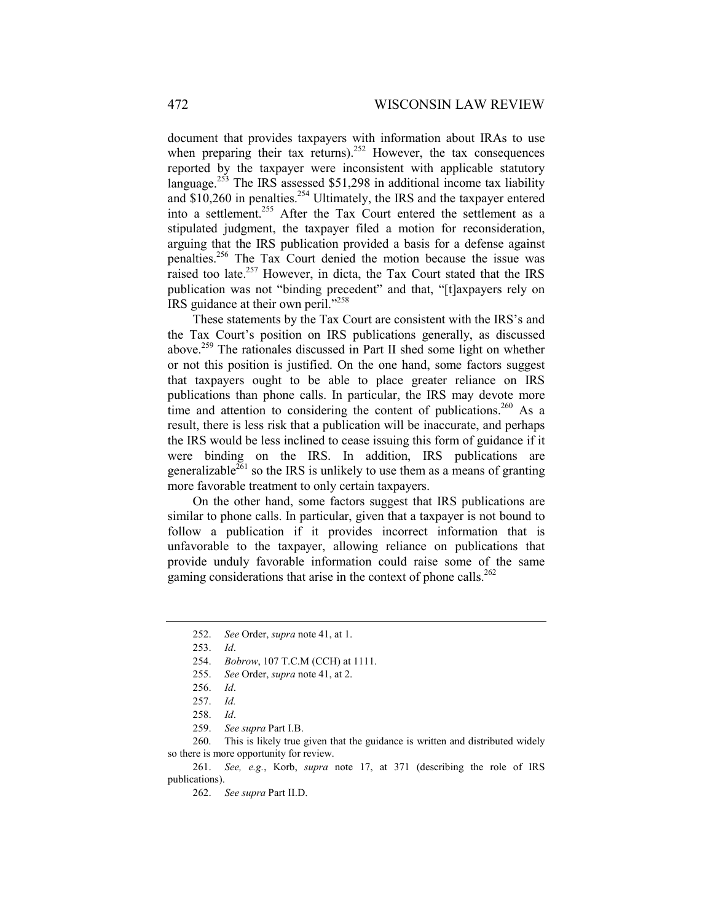document that provides taxpayers with information about IRAs to use when preparing their tax returns).<sup>252</sup> However, the tax consequences reported by the taxpayer were inconsistent with applicable statutory language.<sup>253</sup> The IRS assessed \$51,298 in additional income tax liability and  $$10,260$  in penalties.<sup>254</sup> Ultimately, the IRS and the taxpayer entered into a settlement.<sup>255</sup> After the Tax Court entered the settlement as a stipulated judgment, the taxpayer filed a motion for reconsideration, arguing that the IRS publication provided a basis for a defense against penalties.256 The Tax Court denied the motion because the issue was raised too late.<sup>257</sup> However, in dicta, the Tax Court stated that the IRS publication was not "binding precedent" and that, "[t]axpayers rely on IRS guidance at their own peril."<sup>258</sup>

These statements by the Tax Court are consistent with the IRS's and the Tax Court's position on IRS publications generally, as discussed above.259 The rationales discussed in Part II shed some light on whether or not this position is justified. On the one hand, some factors suggest that taxpayers ought to be able to place greater reliance on IRS publications than phone calls. In particular, the IRS may devote more time and attention to considering the content of publications.<sup>260</sup> As a result, there is less risk that a publication will be inaccurate, and perhaps the IRS would be less inclined to cease issuing this form of guidance if it were binding on the IRS. In addition, IRS publications are generalizable $^{261}$  so the IRS is unlikely to use them as a means of granting more favorable treatment to only certain taxpayers.

On the other hand, some factors suggest that IRS publications are similar to phone calls. In particular, given that a taxpayer is not bound to follow a publication if it provides incorrect information that is unfavorable to the taxpayer, allowing reliance on publications that provide unduly favorable information could raise some of the same gaming considerations that arise in the context of phone calls.<sup>262</sup>

260. This is likely true given that the guidance is written and distributed widely so there is more opportunity for review.

 261. *See, e.g.*, Korb, *supra* note 17, at 371 (describing the role of IRS publications).

 <sup>252.</sup> *See* Order, *supra* note 41, at 1.

 <sup>253.</sup> *Id*.

 <sup>254.</sup> *Bobrow*, 107 T.C.M (CCH) at 1111.

 <sup>255.</sup> *See* Order, *supra* note 41, at 2.

 <sup>256.</sup> *Id*.

 <sup>257.</sup> *Id.*

 <sup>258.</sup> *Id*.

 <sup>259.</sup> *See supra* Part I.B.

 <sup>262.</sup> *See supra* Part II.D.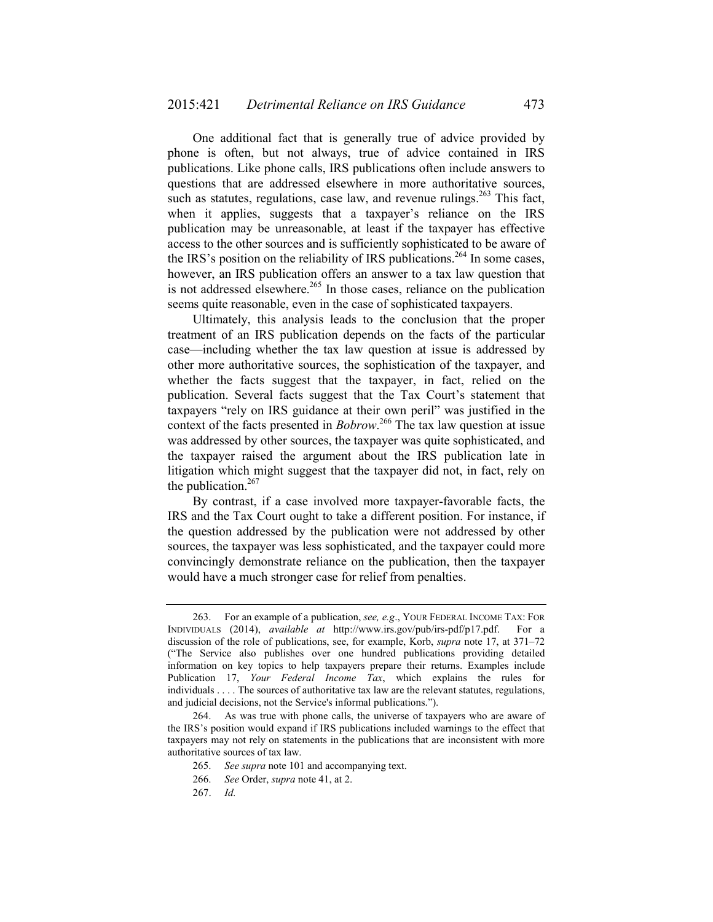One additional fact that is generally true of advice provided by phone is often, but not always, true of advice contained in IRS publications. Like phone calls, IRS publications often include answers to questions that are addressed elsewhere in more authoritative sources, such as statutes, regulations, case law, and revenue rulings.<sup>263</sup> This fact, when it applies, suggests that a taxpayer's reliance on the IRS publication may be unreasonable, at least if the taxpayer has effective access to the other sources and is sufficiently sophisticated to be aware of the IRS's position on the reliability of IRS publications.<sup>264</sup> In some cases. however, an IRS publication offers an answer to a tax law question that is not addressed elsewhere.<sup>265</sup> In those cases, reliance on the publication seems quite reasonable, even in the case of sophisticated taxpayers.

Ultimately, this analysis leads to the conclusion that the proper treatment of an IRS publication depends on the facts of the particular case—including whether the tax law question at issue is addressed by other more authoritative sources, the sophistication of the taxpayer, and whether the facts suggest that the taxpayer, in fact, relied on the publication. Several facts suggest that the Tax Court's statement that taxpayers "rely on IRS guidance at their own peril" was justified in the context of the facts presented in *Bobrow*. 266 The tax law question at issue was addressed by other sources, the taxpayer was quite sophisticated, and the taxpayer raised the argument about the IRS publication late in litigation which might suggest that the taxpayer did not, in fact, rely on the publication. $267$ 

By contrast, if a case involved more taxpayer-favorable facts, the IRS and the Tax Court ought to take a different position. For instance, if the question addressed by the publication were not addressed by other sources, the taxpayer was less sophisticated, and the taxpayer could more convincingly demonstrate reliance on the publication, then the taxpayer would have a much stronger case for relief from penalties.

<sup>263.</sup> For an example of a publication, *see, e.g*., YOUR FEDERAL INCOME TAX: FOR INDIVIDUALS (2014), *available at* http://www.irs.gov/pub/irs-pdf/p17.pdf. For a discussion of the role of publications, see, for example, Korb, *supra* note 17, at 371–72 ("The Service also publishes over one hundred publications providing detailed information on key topics to help taxpayers prepare their returns. Examples include Publication 17, *Your Federal Income Tax*, which explains the rules for individuals . . . . The sources of authoritative tax law are the relevant statutes, regulations, and judicial decisions, not the Service's informal publications.").

<sup>264.</sup> As was true with phone calls, the universe of taxpayers who are aware of the IRS's position would expand if IRS publications included warnings to the effect that taxpayers may not rely on statements in the publications that are inconsistent with more authoritative sources of tax law.

 <sup>265.</sup> *See supra* note 101 and accompanying text.

 <sup>266.</sup> *See* Order, *supra* note 41, at 2.

 <sup>267.</sup> *Id.*